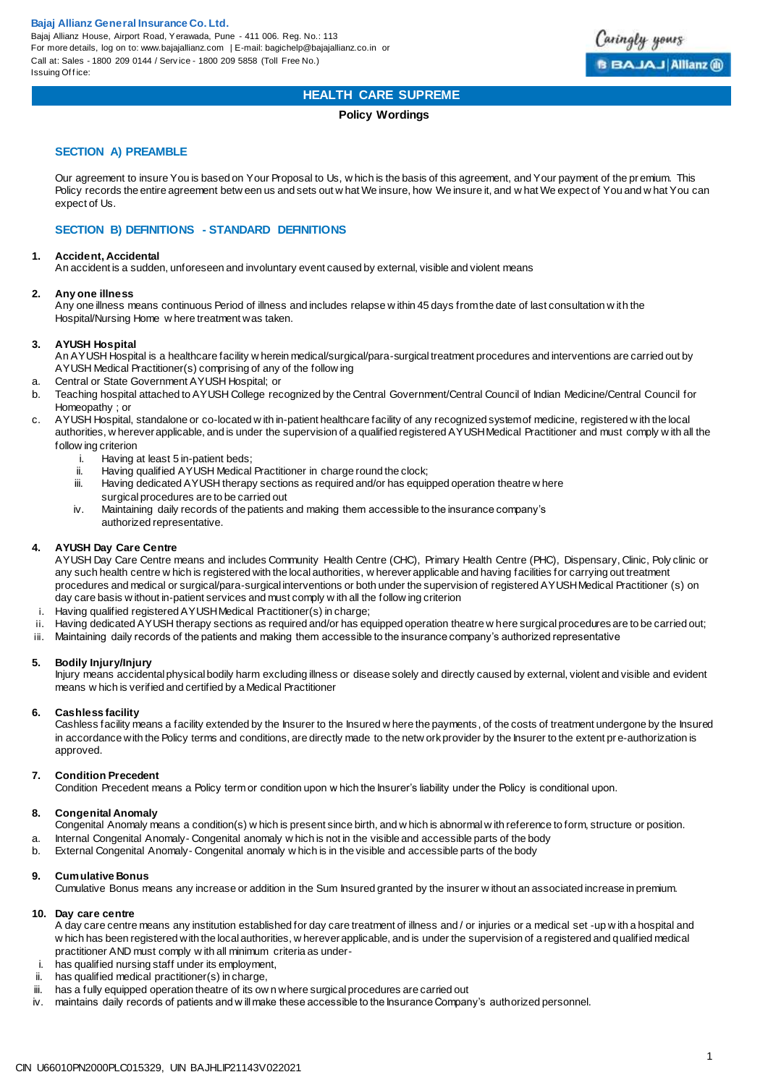

## **HEALTH CARE SUPREME**

#### **Policy Wordings**

### **SECTION A) PREAMBLE**

Our agreement to insure You is based on Your Proposal to Us, w hich is the basis of this agreement, and Your payment of the pr emium. This Policy records the entire agreement betw een us and sets out w hat We insure, how We insure it, and w hat We expect of You and w hat You can expect of Us.

### **SECTION B) DEFINITIONS - STANDARD DEFINITIONS**

#### **1. Accident, Accidental**

An accident is a sudden, unforeseen and involuntary event caused by external, visible and violent means

#### **2. Any one illness**

Any one illness means continuous Period of illness and includes relapse w ithin 45 days from the date of last consultation w ith the Hospital/Nursing Home w here treatment was taken.

#### **3. AYUSH Hospital**

An AYUSH Hospital is a healthcare facility w herein medical/surgical/para-surgical treatment procedures and interventions are carried out by AYUSH Medical Practitioner(s) comprising of any of the follow ing

- a. Central or State Government AYUSH Hospital; or
- b. Teaching hospital attached to AYUSH College recognized by the Central Government/Central Council of Indian Medicine/Central Council for Homeopathy ; or
- c. AYUSH Hospital, standalone or co-located w ith in-patient healthcare facility of any recognized system of medicine, registered w ith the local authorities, w herever applicable, and is under the supervision of a qualified registered AYUSH Medical Practitioner and must comply w ith all the follow ing criterion<br>i. Having a
	- i. Having at least 5 in-patient beds;<br>ii. Having qualified AYUSH Medical
	- ii. Having qualified AYUSH Medical Practitioner in charge round the clock;<br>iii. Having dedicated AYUSH therapy sections as reguired and/or has equir
	- Having dedicated AYUSH therapy sections as required and/or has equipped operation theatre w here surgical procedures are to be carried out
	- iv. Maintaining daily records of the patients and making them accessible to the insurance company's authorized representative.

### **4. AYUSH Day Care Centre**

AYUSH Day Care Centre means and includes Community Health Centre (CHC), Primary Health Centre (PHC), Dispensary, Clinic, Poly clinic or any such health centre w hich is registered with the local authorities, w herever applicable and having facilities for carrying out treatment procedures and medical or surgical/para-surgical interventions or both under the supervision of registered AYUSH Medical Practitioner (s) on day care basis w ithout in-patient services and must comply w ith all the follow ing criterion

- i. Having qualified registered AYUSH Medical Practitioner(s) in charge;
- ii. Having dedicated AYUSH therapy sections as required and/or has equipped operation theatre w here surgical procedures are to be carried out;
- iii. Maintaining daily records of the patients and making them accessible to the insurance company's authorized representative

#### **5. Bodily Injury/Injury**

Injury means accidental physical bodily harm excluding illness or disease solely and directly caused by external, violent and visible and evident means w hich is verified and certified by a Medical Practitioner

#### **6. Cashless facility**

Cashless facility means a facility extended by the Insurer to the Insured w here the payments , of the costs of treatment undergone by the Insured in accordance with the Policy terms and conditions, are directly made to the netw ork provider by the Insurer to the extent pr e-authorization is approved.

#### **7. Condition Precedent**

Condition Precedent means a Policy term or condition upon w hich the Insurer's liability under the Policy is conditional upon.

## **8. Congenital Anomaly**

- Congenital Anomaly means a condition(s) w hich is present since birth, and w hich is abnormal w ith reference to form, structure or position.
- a. Internal Congenital Anomaly- Congenital anomaly w hich is not in the visible and accessible parts of the body
- b. External Congenital Anomaly- Congenital anomaly w hich is in the visible and accessible parts of the body

## **9. Cumulative Bonus**

Cumulative Bonus means any increase or addition in the Sum Insured granted by the insurer w ithout an associated increase in premium.

## **10. Day care centre**

A day care centre means any institution established for day care treatment of illness and / or injuries or a medical set -up w ith a hospital and w hich has been registered with the local authorities, w herever applicable, and is under the supervision of a registered and qualified medical practitioner AND must comply w ith all minimum criteria as under-

- i. has qualified nursing staff under its employment,
- ii. has qualified medical practitioner(s) in charge,
- iii. has a fully equipped operation theatre of its ow n where surgical procedures are carried out
- iv. maintains daily records of patients and w ill make these accessible to the Insurance Company's authorized personnel.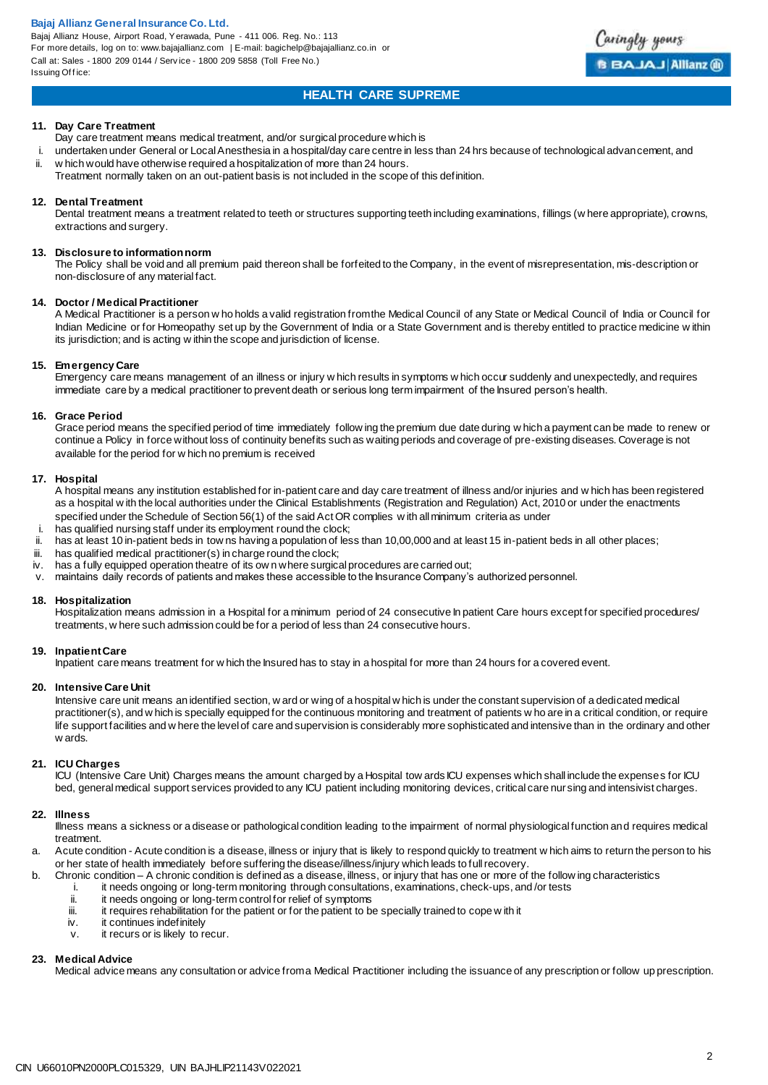Bajaj Allianz House, Airport Road, Yerawada, Pune - 411 006. Reg. No.: 113 For more details, log on to: www.bajajallianz.com | E-mail: bagichelp@bajajallianz.co.in or Call at: Sales - 1800 209 0144 / Serv ice - 1800 209 5858 (Toll Free No.) Issuing Office:



## **HEALTH CARE SUPREME**

#### **11. Day Care Treatment**

Day care treatment means medical treatment, and/or surgical procedure which is

- i. undertaken under General or Local Anesthesia in a hospital/day care centre in less than 24 hrs because of technological advan cement, and<br>ii. w hich would have otherwise required a hospitalization of more than 24 hours. w hich would have otherwise required a hospitalization of more than 24 hours.
- Treatment normally taken on an out-patient basis is not included in the scope of this definition.

#### **12. Dental Treatment**

Dental treatment means a treatment related to teeth or structures supporting teeth including examinations, fillings (w here appropriate), crowns, extractions and surgery.

#### **13. Disclosure to information norm**

The Policy shall be void and all premium paid thereon shall be forfeited to the Company, in the event of misrepresentation, mis-description or non-disclosure of any material fact.

#### **14. Doctor / Medical Practitioner**

A Medical Practitioner is a person w ho holds a valid registration from the Medical Council of any State or Medical Council of India or Council for Indian Medicine or for Homeopathy set up by the Government of India or a State Government and is thereby entitled to practice medicine w ithin its jurisdiction; and is acting w ithin the scope and jurisdiction of license.

#### **15. Emergency Care**

Emergency care means management of an illness or injury w hich results in symptoms w hich occur suddenly and unexpectedly, and requires immediate care by a medical practitioner to prevent death or serious long term impairment of the Insured person's health.

#### **16. Grace Period**

Grace period means the specified period of time immediately follow ing the premium due date during w hich a payment can be made to renew or continue a Policy in force without loss of continuity benefits such as waiting periods and coverage of pre-existing diseases. Coverage is not available for the period for w hich no premium is received

#### **17. Hospital**

A hospital means any institution established for in-patient care and day care treatment of illness and/or injuries and w hich has been registered as a hospital w ith the local authorities under the Clinical Establishments (Registration and Regulation) Act, 2010 or under the enactments specified under the Schedule of Section 56(1) of the said Act OR complies w ith all minimum criteria as under

- i. has qualified nursing staff under its employment round the clock;<br>ii has at least 10 in-patient beds in tow ps having a population of least
- has at least 10 in-patient beds in tow ns having a population of less than 10,00,000 and at least 15 in-patient beds in all other places;
- iii. has qualified medical practitioner(s) in charge round the clock;
- iv. has a fully equipped operation theatre of its ow n where surgical procedures are carried out;
- v. maintains daily records of patients and makes these accessible to the Insurance Company's authorized personnel.

#### **18. Hospitalization**

Hospitalization means admission in a Hospital for a minimum period of 24 consecutive In patient Care hours except for specified procedures/ treatments, w here such admission could be for a period of less than 24 consecutive hours.

#### **19. Inpatient Care**

Inpatient care means treatment for w hich the Insured has to stay in a hospital for more than 24 hours for a covered event.

#### **20. Intensive Care Unit**

Intensive care unit means an identified section, w ard or wing of a hospital w hich is under the constant supervision of a dedicated medical practitioner(s), and w hich is specially equipped for the continuous monitoring and treatment of patients w ho are in a critical condition, or require life support facilities and w here the level of care and supervision is considerably more sophisticated and intensive than in the ordinary and other w ards.

### **21. ICU Charges**

ICU (Intensive Care Unit) Charges means the amount charged by a Hospital tow ards ICU expenses which shall include the expenses for ICU bed, general medical support services provided to any ICU patient including monitoring devices, critical care nur sing and intensivist charges.

#### **22. Illness**

Illness means a sickness or a disease or pathological condition leading to the impairment of normal physiological function and requires medical treatment.

a. Acute condition - Acute condition is a disease, illness or injury that is likely to respond quickly to treatment w hich aims to return the person to his or her state of health immediately before suffering the disease/illness/injury which leads to full recovery.

- b. Chronic condition A chronic condition is defined as a disease, illness, or injury that has one or more of the follow ing characteristics
	- i. it needs ongoing or long-term monitoring through consultations, examinations, check-ups, and /or tests
	- ii. it needs ongoing or long-term control for relief of symptoms<br>iii. it requires rehabilitation for the patient or for the patient to be
	- iii. it requires rehabilitation for the patient or for the patient to be specially trained to cope w ith it iv.
	- it continues indefinitely
	- v. it recurs or is likely to recur.

#### **23. Medical Advice**

Medical advice means any consultation or advice from a Medical Practitioner including the issuance of any prescription or follow up prescription.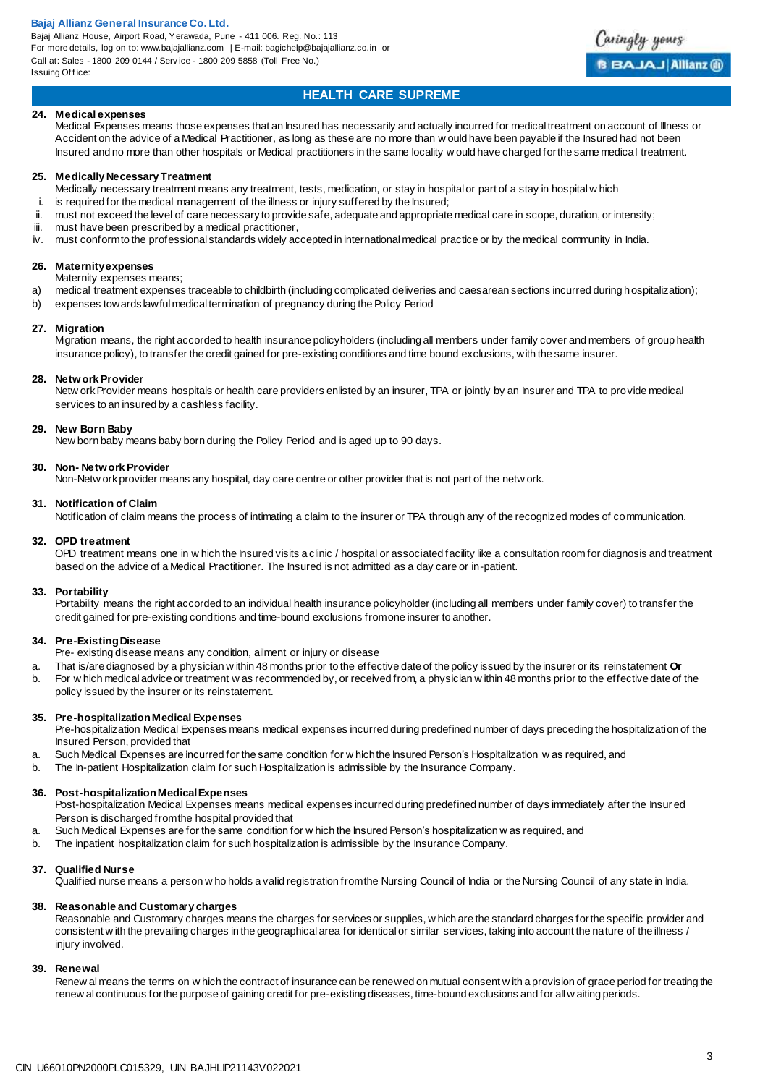Bajaj Allianz House, Airport Road, Yerawada, Pune - 411 006. Reg. No.: 113 For more details, log on to: www.bajajallianz.com | E-mail: bagichelp@bajajallianz.co.in or Call at: Sales - 1800 209 0144 / Serv ice - 1800 209 5858 (Toll Free No.) Issuing Office:



## **HEALTH CARE SUPREME**

#### **24. Medical expenses**

Medical Expenses means those expenses that an Insured has necessarily and actually incurred for medical treatment on account of Illness or Accident on the advice of a Medical Practitioner, as long as these are no more than w ould have been payable if the Insured had not been Insured and no more than other hospitals or Medical practitioners in the same locality w ould have charged for the same medical treatment.

#### **25. Medically Necessary Treatment**

- Medically necessary treatment means any treatment, tests, medication, or stay in hospital or part of a stay in hospital w hich
- i. is required for the medical management of the illness or injury suffered by the Insured;
- ii. must not exceed the level of care necessary to provide safe, adequate and appropriate medical care in scope, duration, or intensity;
- iii. must have been prescribed by a medical practitioner,
- iv. must conform to the professional standards widely accepted in international medical practice or by the medical community in India.

#### **26. Maternity expenses**

Maternity expenses means;

- a) medical treatment expenses traceable to childbirth (including complicated deliveries and caesarean sections incurred during hospitalization);
- b) expenses towards lawful medical termination of pregnancy during the Policy Period

#### **27. Migration**

Migration means, the right accorded to health insurance policyholders (including all members under family cover and members of group health insurance policy), to transfer the credit gained for pre-existing conditions and time bound exclusions, with the same insurer.

#### **28. Network Provider**

Netw ork Provider means hospitals or health care providers enlisted by an insurer, TPA or jointly by an Insurer and TPA to provide medical services to an insured by a cashless facility.

#### **29. New Born Baby**

New born baby means baby born during the Policy Period and is aged up to 90 days.

#### **30. Non- Network Provider**

Non-Netw ork provider means any hospital, day care centre or other provider that is not part of the netw ork.

#### **31. Notification of Claim**

Notification of claim means the process of intimating a claim to the insurer or TPA through any of the recognized modes of communication.

#### **32. OPD treatment**

OPD treatment means one in w hich the Insured visits a clinic / hospital or associated facility like a consultation room for diagnosis and treatment based on the advice of a Medical Practitioner. The Insured is not admitted as a day care or in-patient.

#### **33. Portability**

Portability means the right accorded to an individual health insurance policyholder (including all members under family cover) to transfer the credit gained for pre-existing conditions and time-bound exclusions from one insurer to another.

#### **34. Pre-Existing Disease**

- Pre- existing disease means any condition, ailment or injury or disease
- a. That is/are diagnosed by a physician w ithin 48 months prior to the effective date of the policy issued by the insurer or its reinstatement **Or**
- b. For w hich medical advice or treatment w as recommended by, or received from, a physician w ithin 48 months prior to the effective date of the policy issued by the insurer or its reinstatement.

#### **35. Pre-hospitalization Medical Expenses**

Pre-hospitalization Medical Expenses means medical expenses incurred during predefined number of days preceding the hospitalization of the Insured Person, provided that

- a. Such Medical Expenses are incurred for the same condition for w hich the Insured Person's Hospitalization w as required, and
- b. The In-patient Hospitalization claim for such Hospitalization is admissible by the Insurance Company.

#### **36. Post-hospitalization Medical Expenses**

Post-hospitalization Medical Expenses means medical expenses incurred during predefined number of days immediately after the Insur ed Person is discharged from the hospital provided that

- a. Such Medical Expenses are for the same condition for w hich the Insured Person's hospitalization w as required, and
- b. The inpatient hospitalization claim for such hospitalization is admissible by the Insurance Company.

#### **37. Qualified Nurse**

Qualified nurse means a person w ho holds a valid registration from the Nursing Council of India or the Nursing Council of any state in India.

#### **38. Reasonable and Customary charges**

Reasonable and Customary charges means the charges for services or supplies, w hich are the standard charges for the specific provider and consistent w ith the prevailing charges in the geographical area for identical or similar services, taking into account the nature of the illness / injury involved.

#### **39. Renewal**

Renew al means the terms on w hich the contract of insurance can be renewed on mutual consent w ith a provision of grace period for treating the renew al continuous for the purpose of gaining credit for pre-existing diseases, time-bound exclusions and for all w aiting periods.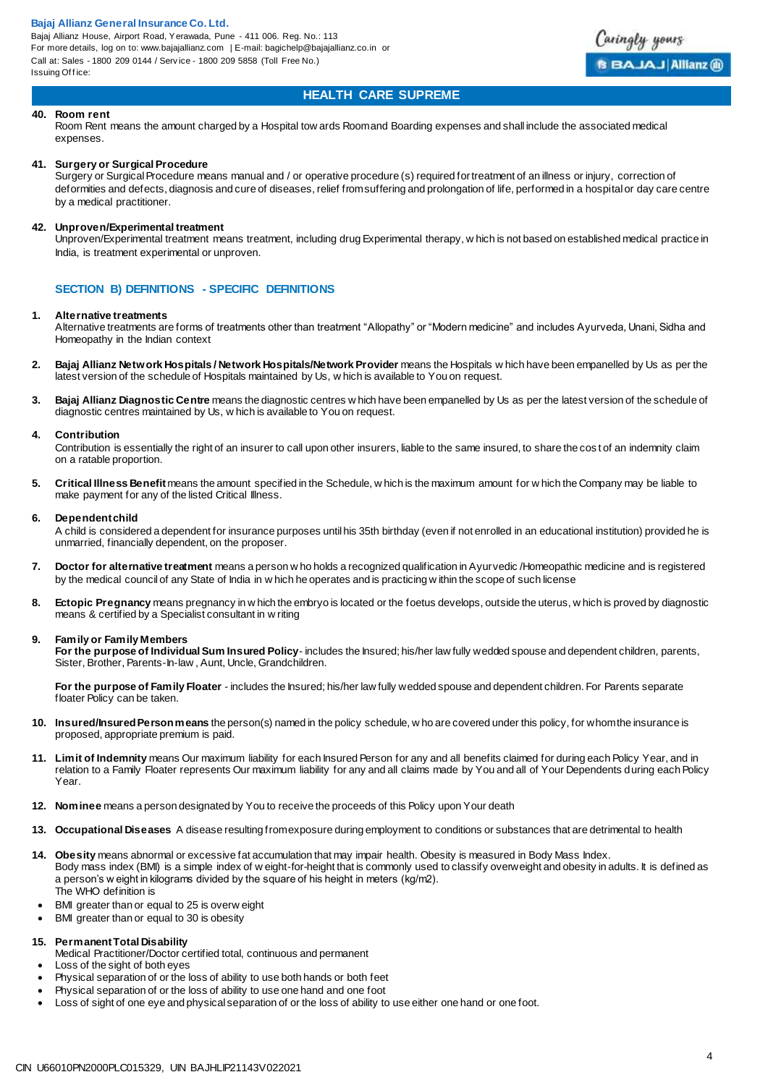Bajaj Allianz House, Airport Road, Yerawada, Pune - 411 006. Reg. No.: 113 For more details, log on to: www.bajajallianz.com | E-mail: bagichelp@bajajallianz.co.in or Call at: Sales - 1800 209 0144 / Serv ice - 1800 209 5858 (Toll Free No.) Issuing Office:



## **HEALTH CARE SUPREME**

#### **40. Room rent**

Room Rent means the amount charged by a Hospital tow ards Room and Boarding expenses and shall include the associated medical expenses.

#### **41. Surgery or Surgical Procedure**

Surgery or Surgical Procedure means manual and / or operative procedure (s) required for treatment of an illness or injury, correction of deformities and defects, diagnosis and cure of diseases, relief from suffering and prolongation of life, performed in a hospital or day care centre by a medical practitioner.

#### **42. Unproven/Experimental treatment**

Unproven/Experimental treatment means treatment, including drug Experimental therapy, w hich is not based on established medical practice in India, is treatment experimental or unproven.

### **SECTION B) DEFINITIONS - SPECIFIC DEFINITIONS**

#### **1. Alternative treatments**

Alternative treatments are forms of treatments other than treatment "Allopathy" or "Modern medicine" and includes Ayurveda, Unani, Sidha and Homeopathy in the Indian context

- **2. Bajaj Allianz Network Hospitals / Network Hospitals/Network Provider** means the Hospitals w hich have been empanelled by Us as per the latest version of the schedule of Hospitals maintained by Us, w hich is available to You on request.
- **3. Bajaj Allianz Diagnostic Centre** means the diagnostic centres w hich have been empanelled by Us as per the latest version of the schedule of diagnostic centres maintained by Us, w hich is available to You on request.

#### **4. Contribution**

Contribution is essentially the right of an insurer to call upon other insurers, liable to the same insured, to share the cost of an indemnity claim on a ratable proportion.

**5. Critical Illness Benefit** means the amount specified in the Schedule, w hich is the maximum amount for w hich the Company may be liable to make payment for any of the listed Critical Illness.

#### **6. Dependent child**

A child is considered a dependent for insurance purposes until his 35th birthday (even if not enrolled in an educational institution) provided he is unmarried, financially dependent, on the proposer.

- **7. Doctor for alternative treatment** means a person w ho holds a recognized qualification in Ayurvedic /Homeopathic medicine and is registered by the medical council of any State of India in w hich he operates and is practicing w ithin the scope of such license
- **8. Ectopic Pregnancy** means pregnancy in w hich the embryo is located or the foetus develops, outside the uterus, w hich is proved by diagnostic means & certified by a Specialist consultant in w riting

#### **9. Family or Family Members**

**For the purpose of Individual Sum Insured Policy**- includes the Insured; his/her law fully wedded spouse and dependent children, parents, Sister, Brother, Parents-In-law , Aunt, Uncle, Grandchildren.

**For the purpose of Family Floater** - includes the Insured; his/her law fully wedded spouse and dependent children. For Parents separate floater Policy can be taken.

- **10. Insured/Insured Person means** the person(s) named in the policy schedule, w ho are covered under this policy, for whom the insurance is proposed, appropriate premium is paid.
- **11. Limit of Indemnity** means Our maximum liability for each Insured Person for any and all benefits claimed for during each Policy Year, and in relation to a Family Floater represents Our maximum liability for any and all claims made by You and all of Your Dependents during each Policy Year.
- **12. Nominee** means a person designated by You to receive the proceeds of this Policy upon Your death
- **13. Occupational Diseases** A disease resulting from exposure during employment to conditions or substances that are detrimental to health
- **14. Obesity** means abnormal or excessive fat accumulation that may impair health. Obesity is measured in Body Mass Index. Body mass index (BMI) is a simple index of w eight-for-height that is commonly used to classify overweight and obesity in adults. It is defined as a person's w eight in kilograms divided by the square of his height in meters (kg/m2). The WHO definition is
- BMI greater than or equal to 25 is overw eight
- BMI greater than or equal to 30 is obesity

#### **15. Permanent Total Disability**

- Medical Practitioner/Doctor certified total, continuous and permanent Loss of the sight of both eyes
- Physical separation of or the loss of ability to use both hands or both feet
- Physical separation of or the loss of ability to use one hand and one foot
- Loss of sight of one eye and physical separation of or the loss of ability to use either one hand or one foot.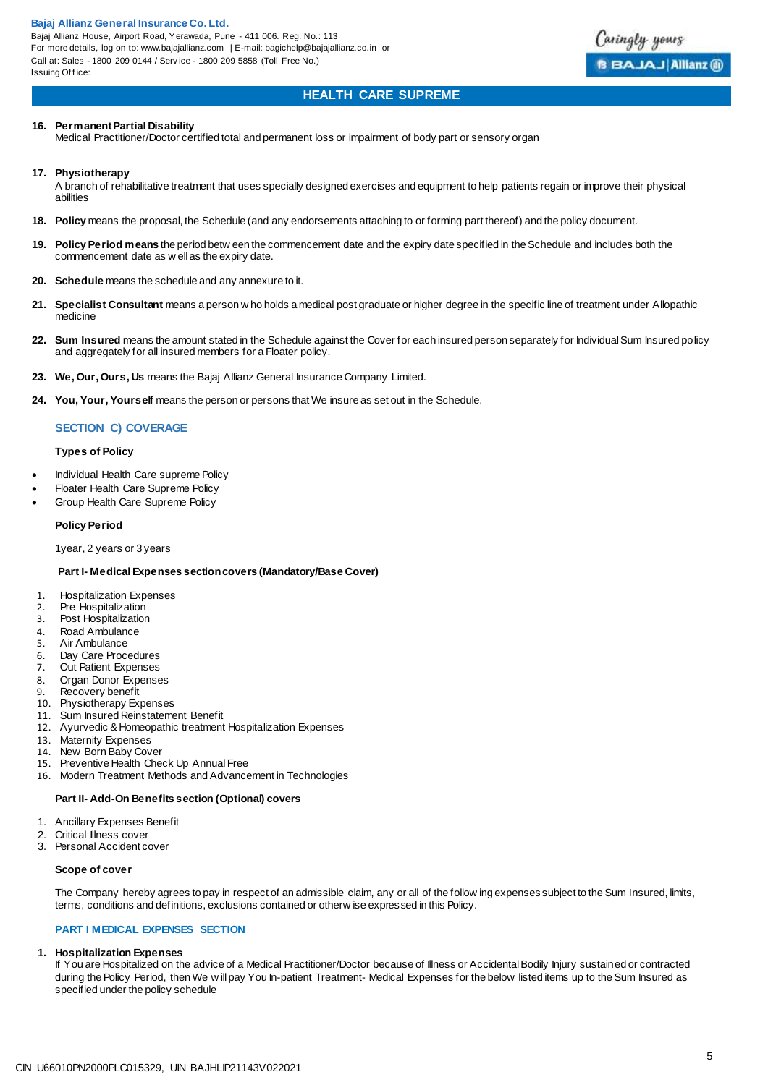**Bajaj Allianz General Insurance Co. Ltd.**  Bajaj Allianz House, Airport Road, Yerawada, Pune - 411 006. Reg. No.: 113 For more details, log on to: www.bajajallianz.com | E-mail: bagichelp@bajajallianz.co.in or Call at: Sales - 1800 209 0144 / Serv ice - 1800 209 5858 (Toll Free No.) Issuing Office:



## **HEALTH CARE SUPREME**

#### **16. Permanent Partial Disability**

Medical Practitioner/Doctor certified total and permanent loss or impairment of body part or sensory organ

#### **17. Physiotherapy**

A branch of rehabilitative treatment that uses specially designed exercises and equipment to help patients regain or improve their physical abilities

- **18. Policy** means the proposal, the Schedule (and any endorsements attaching to or forming part thereof) and the policy document.
- **19. Policy Period means** the period betw een the commencement date and the expiry date specified in the Schedule and includes both the commencement date as w ell as the expiry date.
- **20. Schedule** means the schedule and any annexure to it.
- **21. Specialist Consultant** means a person w ho holds a medical post graduate or higher degree in the specific line of treatment under Allopathic medicine
- **22. Sum Insured** means the amount stated in the Schedule against the Cover for each insured person separately for Individual Sum Insured policy and aggregately for all insured members for a Floater policy.
- **23. We, Our, Ours, Us** means the Bajaj Allianz General Insurance Company Limited.
- **24. You, Your, Yourself** means the person or persons that We insure as set out in the Schedule.

#### **SECTION C) COVERAGE**

#### **Types of Policy**

- Individual Health Care supreme Policy
- Floater Health Care Supreme Policy
- Group Health Care Supreme Policy

#### **Policy Period**

1year, 2 years or 3 years

#### **Part I- Medical Expenses section covers (Mandatory/Base Cover)**

- 1. Hospitalization Expenses
- 2. Pre Hospitalization
- 3. Post Hospitalization
- 4. Road Ambulance<br>5. Air Ambulance
- Air Ambulance
- 6. Day Care Procedures<br>7. Out Patient Expenses
- Out Patient Expenses
- 8. Organ Donor Expenses
- 9. Recovery benefit
- 10. Physiotherapy Expenses<br>11. Sum Insured Reinstateme
- Sum Insured Reinstatement Benefit
- 12. Ayurvedic & Homeopathic treatment Hospitalization Expenses
- 13. Maternity Expenses
- 14. New Born Baby Cover
- 15. Preventive Health Check Up Annual Free
- 16. Modern Treatment Methods and Advancement in Technologies

#### **Part II- Add-On Benefits section (Optional) covers**

- 1. Ancillary Expenses Benefit
- 2. Critical Illness cover<br>3. Personal Accident c
- Personal Accident cover

#### **Scope of cover**

The Company hereby agrees to pay in respect of an admissible claim, any or all of the follow ing expenses subject to the Sum Insured, limits, terms, conditions and definitions, exclusions contained or otherw ise expressed in this Policy.

#### **PART I MEDICAL EXPENSES SECTION**

#### **1. Hospitalization Expenses**

If You are Hospitalized on the advice of a Medical Practitioner/Doctor because of Illness or Accidental Bodily Injury sustained or contracted during the Policy Period, then We w ill pay You In-patient Treatment- Medical Expenses for the below listed items up to the Sum Insured as specified under the policy schedule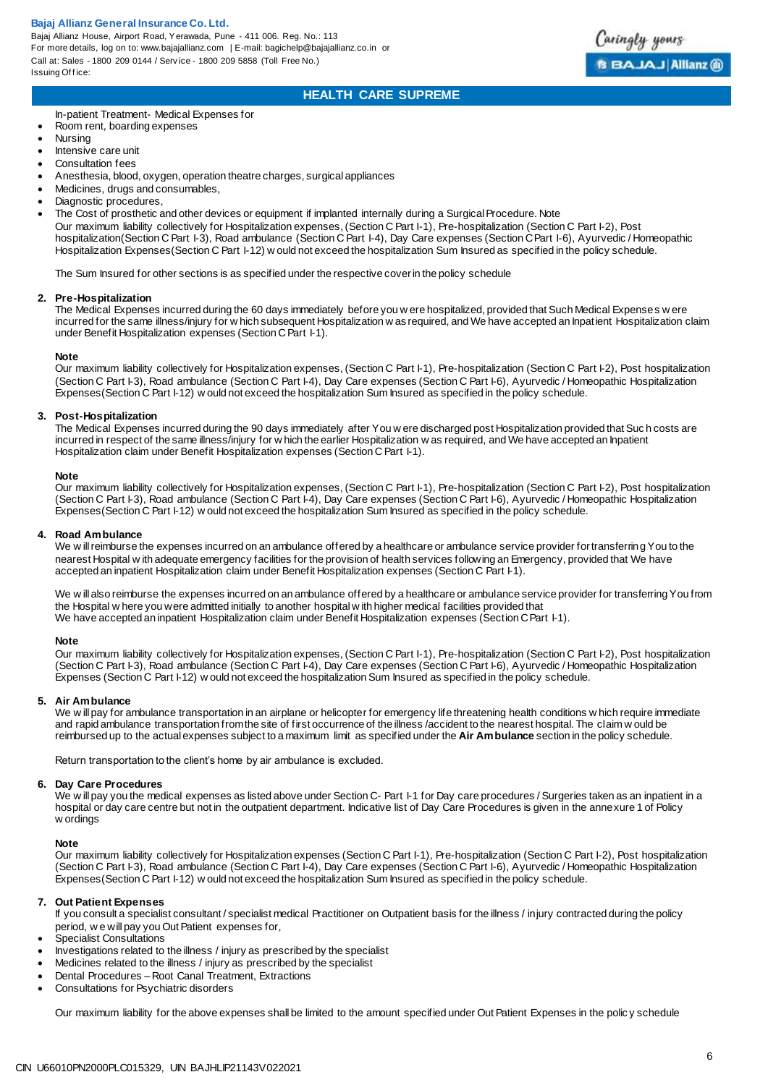Bajaj Allianz House, Airport Road, Yerawada, Pune - 411 006. Reg. No.: 113 For more details, log on to: www.bajajallianz.com | E-mail: bagichelp@bajajallianz.co.in or Call at: Sales - 1800 209 0144 / Serv ice - 1800 209 5858 (Toll Free No.) Issuing Office:

## **HEALTH CARE SUPREME**

In-patient Treatment- Medical Expenses for

- Room rent, boarding expenses
- Nursing
- Intensive care unit
- Consultation fees
- Anesthesia, blood, oxygen, operation theatre charges, surgical appliances
- Medicines, drugs and consumables,
- Diagnostic procedures,
- The Cost of prosthetic and other devices or equipment if implanted internally during a Surgical Procedure. Note

Our maximum liability collectively for Hospitalization expenses, (Section C Part I-1), Pre-hospitalization (Section C Part I-2), Post hospitalization(Section C Part I-3), Road ambulance (Section C Part I-4), Day Care expenses (Section C Part I-6), Ayurvedic / Homeopathic Hospitalization Expenses(Section C Part I-12) w ould not exceed the hospitalization Sum Insured as specified in the policy schedule.

The Sum Insured for other sections is as specified under the respective cover in the policy schedule

#### **2. Pre-Hospitalization**

The Medical Expenses incurred during the 60 days immediately before you w ere hospitalized, provided that Such Medical Expenses w ere incurred for the same illness/injury for w hich subsequent Hospitalization w as required, and We have accepted an Inpatient Hospitalization claim under Benefit Hospitalization expenses (Section C Part I-1).

#### **Note**

Our maximum liability collectively for Hospitalization expenses, (Section C Part I-1), Pre-hospitalization (Section C Part I-2), Post hospitalization (Section C Part I-3), Road ambulance (Section C Part I-4), Day Care expenses (Section C Part I-6), Ayurvedic / Homeopathic Hospitalization Expenses(Section C Part I-12) w ould not exceed the hospitalization Sum Insured as specified in the policy schedule.

#### **3. Post-Hospitalization**

The Medical Expenses incurred during the 90 days immediately after You w ere discharged post Hospitalization provided that Suc h costs are incurred in respect of the same illness/injury for w hich the earlier Hospitalization w as required, and We have accepted an Inpatient Hospitalization claim under Benefit Hospitalization expenses (Section C Part I-1).

#### **Note**

Our maximum liability collectively for Hospitalization expenses, (Section C Part I-1), Pre-hospitalization (Section C Part I-2), Post hospitalization (Section C Part I-3), Road ambulance (Section C Part I-4), Day Care expenses (Section C Part I-6), Ayurvedic / Homeopathic Hospitalization Expenses(Section C Part I-12) w ould not exceed the hospitalization Sum Insured as specified in the policy schedule.

#### **4. Road Ambulance**

We w ill reimburse the expenses incurred on an ambulance offered by a healthcare or ambulance service provider for transferring You to the nearest Hospital w ith adequate emergency facilities for the provision of health services following an Emergency, provided that We have accepted an inpatient Hospitalization claim under Benefit Hospitalization expenses (Section C Part I-1).

We w ill also reimburse the expenses incurred on an ambulance offered by a healthcare or ambulance service provider for transferring You from the Hospital w here you were admitted initially to another hospital w ith higher medical facilities provided that We have accepted an inpatient Hospitalization claim under Benefit Hospitalization expenses (Section C Part I-1).

#### **Note**

Our maximum liability collectively for Hospitalization expenses, (Section C Part I-1), Pre-hospitalization (Section C Part I-2), Post hospitalization (Section C Part I-3), Road ambulance (Section C Part I-4), Day Care expenses (Section C Part I-6), Ayurvedic / Homeopathic Hospitalization Expenses (Section C Part I-12) w ould not exceed the hospitalization Sum Insured as specified in the policy schedule.

#### **5. Air Ambulance**

We w ill pay for ambulance transportation in an airplane or helicopter for emergency life threatening health conditions w hich require immediate and rapid ambulance transportation from the site of first occurrence of the illness /accident to the nearest hospital. The claim w ould be reimbursed up to the actual expenses subject to a maximum limit as specified under the **Air Ambulance** section in the policy schedule.

Return transportation to the client's home by air ambulance is excluded.

#### **6. Day Care Procedures**

We will pay you the medical expenses as listed above under Section C- Part I-1 for Day care procedures / Surgeries taken as an inpatient in a hospital or day care centre but not in the outpatient department. Indicative list of Day Care Procedures is given in the annexure 1 of Policy w ordings

#### **Note**

Our maximum liability collectively for Hospitalization expenses (Section C Part I-1), Pre-hospitalization (Section C Part I-2), Post hospitalization (Section C Part I-3), Road ambulance (Section C Part I-4), Day Care expenses (Section C Part I-6), Ayurvedic / Homeopathic Hospitalization Expenses(Section C Part I-12) w ould not exceed the hospitalization Sum Insured as specified in the policy schedule.

#### **7. Out Patient Expenses**

If you consult a specialist consultant / specialist medical Practitioner on Outpatient basis for the illness / injury contracted during the policy period, w e will pay you Out Patient expenses for,

- Specialist Consultations
- Investigations related to the illness / injury as prescribed by the specialist
- Medicines related to the illness / injury as prescribed by the specialist
- Dental Procedures Root Canal Treatment, Extractions
- Consultations for Psychiatric disorders

Our maximum liability for the above expenses shall be limited to the amount specified under Out Patient Expenses in the polic y schedule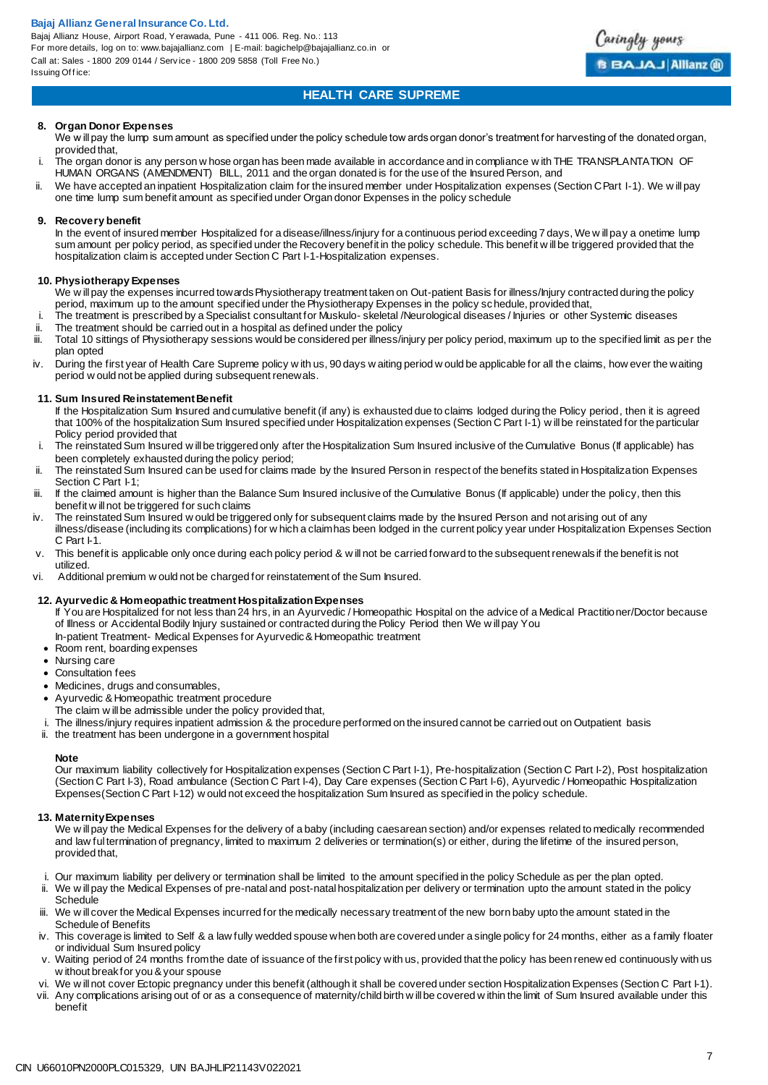Bajaj Allianz House, Airport Road, Yerawada, Pune - 411 006. Reg. No.: 113 For more details, log on to: www.bajajallianz.com | E-mail: bagichelp@bajajallianz.co.in or Call at: Sales - 1800 209 0144 / Serv ice - 1800 209 5858 (Toll Free No.) Issuing Office:



## **HEALTH CARE SUPREME**

#### **8. Organ Donor Expenses**

We will pay the lump sum amount as specified under the policy schedule tow ards organ donor's treatment for harvesting of the donated organ, provided that,

- i. The organ donor is any person w hose organ has been made available in accordance and in compliance w ith THE TRANSPLANTATION OF HUMAN ORGANS (AMENDMENT) BILL, 2011 and the organ donated is for the use of the Insured Person, and
- ii. We have accepted an inpatient Hospitalization claim for the insured member under Hospitalization expenses (Section C Part I-1). We w ill pay one time lump sum benefit amount as specified under Organ donor Expenses in the policy schedule

#### **9. Recovery benefit**

In the event of insured member Hospitalized for a disease/illness/injury for a continuous period exceeding 7 days, We w ill pay a onetime lump sum amount per policy period, as specified under the Recovery benefit in the policy schedule. This benefit w ill be triggered provided that the hospitalization claim is accepted under Section C Part I-1-Hospitalization expenses.

#### **10. Physiotherapy Expenses**

We w ill pay the expenses incurred towards Physiotherapy treatment taken on Out-patient Basis for illness/Injury contracted during the policy period, maximum up to the amount specified under the Physiotherapy Expenses in the policy schedule, provided that,

i. The treatment is prescribed by a Specialist consultant for Muskulo- skeletal /Neurological diseases / Injuries or other Systemic diseases ii. The treatment should be carried out in a hospital as defined under the policy<br>iii Total 10 sittings of Physiotherany sessions would be considered per illness/i

- Total 10 sittings of Physiotherapy sessions would be considered per illness/injury per policy period, maximum up to the specified limit as per the plan opted
- iv. During the first year of Health Care Supreme policy w ith us, 90 days w aiting period w ould be applicable for all the claims, how ever the waiting period w ould not be applied during subsequent renewals.

#### **11. Sum Insured Reinstatement Benefit**

If the Hospitalization Sum Insured and cumulative benefit (if any) is exhausted due to claims lodged during the Policy period, then it is agreed that 100% of the hospitalization Sum Insured specified under Hospitalization expenses (Section C Part I-1) w ill be reinstated for the particular Policy period provided that

- i. The reinstated Sum Insured w ill be triggered only after the Hospitalization Sum Insured inclusive of the Cumulative Bonus (If applicable) has been completely exhausted during the policy period;
- ii. The reinstated Sum Insured can be used for claims made by the Insured Person in respect of the benefits stated in Hospitalization Expenses Section C Part I-1:
- iii. If the claimed amount is higher than the Balance Sum Insured inclusive of the Cumulative Bonus (If applicable) under the policy, then this benefit w ill not be triggered for such claims
- iv. The reinstated Sum Insured w ould be triggered only for subsequent claims made by the Insured Person and not arising out of any illness/disease (including its complications) for w hich a claim has been lodged in the current policy year under Hospitalization Expenses Section C. Part I-1.
- v. This benefit is applicable only once during each policy period & w ill not be carried forward to the subsequent renewals if the benefit is not utilized.
- vi. Additional premium w ould not be charged for reinstatement of the Sum Insured.

#### **12. Ayurvedic & Homeopathic treatment Hospitalization Expenses**

If You are Hospitalized for not less than 24 hrs, in an Ayurvedic / Homeopathic Hospital on the advice of a Medical Practitioner/Doctor because of Illness or Accidental Bodily Injury sustained or contracted during the Policy Period then We w ill pay You In-patient Treatment- Medical Expenses for Ayurvedic & Homeopathic treatment

- Room rent, boarding expenses
- Nursing care
- Consultation fees
- Medicines, drugs and consumables,
- Ayurvedic & Homeopathic treatment procedure
- The claim w ill be admissible under the policy provided that,
- The illness/injury requires inpatient admission & the procedure performed on the insured cannot be carried out on Outpatient basis
- ii. the treatment has been undergone in a government hospital

#### **Note**

Our maximum liability collectively for Hospitalization expenses (Section C Part I-1), Pre-hospitalization (Section C Part I-2), Post hospitalization (Section C Part I-3), Road ambulance (Section C Part I-4), Day Care expenses (Section C Part I-6), Ayurvedic / Homeopathic Hospitalization Expenses(Section C Part I-12) w ould not exceed the hospitalization Sum Insured as specified in the policy schedule.

#### **13. Maternity Expenses**

We w ill pay the Medical Expenses for the delivery of a baby (including caesarean section) and/or expenses related to medically recommended and law ful termination of pregnancy, limited to maximum 2 deliveries or termination(s) or either, during the lifetime of the insured person, provided that,

- i. Our maximum liability per delivery or termination shall be limited to the amount specified in the policy Schedule as per the plan opted.
- ii. We w ill pay the Medical Expenses of pre-natal and post-natal hospitalization per delivery or termination upto the amount stated in the policy Schedule
- iii. We w ill cover the Medical Expenses incurred for the medically necessary treatment of the new born baby upto the amount stated in the Schedule of Benefits
- iv. This coverage is limited to Self & a law fully wedded spouse when both are covered under a single policy for 24 months, either as a family floater or individual Sum Insured policy
- v. Waiting period of 24 months from the date of issuance of the first policy with us, provided that the policy has been renew ed continuously with us w ithout break for you & your spouse
- vi. We w ill not cover Ectopic pregnancy under this benefit (although it shall be covered under section Hospitalization Expenses (Section C Part I-1).
- vii. Any complications arising out of or as a consequence of maternity/child birth w ill be covered w ithin the limit of Sum Insured available under this benefit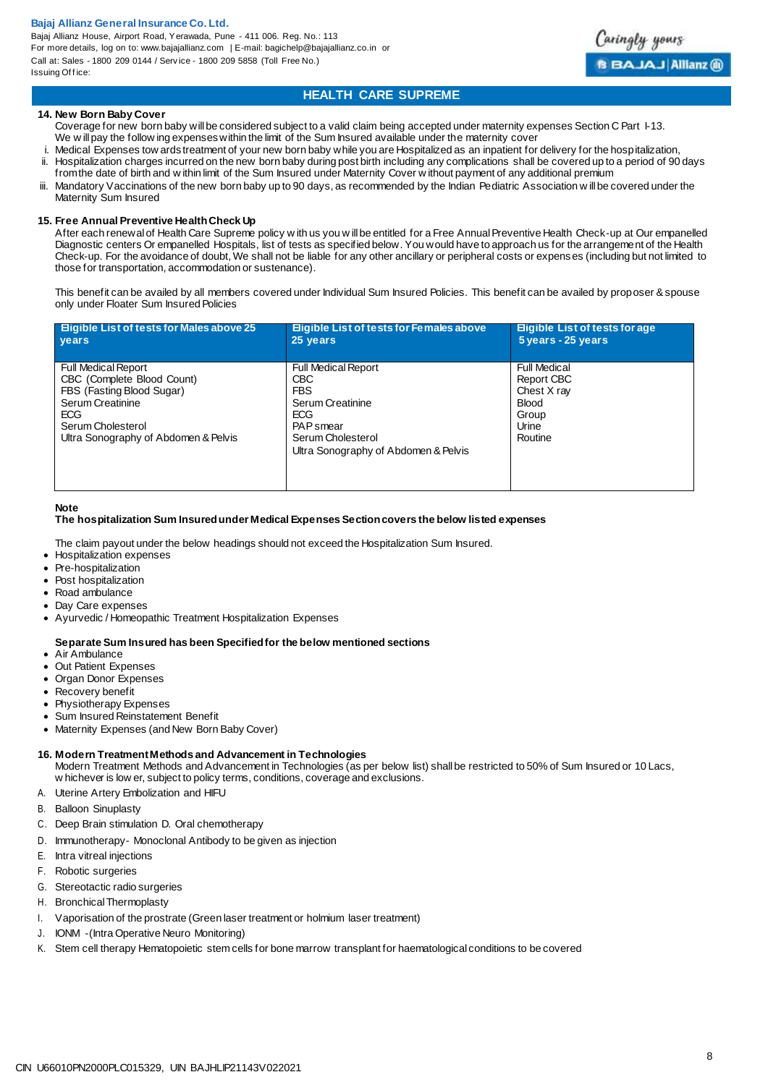Bajaj Allianz House, Airport Road, Yerawada, Pune - 411 006. Reg. No.: 113 For more details, log on to: www.bajajallianz.com | E-mail: bagichelp@bajajallianz.co.in or Call at: Sales - 1800 209 0144 / Serv ice - 1800 209 5858 (Toll Free No.) Issuing Office:



## **HEALTH CARE SUPREME**

#### **14. New Born Baby Cover**

- Coverage for new born baby will be considered subject to a valid claim being accepted under maternity expenses Section C Part 1-13. We w ill pay the follow ing expenses within the limit of the Sum Insured available under the maternity cover
- i. Medical Expenses tow ards treatment of your new born baby while you are Hospitalized as an inpatient for delivery for the hospitalization,<br>ii. Hospitalization charges incurred on the new born baby during post birth incl Hospitalization charges incurred on the new born baby during post birth including any complications shall be covered up to a period of 90 days from the date of birth and w ithin limit of the Sum Insured under Maternity Cover w ithout payment of any additional premium
- Mandatory Vaccinations of the new born baby up to 90 days, as recommended by the Indian Pediatric Association w ill be covered under the Maternity Sum Insured

#### **15. Free Annual Preventive Health Check Up**

After each renewal of Health Care Supreme policy w ith us you w ill be entitled for a Free Annual Preventive Health Check-up at Our empanelled Diagnostic centers Or empanelled Hospitals, list of tests as specified below. You would have to approach us for the arrangement of the Health Check-up. For the avoidance of doubt, We shall not be liable for any other ancillary or peripheral costs or expens es (including but not limited to those for transportation, accommodation or sustenance).

This benefit can be availed by all members covered under Individual Sum Insured Policies. This benefit can be availed by proposer & spouse only under Floater Sum Insured Policies

| <b>Eligible List of tests for Males above 25</b>                                                                                                                                     | <b>Eligible List of tests for Females above</b>                                                                                                                    | <b>Eligible List of tests for age</b>                                                  |
|--------------------------------------------------------------------------------------------------------------------------------------------------------------------------------------|--------------------------------------------------------------------------------------------------------------------------------------------------------------------|----------------------------------------------------------------------------------------|
| vears                                                                                                                                                                                | 25 years                                                                                                                                                           | 5 years - 25 years                                                                     |
| <b>Full Medical Report</b><br>CBC (Complete Blood Count)<br>FBS (Fasting Blood Sugar)<br>Serum Creatinine<br><b>ECG</b><br>Serum Cholesterol<br>Ultra Sonography of Abdomen & Pelvis | <b>Full Medical Report</b><br><b>CBC</b><br><b>FBS</b><br>Serum Creatinine<br>ECG<br><b>PAP</b> smear<br>Serum Cholesterol<br>Ultra Sonography of Abdomen & Pelvis | Full Medical<br><b>Report CBC</b><br>Chest X ray<br>Blood<br>Group<br>Urine<br>Routine |

#### **Note**

#### **The hospitalization Sum Insured under Medical Expenses Section covers the below listed expenses**

The claim payout under the below headings should not exceed the Hospitalization Sum Insured.

- Hospitalization expenses
- Pre-hospitalization
- Post hospitalization
- Road ambulance
- Day Care expenses
- 
- Ayurvedic / Homeopathic Treatment Hospitalization Expenses

#### **Separate Sum Insured has been Specified for the below mentioned sections**

- Air Ambulance
- Out Patient Expenses
- Organ Donor Expenses
- Recovery benefit
- Physiotherapy Expenses
- Sum Insured Reinstatement Benefit
- Maternity Expenses (and New Born Baby Cover)
- **16. Modern Treatment Methods and Advancement in Technologies**

Modern Treatment Methods and Advancement in Technologies (as per below list) shall be restricted to 50% of Sum Insured or 10 Lacs, w hichever is low er, subject to policy terms, conditions, coverage and exclusions.

- A. Uterine Artery Embolization and HIFU
- B. Balloon Sinuplasty
- C. Deep Brain stimulation D. Oral chemotherapy
- D. Immunotherapy- Monoclonal Antibody to be given as injection
- E. Intra vitreal injections
- F. Robotic surgeries
- G. Stereotactic radio surgeries
- H. Bronchical Thermoplasty
- I. Vaporisation of the prostrate (Green laser treatment or holmium laser treatment)
- J. IONM -(Intra Operative Neuro Monitoring)
- K. Stem cell therapy Hematopoietic stem cells for bone marrow transplant for haematological conditions to be covered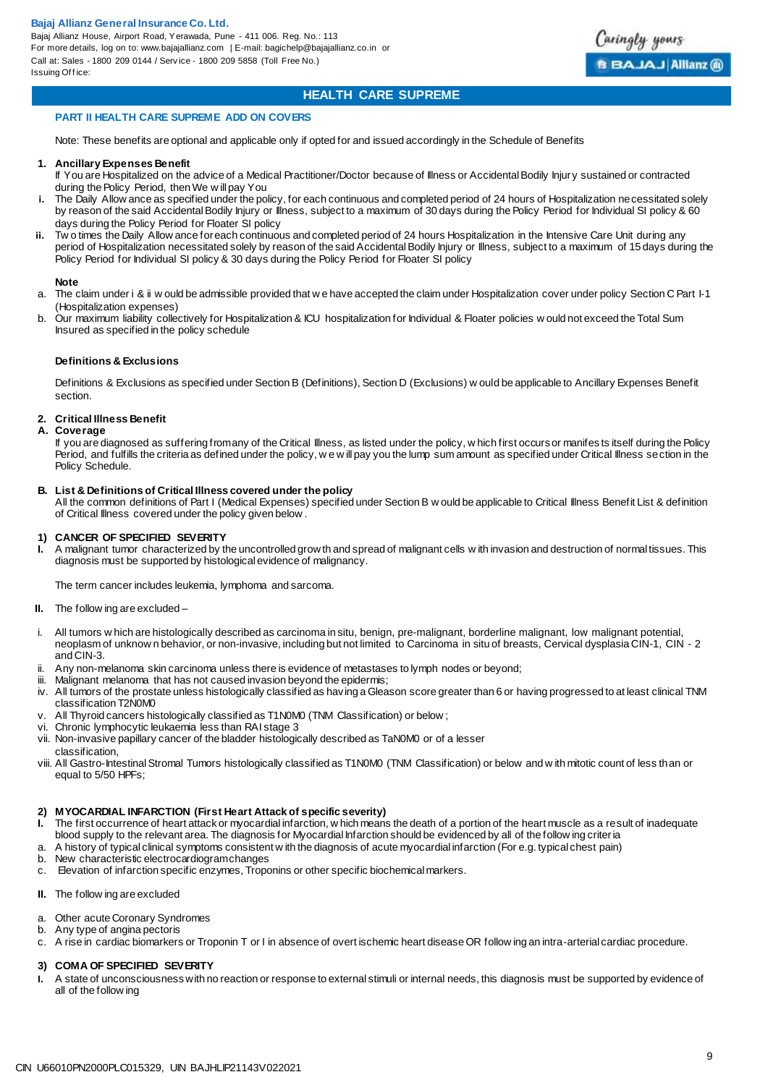Bajaj Allianz House, Airport Road, Yerawada, Pune - 411 006. Reg. No.: 113 For more details, log on to: www.bajajallianz.com | E-mail: bagichelp@bajajallianz.co.in or Call at: Sales - 1800 209 0144 / Serv ice - 1800 209 5858 (Toll Free No.) Issuing Office:



## **HEALTH CARE SUPREME**

#### **PART II HEALTH CARE SUPREME ADD ON COVERS**

Note: These benefits are optional and applicable only if opted for and issued accordingly in the Schedule of Benefits

#### **1. Ancillary Expenses Benefit**

- If You are Hospitalized on the advice of a Medical Practitioner/Doctor because of Illness or Accidental Bodily Injury sustained or contracted during the Policy Period, then We w ill pay You
- **i.** The Daily Allow ance as specified under the policy, for each continuous and completed period of 24 hours of Hospitalization necessitated solely by reason of the said Accidental Bodily Injury or Illness, subject to a maximum of 30 days during the Policy Period for Individual SI policy & 60 days during the Policy Period for Floater SI policy
- **ii.** Tw o times the Daily Allow ance for each continuous and completed period of 24 hours Hospitalization in the Intensive Care Unit during any period of Hospitalization necessitated solely by reason of the said Accidental Bodily Injury or Illness, subject to a maximum of 15 days during the Policy Period for Individual SI policy & 30 days during the Policy Period for Floater SI policy

#### **Note**

- a. The claim under i & ii w ould be admissible provided that w e have accepted the claim under Hospitalization cover under policy Section C Part I-1 (Hospitalization expenses)
- b. Our maximum liability collectively for Hospitalization & ICU hospitalization for Individual & Floater policies w ould not exceed the Total Sum Insured as specified in the policy schedule

#### **Definitions & Exclusions**

Definitions & Exclusions as specified under Section B (Definitions), Section D (Exclusions) w ould be applicable to Ancillary Expenses Benefit section.

#### **2. Critical Illness Benefit**

#### **A. Coverage**

If you are diagnosed as suffering from any of the Critical Illness, as listed under the policy, w hich first occurs or manifes ts itself during the Policy Period, and fulfills the criteria as defined under the policy, we will pay you the lump sum amount as specified under Critical Illness section in the Policy Schedule.

#### **B. List & Definitions of Critical Illness covered under the policy**

All the common definitions of Part I (Medical Expenses) specified under Section B w ould be applicable to Critical Illness Benefit List & definition of Critical Illness covered under the policy given below .

## **1) CANCER OF SPECIFIED SEVERITY**

**I.** A malignant tumor characterized by the uncontrolled grow th and spread of malignant cells w ith invasion and destruction of normal tissues. This diagnosis must be supported by histological evidence of malignancy.

The term cancer includes leukemia, lymphoma and sarcoma.

- **II.** The follow ing are excluded –
- i. All tumors w hich are histologically described as carcinoma in situ, benign, pre-malignant, borderline malignant, low malignant potential, neoplasm of unknow n behavior, or non-invasive, including but not limited to Carcinoma in situ of breasts, Cervical dysplasia CIN-1, CIN - 2 and CIN-3.
- ii. Any non-melanoma skin carcinoma unless there is evidence of metastases to lymph nodes or beyond;
- iii. Malignant melanoma that has not caused invasion beyond the epidermis;
- iv. All tumors of the prostate unless histologically classified as having a Gleason score greater than 6 or having progressed to at least clinical TNM classification T2N0M0
- All Thyroid cancers histologically classified as T1N0M0 (TNM Classification) or below;
- vi. Chronic lymphocytic leukaemia less than RAI stage 3
- vii. Non-invasive papillary cancer of the bladder histologically described as TaN0M0 or of a lesser classification,
- viii. All Gastro-Intestinal Stromal Tumors histologically classified as T1N0M0 (TNM Classification) or below and w ith mitotic count of less than or equal to 5/50 HPFs;

#### **2) MYOCARDIAL INFARCTION (First Heart Attack of specific severity)**

- **I.** The first occurrence of heart attack or myocardial infarction, w hich means the death of a portion of the heart muscle as a result of inadequate blood supply to the relevant area. The diagnosis for Myocardial Infarction should be evidenced by all of the follow ing criteria
- a. A history of typical clinical symptoms consistent w ith the diagnosis of acute myocardial infarction (For e.g. typical chest pain)
- b. New characteristic electrocardiogram changes
- c. Elevation of infarction specific enzymes, Troponins or other specific biochemical markers.
- **II.** The follow ing are excluded
- a. Other acute Coronary Syndromes
- b. Any type of angina pectoris
- c. A rise in cardiac biomarkers or Troponin T or I in absence of overt ischemic heart disease OR follow ing an intra-arterial cardiac procedure.

#### **3) COMA OF SPECIFIED SEVERITY**

**I.** A state of unconsciousness with no reaction or response to external stimuli or internal needs, this diagnosis must be supported by evidence of all of the follow ing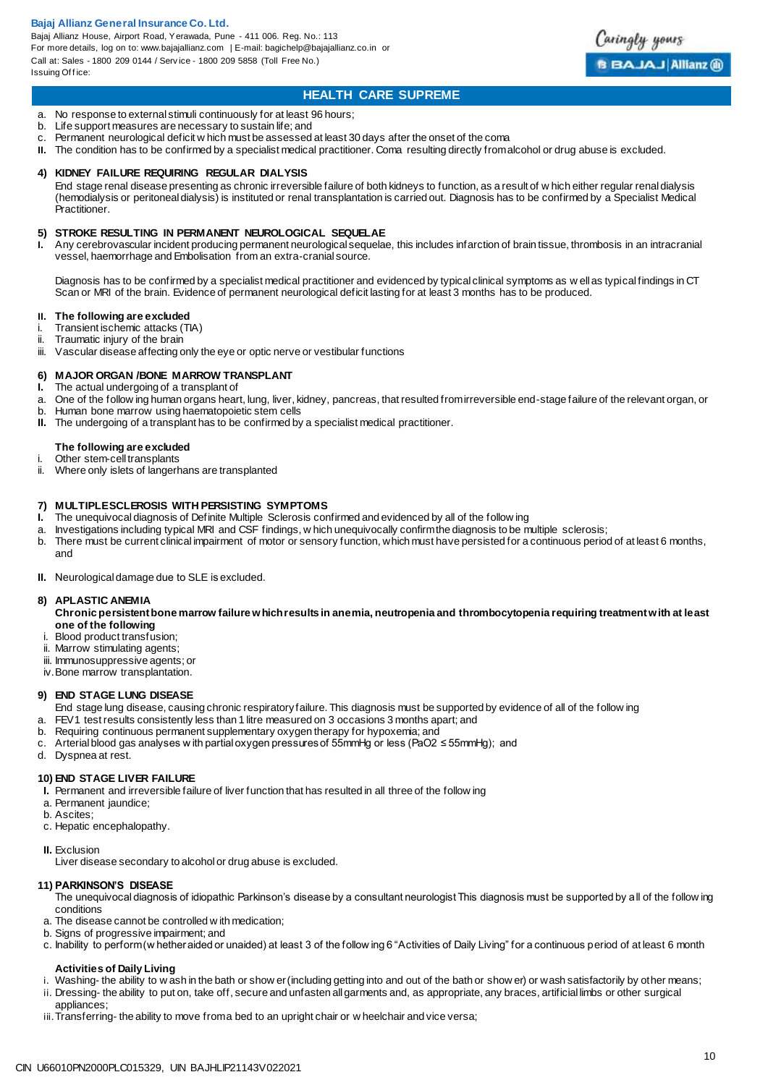Bajaj Allianz House, Airport Road, Yerawada, Pune - 411 006. Reg. No.: 113 For more details, log on to: www.bajajallianz.com | E-mail: bagichelp@bajajallianz.co.in or Call at: Sales - 1800 209 0144 / Serv ice - 1800 209 5858 (Toll Free No.) Issuing Office:



## **HEALTH CARE SUPREME**

- a. No response to external stimuli continuously for at least 96 hours;
- Life support measures are necessary to sustain life; and
- c. Permanent neurological deficit w hich must be assessed at least 30 days after the onset of the coma
- **II.** The condition has to be confirmed by a specialist medical practitioner. Coma resulting directly from alcohol or drug abuse is excluded.

#### **4) KIDNEY FAILURE REQUIRING REGULAR DIALYSIS**

End stage renal disease presenting as chronic irreversible failure of both kidneys to function, as a result of w hich either regular renal dialysis (hemodialysis or peritoneal dialysis) is instituted or renal transplantation is carried out. Diagnosis has to be confirmed by a Specialist Medical Practitioner.

## **5) STROKE RESULTING IN PERMANENT NEUROLOGICAL SEQUELAE**<br>**1.** Any cerebrovascular incident producing permanent neurological sequela

**I.** Any cerebrovascular incident producing permanent neurological sequelae, this includes infarction of brain tissue, thrombosis in an intracranial vessel, haemorrhage and Embolisation from an extra-cranial source.

Diagnosis has to be confirmed by a specialist medical practitioner and evidenced by typical clinical symptoms as w ell as typical findings in CT Scan or MRI of the brain. Evidence of permanent neurological deficit lasting for at least 3 months has to be produced.

- **II. The following are excluded** i. Transient ischemic attacks (TIA)<br>ii Traumatic injury of the brain
- Traumatic injury of the brain
- iii. Vascular disease affecting only the eye or optic nerve or vestibular functions

## **6) MAJOR ORGAN /BONE MARROW TRANSPLANT**

- **I.** The actual undergoing of a transplant of
- a. One of the follow ing human organs heart, lung, liver, kidney, pancreas, that resulted from irreversible end-stage failure of the relevant organ, or
- b. Human bone marrow using haematopoietic stem cells
- **II.** The undergoing of a transplant has to be confirmed by a specialist medical practitioner.

#### **The following are excluded**

- i. Other stem-cell transplants<br>ii. Where only islets of langerh
- Where only islets of langerhans are transplanted

#### **7) MULTIPLE SCLEROSIS WITH PERSISTING SYMPTOMS**

- **I.** The unequivocal diagnosis of Definite Multiple Sclerosis confirmed and evidenced by all of the follow ing
- a. Investigations including typical MRI and CSF findings, w hich unequivocally confirm the diagnosis to be multiple sclerosis;<br>b. There must be current clinical impairment of motor or sensory function, which must have pers
- There must be current clinical impairment of motor or sensory function, which must have persisted for a continuous period of at least 6 months, and
- **II.** Neurological damage due to SLE is excluded.

#### **8) APLASTIC ANEMIA**

- **Chronic persistent bone marrow failure which results in anemia, neutropenia and thrombocytopenia requiring treatment with at least one of the following**
- i. Blood product transfusion;
- ii. Marrow stimulating agents;
- iii. Immunosuppressive agents; or
- iv. Bone marrow transplantation.

#### **9) END STAGE LUNG DISEASE**

- End stage lung disease, causing chronic respiratory failure. This diagnosis must be supported by evidence of all of the follow ing
- a. FEV1 test results consistently less than 1 litre measured on 3 occasions 3 months apart; and
- b. Requiring continuous permanent supplementary oxygen therapy for hypoxemia; and
- c. Arterial blood gas analyses w ith partial oxygen pressures of 55mmHg or less (PaO2 ≤ 55mmHg); and
- d. Dyspnea at rest.

#### **10) END STAGE LIVER FAILURE**

- **I.** Permanent and irreversible failure of liver function that has resulted in all three of the follow ing
- a. Permanent jaundice;
- b. Ascites;
- c. Hepatic encephalopathy.
- **II.** Exclusion

Liver disease secondary to alcohol or drug abuse is excluded.

#### **11) PARKINSON'S DISEASE**

The unequivocal diagnosis of idiopathic Parkinson's disease by a consultant neurologist This diagnosis must be supported by all of the follow ing conditions

- a. The disease cannot be controlled w ith medication;
- b. Signs of progressive impairment; and
- c. Inability to perform (w hether aided or unaided) at least 3 of the follow ing 6 "Activities of Daily Living" for a continuous period of at least 6 month

#### **Activities of Daily Living**

- i. Washing- the ability to wash in the bath or show er (including getting into and out of the bath or show er) or wash satisfactorily by other means;
- ii. Dressing- the ability to put on, take off, secure and unfasten all garments and, as appropriate, any braces, artificial limbs or other surgical appliances;
- iii. Transferring- the ability to move from a bed to an upright chair or w heelchair and vice versa;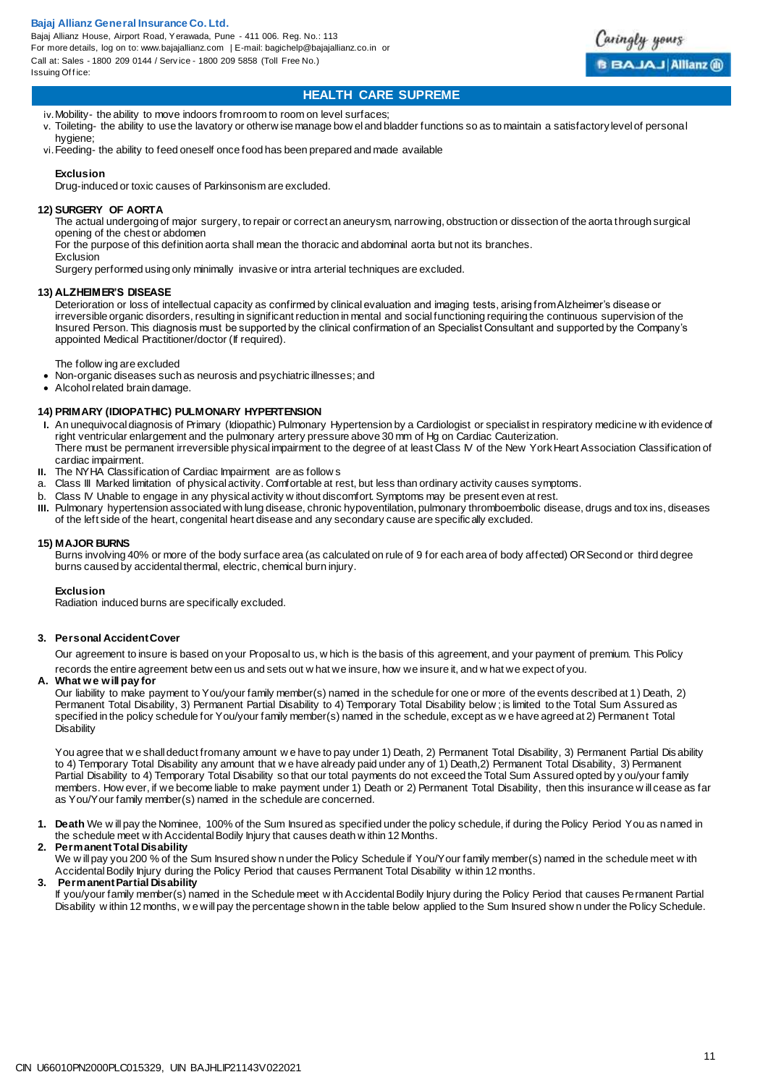Bajaj Allianz House, Airport Road, Yerawada, Pune - 411 006. Reg. No.: 113 For more details, log on to: www.bajajallianz.com | E-mail: bagichelp@bajajallianz.co.in or Call at: Sales - 1800 209 0144 / Serv ice - 1800 209 5858 (Toll Free No.) Issuing Office:



## **HEALTH CARE SUPREME**

iv. Mobility- the ability to move indoors from room to room on level surfaces;

- v. Toileting- the ability to use the lavatory or otherw ise manage bow el and bladder functions so as to maintain a satisfactory level of personal hygiene;
- vi.Feeding- the ability to feed oneself once food has been prepared and made available

#### **Exclusion**

Drug-induced or toxic causes of Parkinsonism are excluded.

#### **12) SURGERY OF AORTA**

The actual undergoing of major surgery, to repair or correct an aneurysm, narrowing, obstruction or dissection of the aorta through surgical opening of the chest or abdomen

For the purpose of this definition aorta shall mean the thoracic and abdominal aorta but not its branches.

Exclusion Surgery performed using only minimally invasive or intra arterial techniques are excluded.

#### **13) ALZHEIMER'S DISEASE**

Deterioration or loss of intellectual capacity as confirmed by clinical evaluation and imaging tests, arising from Alzheimer's disease or irreversible organic disorders, resulting in significant reduction in mental and social functioning requiring the continuous supervision of the Insured Person. This diagnosis must be supported by the clinical confirmation of an Specialist Consultant and supported by the Company's appointed Medical Practitioner/doctor (If required).

The follow ing are excluded

- Non-organic diseases such as neurosis and psychiatric illnesses; and
- Alcohol related brain damage.

#### **14) PRIMARY (IDIOPATHIC) PULMONARY HYPERTENSION**

- **I.** An unequivocal diagnosis of Primary (Idiopathic) Pulmonary Hypertension by a Cardiologist or specialist in respiratory medicine w ith evidence of right ventricular enlargement and the pulmonary artery pressure above 30 mm of Hg on Cardiac Cauterization. There must be permanent irreversible physical impairment to the degree of at least Class IV of the New York Heart Association Classification of cardiac impairment.
- **II.** The NYHA Classification of Cardiac Impairment are as follow s a. Class III Marked limitation of physical activity. Comfortable at regional
- Class III Marked limitation of physical activity. Comfortable at rest, but less than ordinary activity causes symptoms.
- b. Class IV Unable to engage in any physical activity w ithout discomfort. Symptoms may be present even at rest.
- **III.** Pulmonary hypertension associated with lung disease, chronic hypoventilation, pulmonary thromboembolic disease, drugs and tox ins, diseases of the left side of the heart, congenital heart disease and any secondary cause are specifically excluded.

#### **15) MAJOR BURNS**

Burns involving 40% or more of the body surface area (as calculated on rule of 9 for each area of body affected) OR Second or third degree burns caused by accidental thermal, electric, chemical burn injury.

#### **Exclusion**

Radiation induced burns are specifically excluded.

#### **3. Personal Accident Cover**

Our agreement to insure is based on your Proposal to us, w hich is the basis of this agreement, and your payment of premium. This Policy records the entire agreement betw een us and sets out w hat we insure, how we insure it, and w hat we expect of you.

**A. What we will pay for**

Our liability to make payment to You/your family member(s) named in the schedule for one or more of the events described at 1) Death, 2) Permanent Total Disability, 3) Permanent Partial Disability to 4) Temporary Total Disability below ; is limited to the Total Sum Assured as specified in the policy schedule for You/your family member(s) named in the schedule, except as w e have agreed at 2) Permanent Total **Disability** 

You agree that w e shall deduct from any amount w e have to pay under 1) Death, 2) Permanent Total Disability, 3) Permanent Partial Dis ability to 4) Temporary Total Disability any amount that w e have already paid under any of 1) Death,2) Permanent Total Disability, 3) Permanent Partial Disability to 4) Temporary Total Disability so that our total payments do not exceed the Total Sum Assured opted by y ou/your family members. How ever, if we become liable to make payment under 1) Death or 2) Permanent Total Disability, then this insurance w ill cease as far as You/Your family member(s) named in the schedule are concerned.

**1. Death** We w ill pay the Nominee, 100% of the Sum Insured as specified under the policy schedule, if during the Policy Period You as named in the schedule meet w ith Accidental Bodily Injury that causes death w ithin 12 Months.

#### **2. Permanent Total Disability**

We w ill pay you 200 % of the Sum Insured show n under the Policy Schedule if You/Your family member(s) named in the schedule meet w ith Accidental Bodily Injury during the Policy Period that causes Permanent Total Disability w ithin 12 months.

**3. Permanent Partial Disability** If you/your family member(s) named in the Schedule meet w ith Accidental Bodily Injury during the Policy Period that causes Permanent Partial Disability w ithin 12 months, w e will pay the percentage shown in the table below applied to the Sum Insured show n under the Policy Schedule.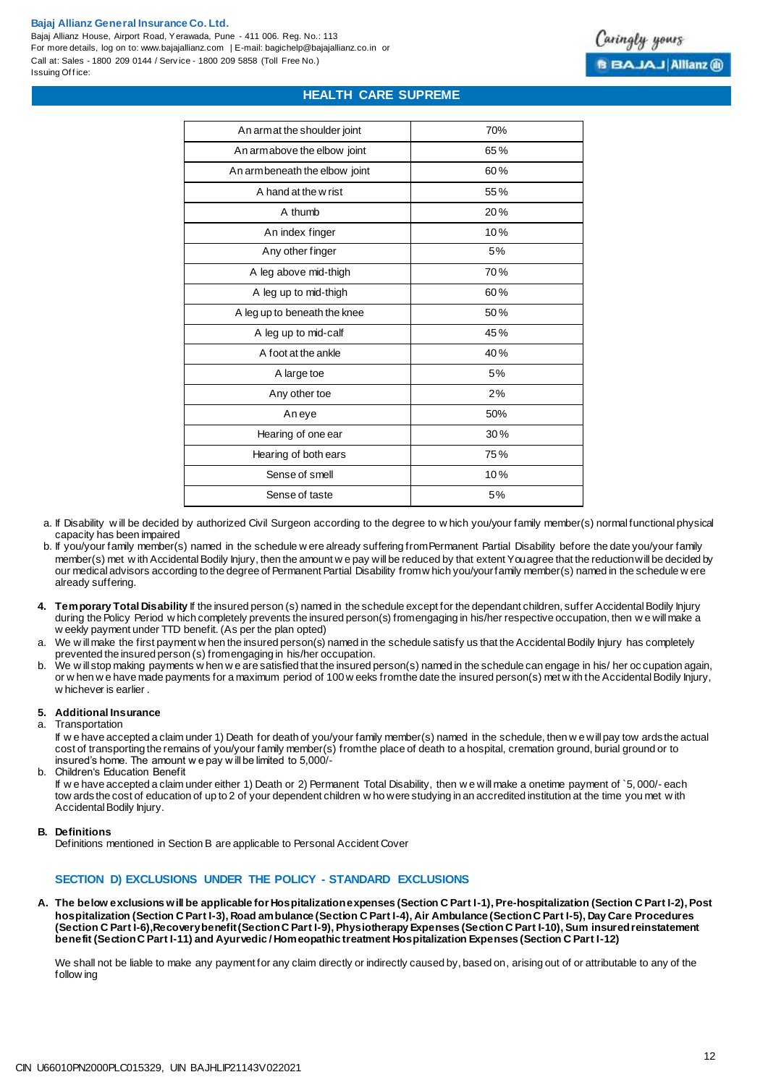Bajaj Allianz House, Airport Road, Yerawada, Pune - 411 006. Reg. No.: 113 For more details, log on to: www.bajajallianz.com | E-mail: bagichelp@bajajallianz.co.in or Call at: Sales - 1800 209 0144 / Serv ice - 1800 209 5858 (Toll Free No.) Issuing Office:

## **HEALTH CARE SUPREME**

| An armat the shoulder joint    | 70% |
|--------------------------------|-----|
| An armabove the elbow joint    | 65% |
| An arm beneath the elbow joint | 60% |
| A hand at the w rist           | 55% |
| A thumb                        | 20% |
| An index finger                | 10% |
| Any other finger               | 5%  |
| A leg above mid-thigh          | 70% |
| A leg up to mid-thigh          | 60% |
| A leg up to beneath the knee   | 50% |
| A leg up to mid-calf           | 45% |
| A foot at the ankle            | 40% |
| A large toe                    | 5%  |
| Any other toe                  | 2%  |
| Aneye                          | 50% |
| Hearing of one ear             | 30% |
| Hearing of both ears           | 75% |
| Sense of smell                 | 10% |
| Sense of taste                 | 5%  |
|                                |     |

- a. If Disability w ill be decided by authorized Civil Surgeon according to the degree to w hich you/your family member(s) normal functional physical capacity has been impaired
- b. If you/your family member(s) named in the schedule w ere already suffering from Permanent Partial Disability before the date you/your family member(s) met w ith Accidental Bodily Injury, then the amount w e pay will be reduced by that extent Youagree that the reduction will be decided by our medical advisors according to the degree of Permanent Partial Disability fromw hich you/yourfamily member(s) named in the schedule w ere already suffering.
- **4. Temporary Total Disability** If the insured person (s) named in the schedule except for the dependant children, suffer Accidental Bodily Injury during the Policy Period w hich completely prevents the insured person(s) from engaging in his/her respective occupation, then w e will make a w eekly payment under TTD benefit. (As per the plan opted)
- We w ill make the first payment w hen the insured person(s) named in the schedule satisfy us that the Accidental Bodily Injury has completely prevented the insured person (s) from engaging in his/her occupation.
- b. We w ill stop making payments w hen w e are satisfied that the insured person(s) named in the schedule can engage in his/ her oc cupation again, or w hen w e have made payments for a maximum period of 100 w eeks from the date the insured person(s) met w ith the Accidental Bodily Injury, w hichever is earlier .

#### **5. Additional Insurance**

a. Transportation

If w e have accepted a claim under 1) Death for death of you/your family member(s) named in the schedule, then w e will pay tow ards the actual cost of transporting the remains of you/your family member(s) from the place of death to a hospital, cremation ground, burial ground or to insured's home. The amount w e pay w ill be limited to 5,000/-

b. Children's Education Benefit

If w e have accepted a claim under either 1) Death or 2) Permanent Total Disability, then w e will make a onetime payment of `5, 000/- each tow ards the cost of education of up to 2 of your dependent children w ho were studying in an accredited institution at the time you met w ith Accidental Bodily Injury.

#### **B. Definitions**

Definitions mentioned in Section B are applicable to Personal Accident Cover

#### **SECTION D) EXCLUSIONS UNDER THE POLICY - STANDARD EXCLUSIONS**

**A. The below exclusions will be applicable for Hospitalization expenses (Section C Part I-1), Pre-hospitalization (Section C Part I-2), Post hospitalization (Section C Part I-3), Road ambulance (Section C Part I-4), Air Ambulance (Section C Part I-5), Day Care Procedures (Section C Part I-6),Recovery benefit (Section C Part I-9), Physiotherapy Expenses (Section C Part I-10), Sum insured reinstatement benefit (Section C Part I-11) and Ayurvedic / Homeopathic treatment Hospitalization Expenses (Section C Part I-12)**

We shall not be liable to make any payment for any claim directly or indirectly caused by, based on, arising out of or attributable to any of the follow ing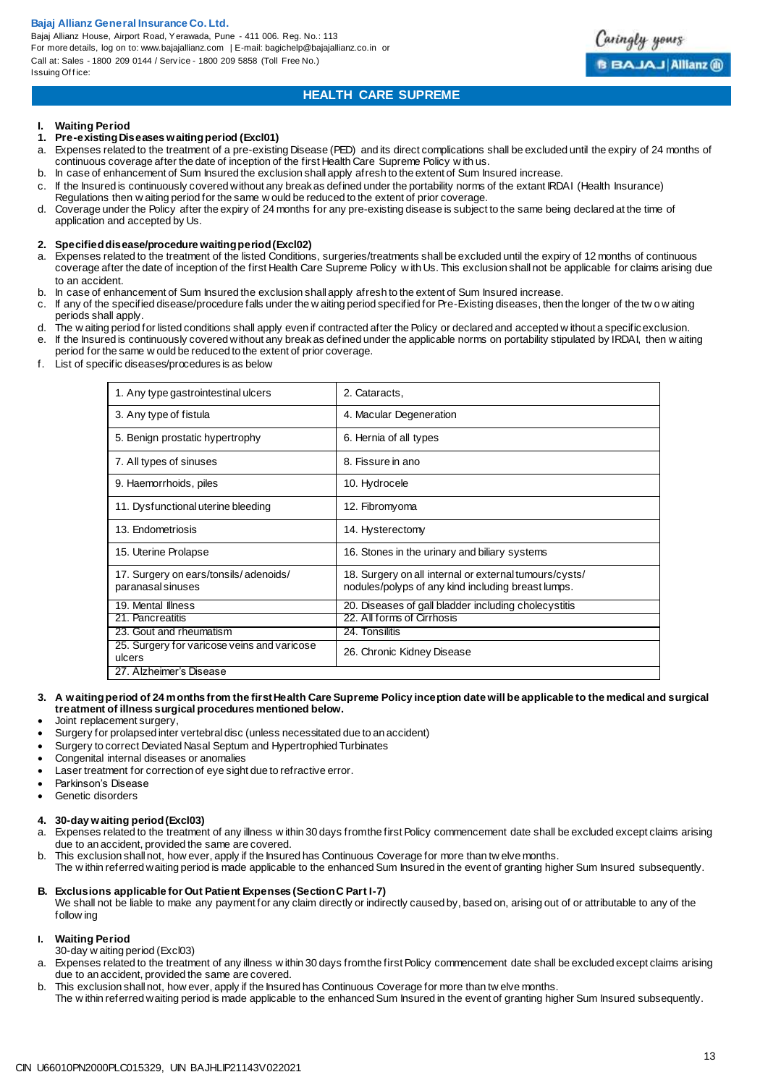Bajaj Allianz House, Airport Road, Yerawada, Pune - 411 006. Reg. No.: 113 For more details, log on to: www.bajajallianz.com | E-mail: bagichelp@bajajallianz.co.in or Call at: Sales - 1800 209 0144 / Serv ice - 1800 209 5858 (Toll Free No.) Issuing Office:



## **HEALTH CARE SUPREME**

## **I. Waiting Period**

- **1. Pre-existing Diseases waiting period (Excl01)**
- a. Expenses related to the treatment of a pre-existing Disease (PED) and its direct complications shall be excluded until the expiry of 24 months of continuous coverage after the date of inception of the first Health Care Supreme Policy w ith us.
- b. In case of enhancement of Sum Insured the exclusion shall apply afresh to the extent of Sum Insured increase.
- c. If the Insured is continuously covered without any break as defined under the portability norms of the extant IRDAI (Health Insurance) Regulations then w aiting period for the same w ould be reduced to the extent of prior coverage.
- d. Coverage under the Policy after the expiry of 24 months for any pre-existing disease is subject to the same being declared at the time of application and accepted by Us.

#### **2. Specified disease/procedure waiting period (Excl02)**

- a. Expenses related to the treatment of the listed Conditions, surgeries/treatments shall be excluded until the expiry of 12 months of continuous coverage after the date of inception of the first Health Care Supreme Policy w ith Us. This exclusion shall not be applicable for claims arising due to an accident.
- 
- b. In case of enhancement of Sum Insured the exclusion shall apply afresh to the extent of Sum Insured increase.<br>C. If any of the specified disease/procedure falls under the waiting period specified for Pre-Existing diseas c. If any of the specified disease/procedure falls under the w aiting period specified for Pre-Existing diseases, then the longer of the tw o w aiting periods shall apply.
- d. The w aiting period for listed conditions shall apply even if contracted after the Policy or declared and accepted w ithout a specific exclusion.
- e. If the Insured is continuously covered without any break as defined under the applicable norms on portability stipulated by IRDAI, then w aiting period for the same w ould be reduced to the extent of prior coverage.
- f. List of specific diseases/procedures is as below

| 1. Any type gastrointestinal ulcers                        | 2. Cataracts,                                                                                                |
|------------------------------------------------------------|--------------------------------------------------------------------------------------------------------------|
| 3. Any type of fistula                                     | 4. Macular Degeneration                                                                                      |
| 5. Benign prostatic hypertrophy                            | 6. Hernia of all types                                                                                       |
| 7. All types of sinuses                                    | 8. Fissure in ano                                                                                            |
| 9. Haemorrhoids, piles                                     | 10. Hydrocele                                                                                                |
| 11. Dysfunctional uterine bleeding                         | 12. Fibromyoma                                                                                               |
| 13. Endometriosis                                          | 14. Hysterectomy                                                                                             |
| 15. Uterine Prolapse                                       | 16. Stones in the urinary and biliary systems                                                                |
| 17. Surgery on ears/tonsils/adenoids/<br>paranasal sinuses | 18. Surgery on all internal or external tumours/cysts/<br>nodules/polyps of any kind including breast lumps. |
| 19. Mental Illness                                         | 20. Diseases of gall bladder including cholecystitis                                                         |
| 21. Pancreatitis                                           | 22. All forms of Cirrhosis                                                                                   |
| 23. Gout and rheumatism                                    | 24. Tonsilitis                                                                                               |
| 25. Surgery for varicose veins and varicose<br>ulcers      | 26. Chronic Kidney Disease                                                                                   |
| 27. Alzheimer's Disease                                    |                                                                                                              |

#### **3. A waiting period of 24 months from the first Health Care Supreme Policy inception date will be applicable to the medical and surgical treatment of illness surgical procedures mentioned below.**

- Joint replacement surgery,
- Surgery for prolapsed inter vertebral disc (unless necessitated due to an accident)
- Surgery to correct Deviated Nasal Septum and Hypertrophied Turbinates
- Congenital internal diseases or anomalies
- Laser treatment for correction of eye sight due to refractive error.
- Parkinson's Disease
- Genetic disorders

#### **4. 30-day waiting period (Excl03)**

- a. Expenses related to the treatment of any illness w ithin 30 days from the first Policy commencement date shall be excluded except claims arising due to an accident, provided the same are covered.
- b. This exclusion shall not, how ever, apply if the Insured has Continuous Coverage for more than tw elve months.
- The w ithin referred waiting period is made applicable to the enhanced Sum Insured in the event of granting higher Sum Insured subsequently.

#### **B. Exclusions applicable for Out Patient Expenses (Section C Part I-7)**

We shall not be liable to make any payment for any claim directly or indirectly caused by, based on, arising out of or attributable to any of the follow ing

#### **I. Waiting Period**

- 30-day w aiting period (Excl03)
- a. Expenses related to the treatment of any illness w ithin 30 days from the first Policy commencement date shall be excluded except claims arising due to an accident, provided the same are covered.
- b. This exclusion shall not, how ever, apply if the Insured has Continuous Coverage for more than tw elve months.
- The w ithin referred waiting period is made applicable to the enhanced Sum Insured in the event of granting higher Sum Insured subsequently.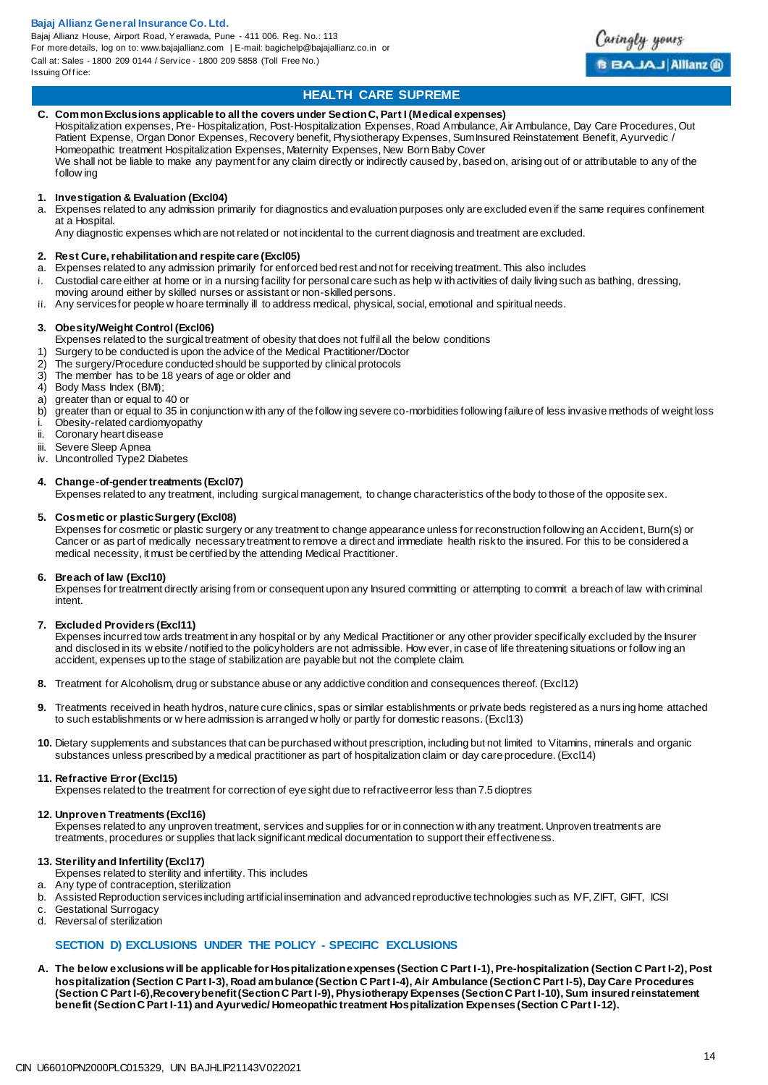Bajaj Allianz House, Airport Road, Yerawada, Pune - 411 006. Reg. No.: 113 For more details, log on to: www.bajajallianz.com | E-mail: bagichelp@bajajallianz.co.in or Call at: Sales - 1800 209 0144 / Serv ice - 1800 209 5858 (Toll Free No.) Issuing Office:



## **HEALTH CARE SUPREME**

#### **C. Common Exclusions applicable to all the covers under Section C, Part I (Medical expenses)**

Hospitalization expenses, Pre- Hospitalization, Post-Hospitalization Expenses, Road Ambulance, Air Ambulance, Day Care Procedures, Out Patient Expense, Organ Donor Expenses, Recovery benefit, Physiotherapy Expenses, Sum Insured Reinstatement Benefit, Ayurvedic / Homeopathic treatment Hospitalization Expenses, Maternity Expenses, New Born Baby Cover We shall not be liable to make any payment for any claim directly or indirectly caused by, based on, arising out of or attributable to any of the

follow ing

## **1. Investigation & Evaluation (Excl04)**

a. Expenses related to any admission primarily for diagnostics and evaluation purposes only are excluded even if the same requires confinement at a Hospital.

Any diagnostic expenses which are not related or not incidental to the current diagnosis and treatment are excluded.

## **2. Rest Cure, rehabilitation and respite care (Excl05)**

- Expenses related to any admission primarily for enforced bed rest and not for receiving treatment. This also includes
- i. Custodial care either at home or in a nursing facility for personal care such as help w ith activities of daily living such as bathing, dressing,
- moving around either by skilled nurses or assistant or non-skilled persons.
- ii. Any services for people w ho are terminally ill to address medical, physical, social, emotional and spiritual needs.

#### **3. Obesity/Weight Control (Excl06)**

Expenses related to the surgical treatment of obesity that does not fulfil all the below conditions

- 1) Surgery to be conducted is upon the advice of the Medical Practitioner/Doctor<br>2) The surgery/Procedure conducted should be supported by clinical protocols
- 2) The surgery/Procedure conducted should be supported by clinical protocols<br>3) The member has to be 18 years of age or older and
- The member has to be 18 years of age or older and
- 4) Body Mass Index (BMI);
- a) greater than or equal to 40 or<br>b) greater than or equal to 35 in
- greater than or equal to 35 in conjunction w ith any of the follow ing severe co-morbidities following failure of less invasive methods of weight loss
- i. Obesity-related cardiomyopathy<br>ii Coronary heart disease
- Coronary heart disease
- iii. Severe Sleep Apnea<br>iv. Uncontrolled Type2 D
- Uncontrolled Type2 Diabetes

#### **4. Change-of-gender treatments (Excl07)**

Expenses related to any treatment, including surgical management, to change characteristics of the body to those of the opposite sex.

#### **5. Cosmetic or plastic Surgery (Excl08)**

Expenses for cosmetic or plastic surgery or any treatment to change appearance unless for reconstruction following an Accident, Burn(s) or Cancer or as part of medically necessary treatment to remove a direct and immediate health risk to the insured. For this to be considered a medical necessity, it must be certified by the attending Medical Practitioner.

#### **6. Breach of law (Excl10)**

Expenses for treatment directly arising from or consequent upon any Insured committing or attempting to commit a breach of law with criminal intent.

#### **7. Excluded Providers (Excl11)**

Expenses incurred tow ards treatment in any hospital or by any Medical Practitioner or any other provider specifically excluded by the Insurer and disclosed in its w ebsite / notified to the policyholders are not admissible. How ever, in case of life threatening situations or follow ing an accident, expenses up to the stage of stabilization are payable but not the complete claim.

- **8.** Treatment for Alcoholism, drug or substance abuse or any addictive condition and consequences thereof. (Excl12)
- **9.** Treatments received in heath hydros, nature cure clinics, spas or similar establishments or private beds registered as a nurs ing home attached to such establishments or w here admission is arranged w holly or partly for domestic reasons. (Excl13)
- **10.** Dietary supplements and substances that can be purchased without prescription, including but not limited to Vitamins, minerals and organic substances unless prescribed by a medical practitioner as part of hospitalization claim or day care procedure. (Excl14)

#### **11. Refractive Error (Excl15)**

Expenses related to the treatment for correction of eye sight due to refractive error less than 7.5 dioptres

#### **12. Unproven Treatments (Excl16)**

Expenses related to any unproven treatment, services and supplies for or in connection w ith any treatment. Unproven treatments are treatments, procedures or supplies that lack significant medical documentation to support their effectiveness.

#### **13. Sterility and Infertility (Excl17)**

- Expenses related to sterility and infertility. This includes
- a. Any type of contraception, sterilization
- b. Assisted Reproduction services including artificial insemination and advanced reproductive technologies such as IVF, ZIFT, GIFT, ICSI
- c. Gestational Surrogacy<br>d. Reversal of sterilization
- Reversal of sterilization

### **SECTION D) EXCLUSIONS UNDER THE POLICY - SPECIFIC EXCLUSIONS**

**A. The below exclusions will be applicable for Hospitalization expenses (Section C Part I-1), Pre-hospitalization (Section C Part I-2), Post hospitalization (Section C Part I-3), Road ambulance (Section C Part I-4), Air Ambulance (Section C Part I-5), Day Care Procedures (Section C Part I-6),Recovery benefit (Section C Part I-9), Physiotherapy Expenses (Section C Part I-10), Sum insured reinstatement benefit (Section C Part I-11) and Ayurvedic/ Homeopathic treatment Hospitalization Expenses (Section C Part I-12).**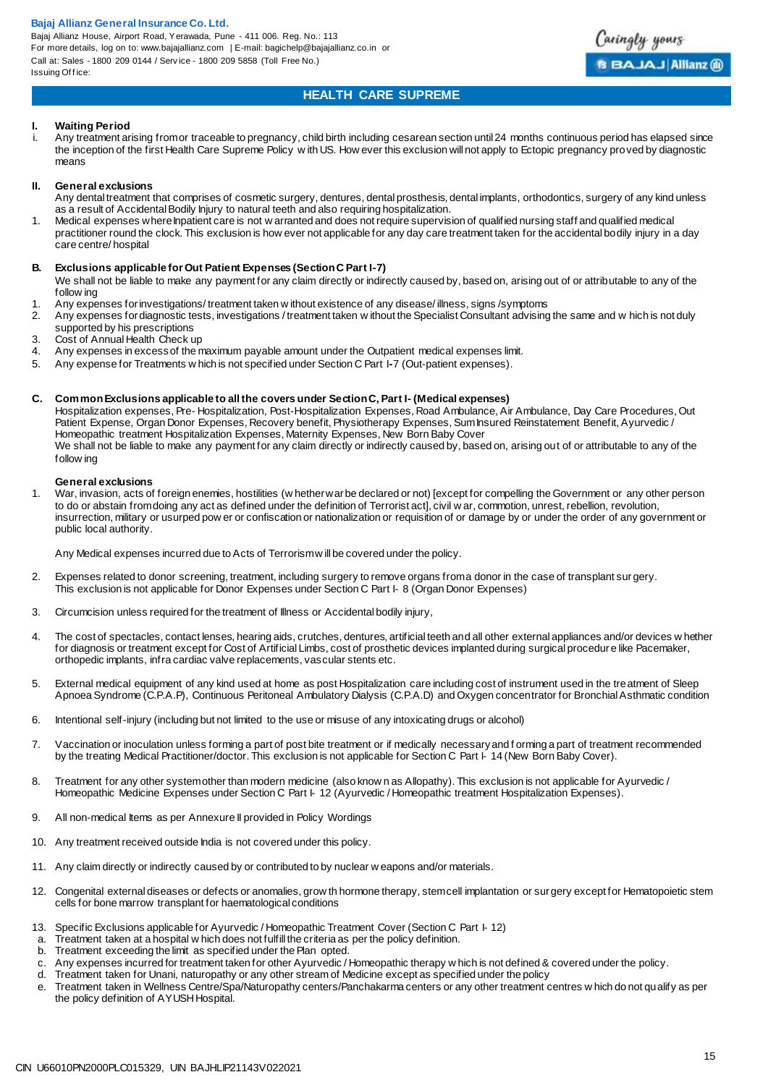Bajaj Allianz House, Airport Road, Yerawada, Pune - 411 006. Reg. No.: 113 For more details, log on to: www.bajajallianz.com | E-mail: bagichelp@bajajallianz.co.in or Call at: Sales - 1800 209 0144 / Serv ice - 1800 209 5858 (Toll Free No.) Issuing Office:



## **HEALTH CARE SUPREME**

#### **I. Waiting Period**

Any treatment arising from or traceable to pregnancy, child birth including cesarean section until 24 months continuous period has elapsed since the inception of the first Health Care Supreme Policy w ith US. How ever this exclusion will not apply to Ectopic pregnancy proved by diagnostic means

#### **II. General exclusions**

- Any dental treatment that comprises of cosmetic surgery, dentures, dental prosthesis, dental implants, orthodontics, surgery of any kind unless as a result of Accidental Bodily Injury to natural teeth and also requiring hospitalization.
- 1. Medical expenses where Inpatient care is not w arranted and does not require supervision of qualified nursing staff and qualified medical practitioner round the clock. This exclusion is how ever not applicable for any day care treatment taken for the accidental bodily injury in a day care centre/ hospital

#### **B. Exclusions applicable for Out Patient Expenses (Section C Part I-7)**

- We shall not be liable to make any payment for any claim directly or indirectly caused by, based on, arising out of or attributable to any of the follow ing
- 1. Any expenses for investigations/treatment taken w ithout existence of any disease/ illness, signs /symptoms<br>2. Any expenses for diagnostic tests, investigations / treatment taken w ithout the Specialist Consultant advis
- 2. Any expenses for diagnostic tests, investigations / treatment taken w ithout the Specialist Consultant advising the same and w hich is not duly supported by his prescriptions
- 3. Cost of Annual Health Check up<br>4. Any expenses in excess of the n
- 4. Any expenses in excess of the maximum payable amount under the Outpatient medical expenses limit.<br>5. Any expense for Treatments w bich is not specified under Section C Part 1-7 (Out-patient expenses)
- 5. Any expense for Treatments w hich is not specified under Section C Part I**-**7 (Out-patient expenses).

#### **C. Common Exclusions applicable to all the covers under Section C, Part I- (Medical expenses)**

Hospitalization expenses, Pre- Hospitalization, Post-Hospitalization Expenses, Road Ambulance, Air Ambulance, Day Care Procedures, Out Patient Expense, Organ Donor Expenses, Recovery benefit, Physiotherapy Expenses, Sum Insured Reinstatement Benefit, Ayurvedic / Homeopathic treatment Hospitalization Expenses, Maternity Expenses, New Born Baby Cover We shall not be liable to make any payment for any claim directly or indirectly caused by, based on, arising out of or attributable to any of the follow ing

#### **General exclusions**

1. War, invasion, acts of foreign enemies, hostilities (w hether war be declared or not) [except for compelling the Government or any other person to do or abstain from doing any act as defined under the definition of Terrorist act], civil w ar, commotion, unrest, rebellion, revolution, insurrection, military or usurped pow er or confiscation or nationalization or requisition of or damage by or under the order of any government or public local authority.

Any Medical expenses incurred due to Acts of Terrorism w ill be covered under the policy.

- 2. Expenses related to donor screening, treatment, including surgery to remove organs from a donor in the case of transplant sur gery. This exclusion is not applicable for Donor Expenses under Section C Part I- 8 (Organ Donor Expenses)
- 3. Circumcision unless required for the treatment of Illness or Accidental bodily injury,
- 4. The cost of spectacles, contact lenses, hearing aids, crutches, dentures, artificial teeth and all other external appliances and/or devices w hether for diagnosis or treatment except for Cost of Artificial Limbs, cost of prosthetic devices implanted during surgical procedur e like Pacemaker, orthopedic implants, infra cardiac valve replacements, vascular stents etc.
- 5. External medical equipment of any kind used at home as post Hospitalization care including cost of instrument used in the treatment of Sleep Apnoea Syndrome (C.P.A.P), Continuous Peritoneal Ambulatory Dialysis (C.P.A.D) and Oxygen concentrator for Bronchial Asthmatic condition
- 6. Intentional self-injury (including but not limited to the use or misuse of any intoxicating drugs or alcohol)
- 7. Vaccination or inoculation unless forming a part of post bite treatment or if medically necessary and f orming a part of treatment recommended by the treating Medical Practitioner/doctor. This exclusion is not applicable for Section C Part I- 14 (New Born Baby Cover).
- 8. Treatment for any other system other than modern medicine (also know n as Allopathy). This exclusion is not applicable for Ayurvedic / Homeopathic Medicine Expenses under Section C Part I-12 (Ayurvedic / Homeopathic treatment Hospitalization Expenses).
- 9. All non-medical Items as per Annexure II provided in Policy Wordings
- 10. Any treatment received outside India is not covered under this policy.
- 11. Any claim directly or indirectly caused by or contributed to by nuclear w eapons and/or materials.
- 12. Congenital external diseases or defects or anomalies, grow th hormone therapy, stem cell implantation or surgery except for Hematopoietic stem cells for bone marrow transplant for haematological conditions
- 13. Specific Exclusions applicable for Ayurvedic / Homeopathic Treatment Cover (Section C Part I-12)
- a. Treatment taken at a hospital w hich does not fulfill the criteria as per the policy definition.
- b. Treatment exceeding the limit as specified under the Plan opted.
- c. Any expenses incurred for treatment taken for other Ayurvedic / Homeopathic therapy w hich is not defined & covered under the policy.
- d. Treatment taken for Unani, naturopathy or any other stream of Medicine except as specified under the policy
- e. Treatment taken in Wellness Centre/Spa/Naturopathy centers/Panchakarma centers or any other treatment centres w hich do not qualify as per the policy definition of AYUSH Hospital.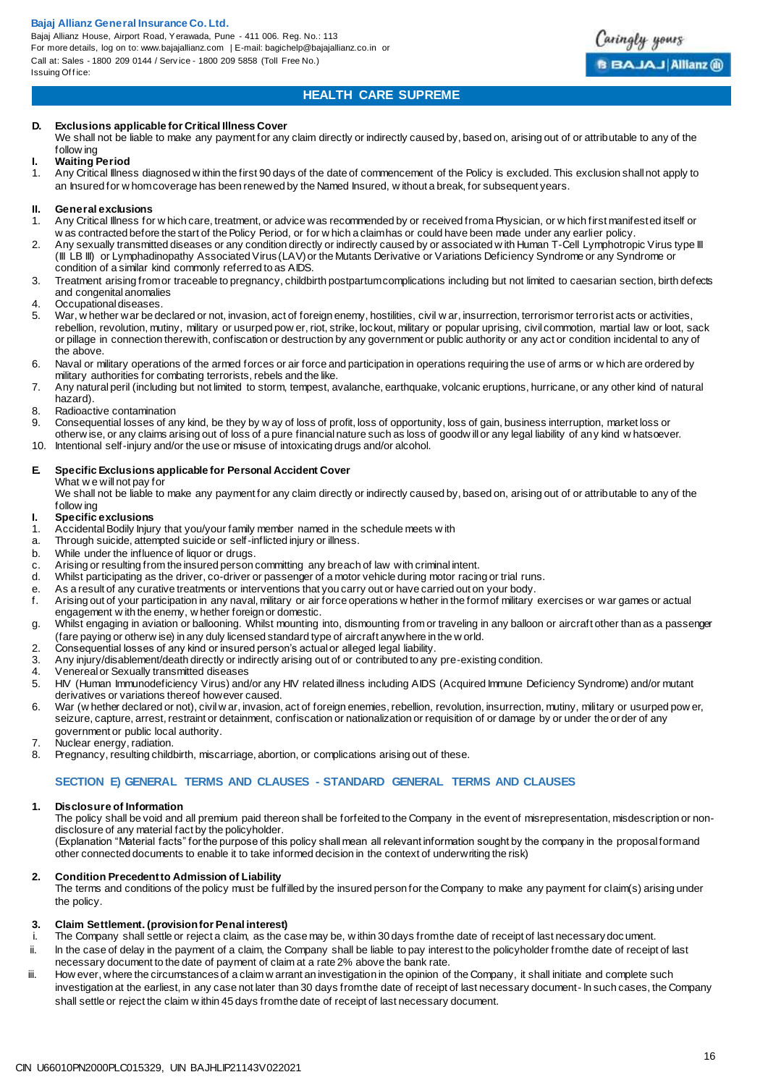Bajaj Allianz House, Airport Road, Yerawada, Pune - 411 006. Reg. No.: 113 For more details, log on to: www.bajajallianz.com | E-mail: bagichelp@bajajallianz.co.in or Call at: Sales - 1800 209 0144 / Serv ice - 1800 209 5858 (Toll Free No.) Issuing Office:



## **HEALTH CARE SUPREME**

#### **D. Exclusions applicable for Critical Illness Cover**

We shall not be liable to make any payment for any claim directly or indirectly caused by, based on, arising out of or attributable to any of the follow ing

#### **I. Waiting Period**

1. Any Critical Illness diagnosed w ithin the first 90 days of the date of commencement of the Policy is excluded. This exclusion shall not apply to an Insured for w hom coverage has been renewed by the Named Insured, w ithout a break, for subsequent years.

## **II. General exclusions**<br>1. Any Critical Illness for

- 1. Any Critical Illness for w hich care, treatment, or advice was recommended by or received from a Physician, or w hich first manifested itself or w as contracted before the start of the Policy Period, or for w hich a claim has or could have been made under any earlier policy.
- 2. Any sexually transmitted diseases or any condition directly or indirectly caused by or associated w ith Human T-Cell Lymphotropic Virus type III (III LB III) or Lymphadinopathy Associated Virus (LAV) or the Mutants Derivative or Variations Deficiency Syndrome or any Syndrome or condition of a similar kind commonly referred to as AIDS.
- 3. Treatment arising from or traceable to pregnancy, childbirth postpartum complications including but not limited to caesarian section, birth defects and congenital anomalies
- 4. Occupational diseases.<br>5. War whether war be de
- War, w hether war be declared or not, invasion, act of foreign enemy, hostilities, civil w ar, insurrection, terrorism or terrorist acts or activities, rebellion, revolution, mutiny, military or usurped pow er, riot, strike, lockout, military or popular uprising, civil commotion, martial law or loot, sack or pillage in connection therewith, confiscation or destruction by any government or public authority or any act or condition incidental to any of the above.
- 6. Naval or military operations of the armed forces or air force and participation in operations requiring the use of arms or w hich are ordered by military authorities for combating terrorists, rebels and the like.
- 7. Any natural peril (including but not limited to storm, tempest, avalanche, earthquake, volcanic eruptions, hurricane, or any other kind of natural hazard).
- 8. Radioactive contamination<br>9. Consequential losses of ar
- Consequential losses of any kind, be they by w ay of loss of profit, loss of opportunity, loss of gain, business interruption, market loss or
- otherw ise, or any claims arising out of loss of a pure financial nature such as loss of goodw ill or any legal liability of any kind w hatsoever.
- 10. Intentional self-injury and/or the use or misuse of intoxicating drugs and/or alcohol.

#### **E. Specific Exclusions applicable for Personal Accident Cover**

What w e will not pay for

We shall not be liable to make any payment for any claim directly or indirectly caused by, based on, arising out of or attributable to any of the follow ing

## **I. Specific exclusions**

- 1. Accidental Bodily Injury that you/your family member named in the schedule meets w ith a. Through suicide, attempted suicide or self-inflicted niury or illness.
- Through suicide, attempted suicide or self-inflicted injury or illness.
- b. While under the influence of liquor or drugs.
- c. Arising or resulting from the insured person committing any breach of law with criminal intent.
- d. Whilst participating as the driver, co-driver or passenger of a motor vehicle during motor racing or trial runs.
- e. As a result of any curative treatments or interventions that you carry out or have carried out on your body.
- f. Arising out of your participation in any naval, military or air force operations w hether in the form of military exercises or war games or actual engagement w ith the enemy, w hether foreign or domestic.
- g. Whilst engaging in aviation or ballooning. Whilst mounting into, dismounting from or traveling in any balloon or aircraft other than as a passenger (fare paying or otherw ise) in any duly licensed standard type of aircraft anywhere in the w orld.
- 2. Consequential losses of any kind or insured person's actual or alleged legal liability.
- 3. Any injury/disablement/death directly or indirectly arising out of or contributed to any pre-existing condition.<br>4. Venereal or Sexually transmitted diseases
- Venereal or Sexually transmitted diseases
- 5. HIV (Human Immunodeficiency Virus) and/or any HIV related illness including AIDS (Acquired Immune Deficiency Syndrome) and/or mutant derivatives or variations thereof however caused.
- 6. War (w hether declared or not), civil w ar, invasion, act of foreign enemies, rebellion, revolution, insurrection, mutiny, military or usurped pow er, seizure, capture, arrest, restraint or detainment, confiscation or nationalization or requisition of or damage by or under the order of any government or public local authority.
- 7. Nuclear energy, radiation.
- 8. Pregnancy, resulting childbirth, miscarriage, abortion, or complications arising out of these.

## **SECTION E) GENERAL TERMS AND CLAUSES - STANDARD GENERAL TERMS AND CLAUSES**

## **1. Disclosure of Information**

The policy shall be void and all premium paid thereon shall be forfeited to the Company in the event of misrepresentation, misdescription or nondisclosure of any material fact by the policyholder.

(Explanation "Material facts" for the purpose of this policy shall mean all relevant information sought by the company in the proposal form and other connected documents to enable it to take informed decision in the context of underwriting the risk)

## **2. Condition Precedent to Admission of Liability**

The terms and conditions of the policy must be fulfilled by the insured person for the Company to make any payment for claim(s) arising under the policy.

## **3. Claim Settlement. (provision for Penal interest)**

- The Company shall settle or reject a claim, as the case may be, w ithin 30 days from the date of receipt of last necessary document. ii. In the case of delay in the payment of a claim, the Company shall be liable to pay interest to the policyholder from the date of receipt of last
- necessary document to the date of payment of claim at a rate 2% above the bank rate.
- iii. How ever, where the circumstances of a claim w arrant an investigation in the opinion of the Company, it shall initiate and complete such investigation at the earliest, in any case not later than 30 days from the date of receipt of last necessary document- In such cases, the Company shall settle or reject the claim w ithin 45 days from the date of receipt of last necessary document.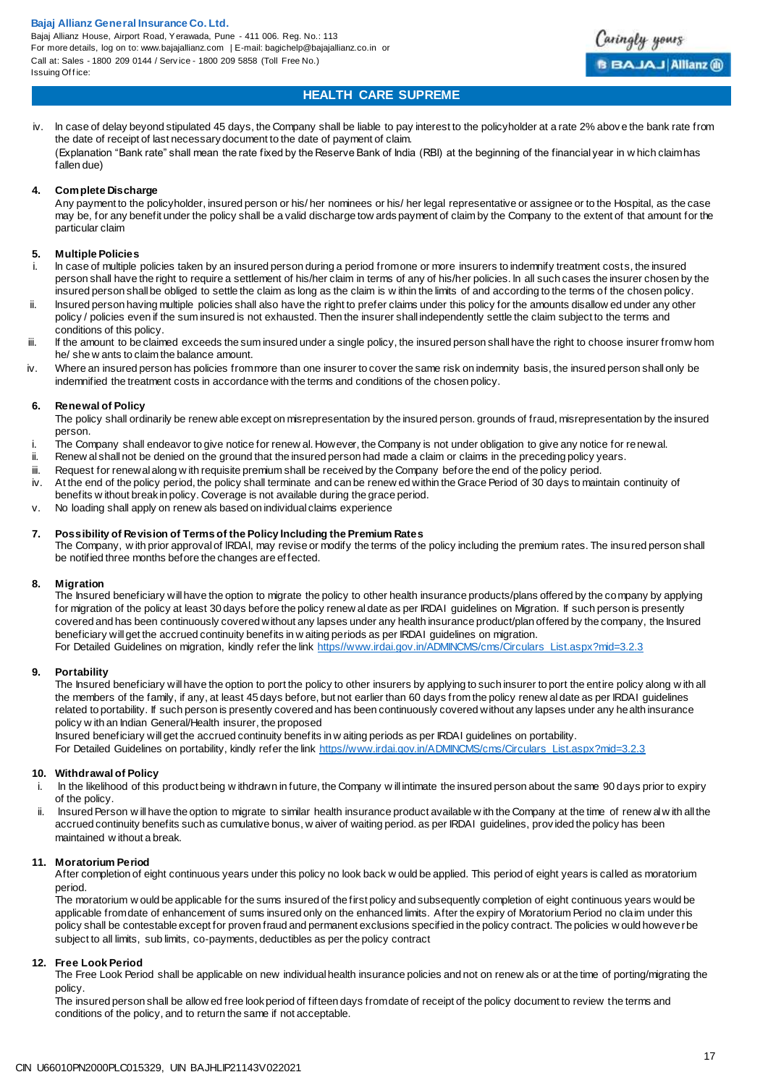Bajaj Allianz House, Airport Road, Yerawada, Pune - 411 006. Reg. No.: 113 For more details, log on to: www.bajajallianz.com | E-mail: bagichelp@bajajallianz.co.in or Call at: Sales - 1800 209 0144 / Serv ice - 1800 209 5858 (Toll Free No.) Issuing Office:



## **HEALTH CARE SUPREME**

iv. ln case of delay beyond stipulated 45 days, the Company shall be liable to pay interest to the policyholder at a rate 2% abov e the bank rate from the date of receipt of last necessary document to the date of payment of claim. (Explanation "Bank rate" shall mean the rate fixed by the Reserve Bank of India (RBI) at the beginning of the financial year in w hich claim has fallen due)

#### **4. Complete Discharge**

Any payment to the policyholder, insured person or his/ her nominees or his/ her legal representative or assignee or to the Hospital, as the case may be, for any benefit under the policy shall be a valid discharge tow ards payment of claim by the Company to the extent of that amount for the particular claim

#### **5. Multiple Policies**

- In case of multiple policies taken by an insured person during a period from one or more insurers to indemnify treatment costs, the insured person shall have the right to require a settlement of his/her claim in terms of any of his/her policies. ln all such cases the insurer chosen by the insured person shall be obliged to settle the claim as long as the claim is w ithin the limits of and according to the terms of the chosen policy.
- ii. Insured person having multiple policies shall also have the right to prefer claims under this policy for the amounts disallow ed under any other policy / policies even if the sum insured is not exhausted. Then the insurer shall independently settle the claim subject to the terms and conditions of this policy.
- iii. If the amount to be claimed exceeds the sum insured under a single policy, the insured person shall have the right to choose insurer from w hom he/ she w ants to claim the balance amount.
- iv. Where an insured person has policies from more than one insurer to cover the same risk on indemnity basis, the insured person shall only be indemnified the treatment costs in accordance with the terms and conditions of the chosen policy.

#### **6. Renewal of Policy**

The policy shall ordinarily be renew able except on misrepresentation by the insured person. grounds of fraud, misrepresentation by the insured person.

- i. The Company shall endeavor to give notice for renew al. However, the Company is not under obligation to give any notice for renewal.<br>ii Benew alshall not be denied on the ground that the insured person had made a claim
- Renew al shall not be denied on the ground that the insured person had made a claim or claims in the preceding policy years.
- iii. Request for renewal along w ith requisite premium shall be received by the Company before the end of the policy period.
- iv. At the end of the policy period, the policy shall terminate and can be renew ed within the Grace Period of 30 days to maintain continuity of benefits w ithout break in policy. Coverage is not available during the grace period.
- v. No loading shall apply on renew als based on individual claims experience

#### **7. Possibility of Revision of Terms of the Policy lncluding the Premium Rates**

The Company, w ith prior approval of lRDAl, may revise or modify the terms of the policy including the premium rates. The insured person shall be notified three months before the changes are effected.

#### **8. Migration**

The Insured beneficiary will have the option to migrate the policy to other health insurance products/plans offered by the company by applying for migration of the policy at least 30 days before the policy renew al date as per IRDAI guidelines on Migration. If such person is presently covered and has been continuously covered without any lapses under any health insurance product/plan offered by the company, the Insured beneficiary will get the accrued continuity benefits in w aiting periods as per IRDAI guidelines on migration. For Detailed Guidelines on migration, kindly refer the link [https//www.irdai.gov.in/ADMINCMS/cms/Circulars\\_List.aspx?mid=3.2.3](https://www.irdai.gov.in/ADMINCMS/cms/Circulars_List.aspx?mid=3.2.3)

#### **9. Portability**

The Insured beneficiary will have the option to port the policy to other insurers by applying to such insurer to port the entire policy along w ith all the members of the family, if any, at least 45 days before, but not earlier than 60 days from the policy renew al date as per IRDAI guidelines related to portability. If such person is presently covered and has been continuously covered without any lapses under any health insurance policy w ith an Indian General/Health insurer, the proposed

Insured beneficiary will get the accrued continuity benefits in w aiting periods as per IRDAI guidelines on portability.

For Detailed Guidelines on portability, kindly refer the link [https//www.irdai.gov.in/ADMINCMS/cms/Circulars\\_List.aspx?mid=3.2.3](https://www.irdai.gov.in/ADMINCMS/cms/Circulars_List.aspx?mid=3.2.3)

#### **10. Withdrawal of Policy**

- i. ln the likelihood of this product being w ithdrawn in future, the Company w ill intimate the insured person about the same 90 days prior to expiry of the policy.
- ii. lnsured Person w ill have the option to migrate to similar health insurance product available w ith the Company at the time of renew al w ith all the accrued continuity benefits such as cumulative bonus, w aiver of waiting period. as per IRDAI guidelines, prov ided the policy has been maintained w ithout a break.

#### **11. Moratorium Period**

After completion of eight continuous years under this policy no look back w ould be applied. This period of eight years is called as moratorium period.

The moratorium w ould be applicable for the sums insured of the first policy and subsequently completion of eight continuous years would be applicable from date of enhancement of sums insured only on the enhanced limits. After the expiry of Moratorium Period no claim under this policy shall be contestable except for proven fraud and permanent exclusions specified in the policy contract. The policies w ould however be subject to all limits, sub limits, co-payments, deductibles as per the policy contract

#### **12. Free Look Period**

The Free Look Period shall be applicable on new individual health insurance policies and not on renew als or at the time of porting/migrating the policy.

The insured person shall be allow ed free look period of fifteen days from date of receipt of the policy document to review the terms and conditions of the policy, and to return the same if not acceptable.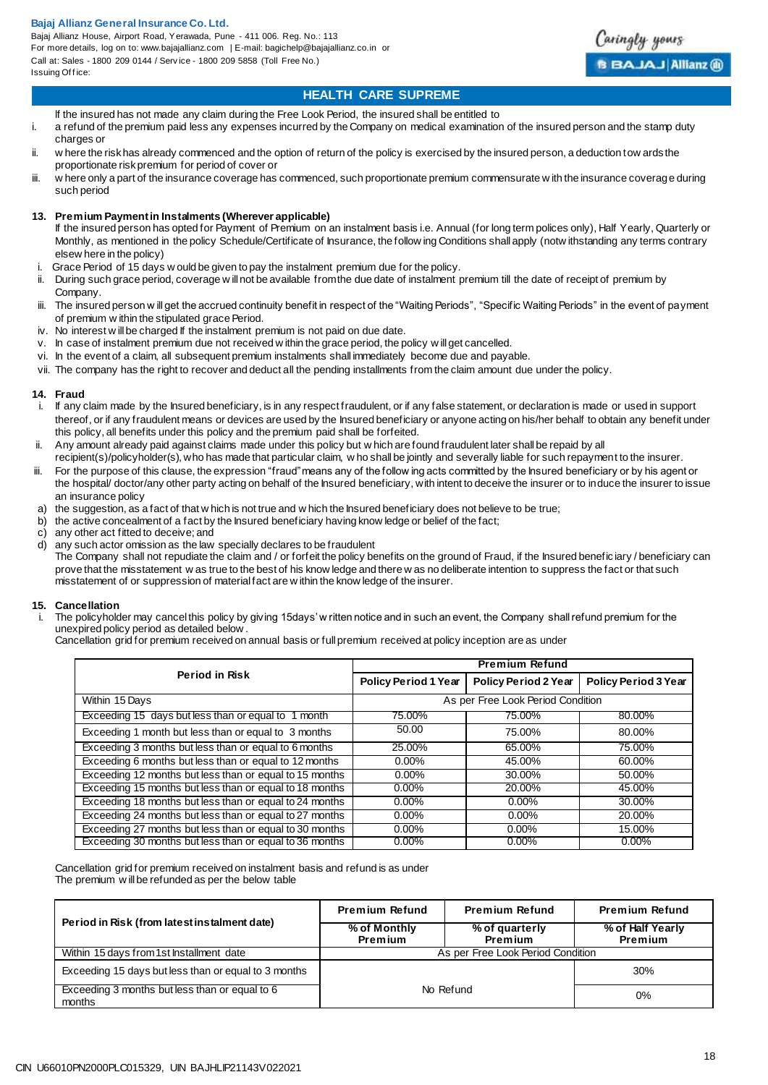Bajaj Allianz House, Airport Road, Yerawada, Pune - 411 006. Reg. No.: 113 For more details, log on to: www.bajajallianz.com | E-mail: bagichelp@bajajallianz.co.in or Call at: Sales - 1800 209 0144 / Serv ice - 1800 209 5858 (Toll Free No.) Issuing Office:



## **HEALTH CARE SUPREME**

lf the insured has not made any claim during the Free Look Period, the insured shall be entitled to

- i. a refund of the premium paid less any expenses incurred by the Company on medical examination of the insured person and the stamp duty charges or
- ii. w here the risk has already commenced and the option of return of the policy is exercised by the insured person, a deduction tow ards the proportionate risk premium for period of cover or
- iii. w here only a part of the insurance coverage has commenced, such proportionate premium commensurate w ith the insurance coverage during such period
- **13. Premium Payment in Instalments (Wherever applicable)**
	- If the insured person has opted for Payment of Premium on an instalment basis i.e. Annual (for long term polices only), Half Yearly, Quarterly or Monthly, as mentioned in the policy Schedule/Certificate of Insurance, the follow ing Conditions shall apply (notw ithstanding any terms contrary elsew here in the policy)
- i. Grace Period of 15 days w ould be given to pay the instalment premium due for the policy.<br>ii During such grace period, coverage will not be available from the due date of instalment r
- During such grace period, coverage w ill not be available from the due date of instalment premium till the date of receipt of premium by Company.
- iii. The insured person w ill get the accrued continuity benefit in respect of the "Waiting Periods", "Specific Waiting Periods" in the event of payment of premium w ithin the stipulated grace Period.
- iv. No interest w ill be charged If the instalment premium is not paid on due date.
- v. In case of instalment premium due not received w ithin the grace period, the policy w ill get cancelled.
- vi. In the event of a claim, all subsequent premium instalments shall immediately become due and payable.
- vii. The company has the right to recover and deduct all the pending installments from the claim amount due under the policy.

#### **14. Fraud**

- i. If any claim made by the Insured beneficiary, is in any respect fraudulent, or if any false statement, or declaration is made or used in support thereof, or if any fraudulent means or devices are used by the Insured beneficiary or anyone acting on his/her behalf to obtain any benefit under this policy, all benefits under this policy and the premium paid shall be forfeited.
- ii. Any amount already paid against claims made under this policy but w hich are found fraudulent later shall be repaid by all recipient(s)/policyholder(s), who has made that particular claim, w ho shall be jointly and severally liable for such repayment to the insurer.
- iii. For the purpose of this clause, the expression "fraud" means any of the follow ing acts committed by the Insured beneficiary or by his agent or the hospital/ doctor/any other party acting on behalf of the Insured beneficiary, with intent to deceive the insurer or to induce the insurer to issue an insurance policy
- a) the suggestion, as a fact of that w hich is not true and w hich the Insured beneficiary does not believe to be true;
- b) the active concealment of a fact by the Insured beneficiary having know ledge or belief of the fact;
- c) any other act fitted to deceive; and<br>d) any such actor omission as the law
- any such actor omission as the law specially declares to be fraudulent

The Company shall not repudiate the claim and / or forfeit the policy benefits on the ground of Fraud, if the Insured beneficiary / beneficiary can prove that the misstatement w as true to the best of his know ledge and there w as no deliberate intention to suppress the fact or that such misstatement of or suppression of material fact are w ithin the know ledge of the insurer.

#### **15. Cancellation**

The policyholder may cancel this policy by giving 15days' w ritten notice and in such an event, the Company shall refund premium for the unexpired policy period as detailed below .

Cancellation grid for premium received on annual basis or full premium received at policy inception are as under

|                                                         | <b>Premium Refund</b>             |                      |                             |
|---------------------------------------------------------|-----------------------------------|----------------------|-----------------------------|
| <b>Period in Risk</b>                                   | Policy Period 1 Year              | Policy Period 2 Year | <b>Policy Period 3 Year</b> |
| Within 15 Days                                          | As per Free Look Period Condition |                      |                             |
| Exceeding 15 days but less than or equal to 1 month     | 75.00%                            | 75.00%               | 80.00%                      |
| Exceeding 1 month but less than or equal to 3 months    | 50.00                             | 75.00%               | 80.00%                      |
| Exceeding 3 months but less than or equal to 6 months   | 25.00%                            | 65.00%               | 75.00%                      |
| Exceeding 6 months but less than or equal to 12 months  | $0.00\%$                          | 45.00%               | 60.00%                      |
| Exceeding 12 months but less than or equal to 15 months | $0.00\%$                          | 30.00%               | 50.00%                      |
| Exceeding 15 months but less than or equal to 18 months | $0.00\%$                          | 20.00%               | 45.00%                      |
| Exceeding 18 months but less than or equal to 24 months | $0.00\%$                          | $0.00\%$             | 30.00%                      |
| Exceeding 24 months but less than or equal to 27 months | $0.00\%$                          | $0.00\%$             | 20.00%                      |
| Exceeding 27 months but less than or equal to 30 months | $0.00\%$                          | $0.00\%$             | 15.00%                      |
| Exceeding 30 months but less than or equal to 36 months | $0.00\%$                          | $0.00\%$             | $0.00\%$                    |

Cancellation grid for premium received on instalment basis and refund is as under The premium w ill be refunded as per the below table

| Period in Risk (from latest instalment date)             | <b>Premium Refund</b>             | <b>Premium Refund</b>            | <b>Premium Refund</b>       |
|----------------------------------------------------------|-----------------------------------|----------------------------------|-----------------------------|
|                                                          | % of Monthly<br>Premium           | % of quarterly<br><b>Premium</b> | % of Half Yearly<br>Premium |
| Within 15 days from 1st Installment date                 | As per Free Look Period Condition |                                  |                             |
| Exceeding 15 days but less than or equal to 3 months     |                                   |                                  | 30%                         |
| Exceeding 3 months but less than or equal to 6<br>months | No Refund<br>0%                   |                                  |                             |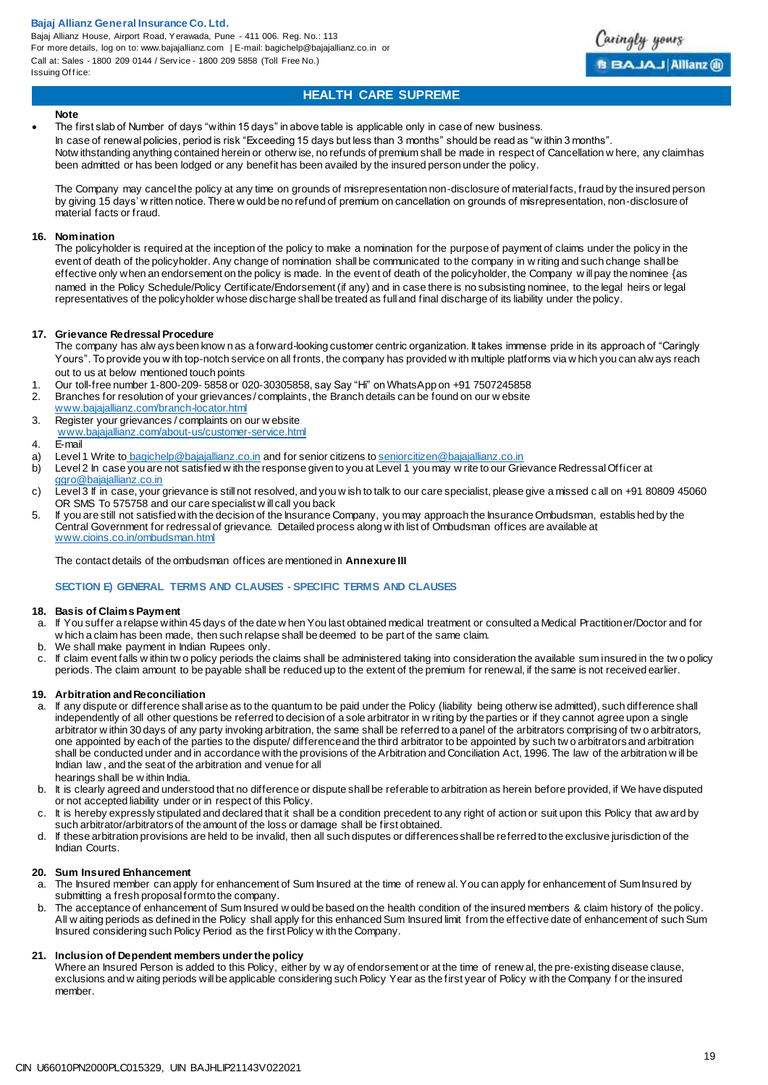Bajaj Allianz House, Airport Road, Yerawada, Pune - 411 006. Reg. No.: 113 For more details, log on to: www.bajajallianz.com | E-mail: bagichelp@bajajallianz.co.in or Call at: Sales - 1800 209 0144 / Serv ice - 1800 209 5858 (Toll Free No.) Issuing Office:



## **HEALTH CARE SUPREME**

#### **Note**

 The first slab of Number of days "within 15 days" in above table is applicable only in case of new business. In case of renewal policies, period is risk "Exceeding 15 days but less than 3 months" should be read as "w ithin 3 months". Notw ithstanding anything contained herein or otherw ise, no refunds of premium shall be made in respect of Cancellation w here, any claim has been admitted or has been lodged or any benefit has been availed by the insured person under the policy.

The Company may cancel the policy at any time on grounds of misrepresentation non-disclosure of material facts, fraud by the insured person by giving 15 days' w ritten notice. There w ould be no refund of premium on cancellation on grounds of misrepresentation, non-disclosure of material facts or fraud.

#### **16. Nomination**

The policyholder is required at the inception of the policy to make a nomination for the purpose of payment of claims under the policy in the event of death of the policyholder. Any change of nomination shall be communicated to the company in w riting and such change shall be effective only when an endorsement on the policy is made. ln the event of death of the policyholder, the Company w ill pay the nominee {as named in the Policy Schedule/Policy Certificate/Endorsement (if any) and in case there is no subsisting nominee, to the legal heirs or legal representatives of the policyholder whose discharge shall be treated as full and final discharge of its liability under the policy.

#### **17. Grievance Redressal Procedure**

The company has alw ays been know n as a forward-looking customer centric organization. It takes immense pride in its approach of "Caringly Yours". To provide you w ith top-notch service on all fronts, the company has provided w ith multiple platforms via w hich you can alw ays reach out to us at below mentioned touch points

- 1. Our toll-free number 1-800-209- 5858 or 020-30305858, say Say "Hi" on WhatsApp on +91 7507245858
- 2. Branches for resolution of your grievances / complaints, the Branch details can be found on our w ebsite
- [www.bajajallianz.com/branch-locator.html](http://www.bajajallianz.com/branch-locator.html)
- 3. Register your grievances / complaints on our w ebsite
- [www.bajajallianz.com/about-us/customer-service.html](http://www.bajajallianz.com/about-us/customer-service.html)
- 4. E-mail
- a) Level 1 Write to [bagichelp@bajajallianz.co.in](mailto:bagichelp@bajajallianz.co.in) and for senior citizens t[o seniorcitizen@bajajallianz.co.in](mailto:seniorcitizen@bajajallianz.co.in)
- b) Level 2 In case you are not satisfied w ith the response given to you at Level 1 you may w rite to our Grievance Redressal Officer at [ggro@bajajallianz.co.in](mailto:ggro@bajajallianz.co.in)
- c) Level 3 If in case, your grievance is still not resolved, and you w ish to talk to our care specialist, please give a missed c all on +91 80809 45060 OR SMS To 575758 and our care specialist w ill call you back
- 5. If you are still not satisfied with the decision of the Insurance Company, you may approach the Insurance Ombudsman, establis hed by the Central Government for redressal of grievance. Detailed process along w ith list of Ombudsman offices are available at [www.cioins.co.in/ombudsman.html](http://www.cioins.co.in/ombudsman.html)

The contact details of the ombudsman offices are mentioned in **Annexure III**

#### **SECTION E) GENERAL TERMS AND CLAUSES - SPECIFIC TERMS AND CLAUSES**

#### **18. Basis of Claims Payment**

- a. If You suffer a relapse within 45 days of the date w hen You last obtained medical treatment or consulted a Medical Practitioner/Doctor and for w hich a claim has been made, then such relapse shall be deemed to be part of the same claim.
- b. We shall make payment in Indian Rupees only.
- c. If claim event falls w ithin tw o policy periods the claims shall be administered taking into consideration the available sum insured in the tw o policy periods. The claim amount to be payable shall be reduced up to the extent of the premium for renewal, if the same is not received earlier.

#### **19. Arbitration and Reconciliation**

- a. If any dispute or difference shall arise as to the quantum to be paid under the Policy (liability being otherw ise admitted), such difference shall independently of all other questions be referred to decision of a sole arbitrator in w riting by the parties or if they cannot agree upon a single arbitrator w ithin 30 days of any party invoking arbitration, the same shall be referred to a panel of the arbitrators comprising of tw o arbitrators, one appointed by each of the parties to the dispute/ difference and the third arbitrator to be appointed by such tw o arbitrators and arbitration shall be conducted under and in accordance with the provisions of the Arbitration and Conciliation Act, 1996. The law of the arbitration w ill be Indian law , and the seat of the arbitration and venue for all hearings shall be w ithin India.
- b. It is clearly agreed and understood that no difference or dispute shall be referable to arbitration as herein before provided, if We have disputed or not accepted liability under or in respect of this Policy.
- c. It is hereby expressly stipulated and declared that it shall be a condition precedent to any right of action or suit upon this Policy that aw ard by such arbitrator/arbitrators of the amount of the loss or damage shall be first obtained.
- d. If these arbitration provisions are held to be invalid, then all such disputes or differences shall be referred to the exclusive jurisdiction of the Indian Courts.

#### **20. Sum Insured Enhancement**

- a. The Insured member can apply for enhancement of Sum Insured at the time of renew al. You can apply for enhancement of Sum Insured by submitting a fresh proposal form to the company.
- b. The acceptance of enhancement of Sum Insured w ould be based on the health condition of the insured members & claim history of the policy. All w aiting periods as defined in the Policy shall apply for this enhanced Sum Insured limit from the effective date of enhancement of such Sum Insured considering such Policy Period as the first Policy w ith the Company.

#### **21. Inclusion of Dependent members under the policy**

Where an Insured Person is added to this Policy, either by w ay of endorsement or at the time of renew al, the pre-existing disease clause, exclusions and w aiting periods will be applicable considering such Policy Year as the first year of Policy w ith the Company f or the insured member.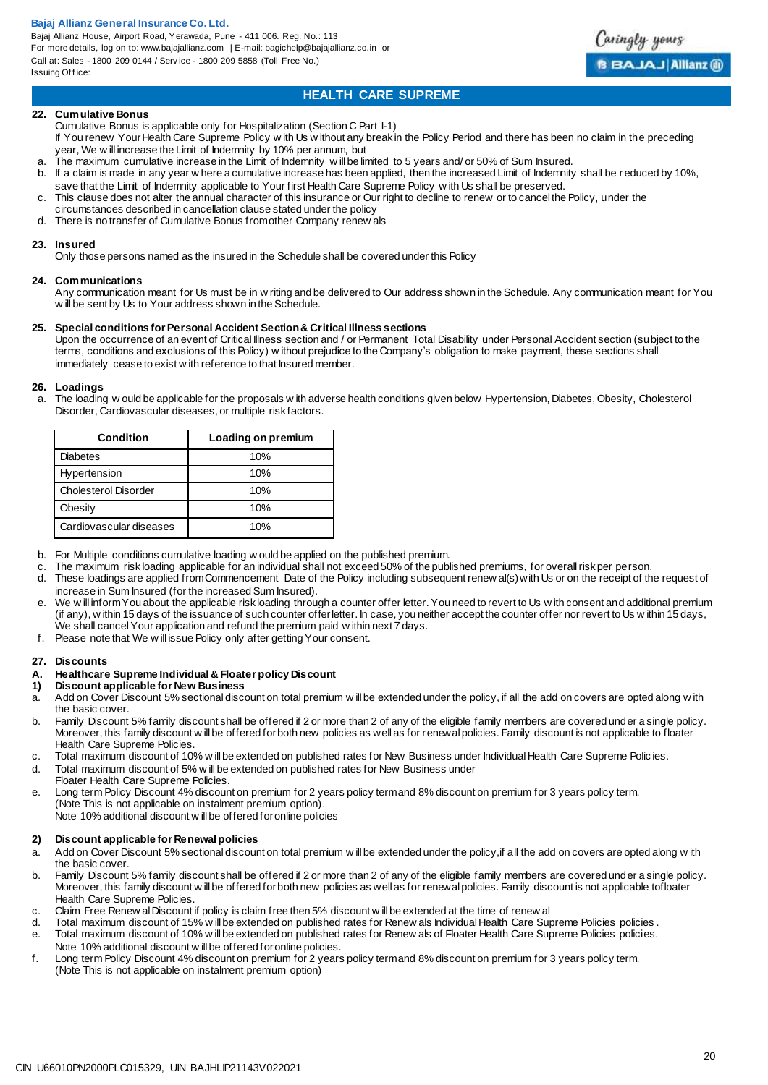Bajaj Allianz House, Airport Road, Yerawada, Pune - 411 006. Reg. No.: 113 For more details, log on to: www.bajajallianz.com | E-mail: bagichelp@bajajallianz.co.in or Call at: Sales - 1800 209 0144 / Serv ice - 1800 209 5858 (Toll Free No.) Issuing Office:



## **HEALTH CARE SUPREME**

#### **22. Cumulative Bonus**

Cumulative Bonus is applicable only for Hospitalization (Section C Part I-1) If You renew Your Health Care Supreme Policy w ith Us w ithout any break in the Policy Period and there has been no claim in the preceding year, We w ill increase the Limit of Indemnity by 10% per annum, but

- a. The maximum cumulative increase in the Limit of Indemnity will be limited to 5 years and/ or 50% of Sum Insured.
- If a claim is made in any year w here a cumulative increase has been applied, then the increased Limit of Indemnity shall be reduced by 10%, save that the Limit of Indemnity applicable to Your first Health Care Supreme Policy w ith Us shall be preserved.
- c. This clause does not alter the annual character of this insurance or Our right to decline to renew or to cancel the Policy, under the
- circumstances described in cancellation clause stated under the policy
- d. There is no transfer of Cumulative Bonus from other Company renew als

#### **23. Insured**

Only those persons named as the insured in the Schedule shall be covered under this Policy

#### **24. Communications**

Any communication meant for Us must be in w riting and be delivered to Our address shown in the Schedule. Any communication meant for You w ill be sent by Us to Your address shown in the Schedule.

#### **25. Special conditions for Personal Accident Section & Critical Illness sections**

Upon the occurrence of an event of Critical Illness section and / or Permanent Total Disability under Personal Accident section (subject to the terms, conditions and exclusions of this Policy) w ithout prejudice to the Company's obligation to make payment, these sections shall immediately cease to exist w ith reference to that Insured member.

## **26. Loadings**

The loading w ould be applicable for the proposals w ith adverse health conditions given below Hypertension, Diabetes, Obesity, Cholesterol Disorder, Cardiovascular diseases, or multiple risk factors.

| <b>Condition</b>        | Loading on premium |
|-------------------------|--------------------|
| <b>Diabetes</b>         | 10%                |
| Hypertension            | 10%                |
| Cholesterol Disorder    | 10%                |
| Obesity                 | 10%                |
| Cardiovascular diseases | 10%                |

- b. For Multiple conditions cumulative loading w ould be applied on the published premium.
- c. The maximum risk loading applicable for an individual shall not exceed 50% of the published premiums, for overall risk per person.
- These loadings are applied from Commencement Date of the Policy including subsequent renew al(s) with Us or on the receipt of the request of increase in Sum Insured (for the increased Sum Insured).
- e. We w ill inform You about the applicable risk loading through a counter offer letter. You need to revert to Us w ith consent and additional premium (if any), w ithin 15 days of the issuance of such counter offer letter. In case, you neither accept the counter offer nor revert to Us w ithin 15 days, We shall cancel Your application and refund the premium paid w ithin next 7 days.
- f. Please note that We w ill issue Policy only after getting Your consent.

#### **27. Discounts**

# **A. Healthcare Supreme Individual & Floater policy Discount**

#### **1) Discount applicable for New Business**

- a. Add on Cover Discount 5% sectional discount on total premium w ill be extended under the policy, if all the add on covers are opted along w ith the basic cover.
- b. Family Discount 5% family discount shall be offered if 2 or more than 2 of any of the eligible family members are covered under a single policy. Moreover, this family discount w ill be offered for both new policies as well as for renewal policies. Family discount is not applicable to floater Health Care Supreme Policies.
- c. Total maximum discount of 10% w ill be extended on published rates for New Business under Individual Health Care Supreme Polic ies.
- d. Total maximum discount of 5% w ill be extended on published rates for New Business under Floater Health Care Supreme Policies.
- e. Long term Policy Discount 4% discount on premium for 2 years policy term and 8% discount on premium for 3 years policy term. (Note This is not applicable on instalment premium option). Note 10% additional discount w ill be offered for online policies

## **2) Discount applicable for Renewal policies**

- a. Add on Cover Discount 5% sectional discount on total premium w ill be extended under the policy,if all the add on covers are opted along w ith the basic cover.
- b. Family Discount 5% family discount shall be offered if 2 or more than 2 of any of the eligible family members are covered under a single policy. Moreover, this family discount w ill be offered for both new policies as well as for renewal policies. Family discount is not applicable tofloater Health Care Supreme Policies.
- c. Claim Free Renew al Discount if policy is claim free then 5% discount w ill be extended at the time of renew all<br>detailed the maximum discount of 15% will be extended on published rates for Renew als Individual Health C
- Total maximum discount of 15% w ill be extended on published rates for Renew als Individual Health Care Supreme Policies policies .
- e. Total maximum discount of 10% w ill be extended on published rates for Renew als of Floater Health Care Supreme Policies policies. Note 10% additional discount w ill be offered for online policies.
- f. Long term Policy Discount 4% discount on premium for 2 years policy term and 8% discount on premium for 3 years policy term. (Note This is not applicable on instalment premium option)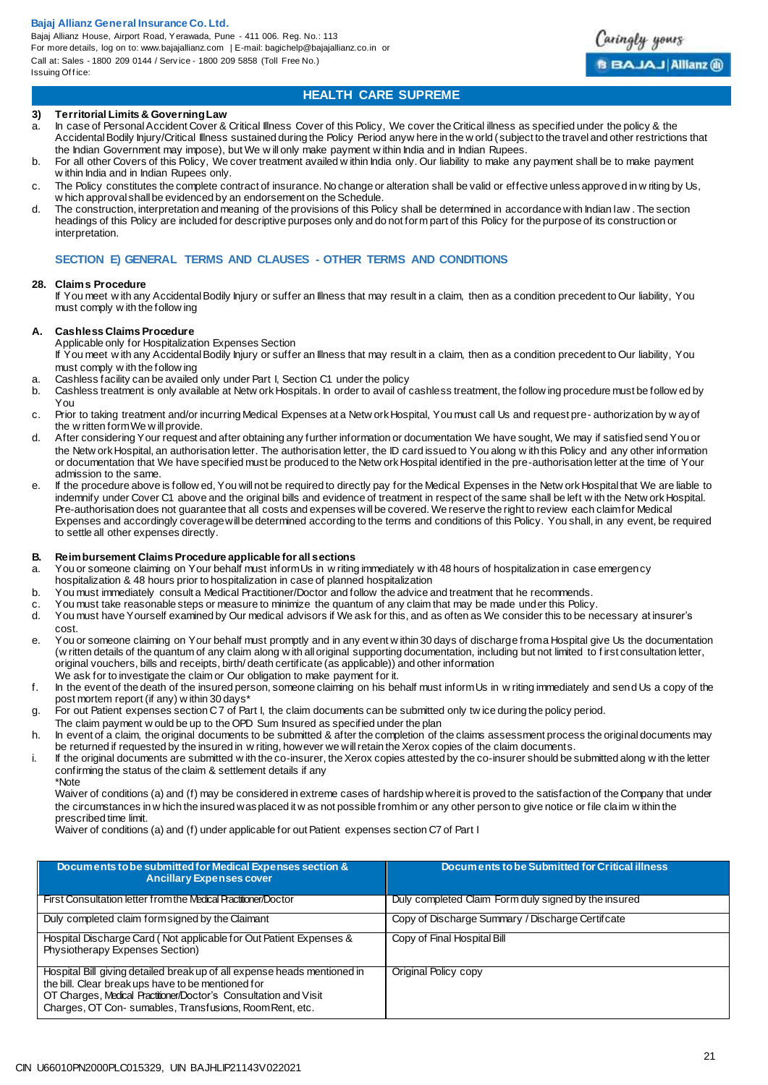Bajaj Allianz House, Airport Road, Yerawada, Pune - 411 006. Reg. No.: 113 For more details, log on to: www.bajajallianz.com | E-mail: bagichelp@bajajallianz.co.in or Call at: Sales - 1800 209 0144 / Serv ice - 1800 209 5858 (Toll Free No.) Issuing Office:



## **HEALTH CARE SUPREME**

#### **3) Territorial Limits & Governing Law**

- In case of Personal Accident Cover & Critical Illness Cover of this Policy, We cover the Critical illness as specified under the policy & the Accidental Bodily Injury/Critical Illness sustained during the Policy Period anyw here in the w orld (subject to the travel and other restrictions that the Indian Government may impose), but We w ill only make payment w ithin India and in Indian Rupees.
- b. For all other Covers of this Policy, We cover treatment availed w ithin India only. Our liability to make any payment shall be to make payment w ithin India and in Indian Rupees only.
- c. The Policy constitutes the complete contract of insurance. No change or alteration shall be valid or effective unless approved in w riting by Us, w hich approval shall be evidenced by an endorsement on the Schedule.
- d. The construction, interpretation and meaning of the provisions of this Policy shall be determined in accordance with Indian law . The section headings of this Policy are included for descriptive purposes only and do not form part of this Policy for the purpose of its construction or interpretation.

## **SECTION E) GENERAL TERMS AND CLAUSES - OTHER TERMS AND CONDITIONS**

#### **28. Claims Procedure**

If You meet w ith any Accidental Bodily Injury or suffer an Illness that may result in a claim, then as a condition precedent to Our liability, You must comply w ith the follow ing

#### **A. Cashless Claims Procedure**

Applicable only for Hospitalization Expenses Section

If You meet w ith any Accidental Bodily Injury or suffer an Illness that may result in a claim, then as a condition precedent to Our liability, You must comply w ith the follow ing

- a. Cashless facility can be availed only under Part I, Section C1 under the policy
- Cashless treatment is only available at Netw ork Hospitals. In order to avail of cashless treatment, the follow ing procedure must be follow ed by You
- c. Prior to taking treatment and/or incurring Medical Expenses at a Netw ork Hospital, You must call Us and request pre- authorization by w ay of the w ritten form We w ill provide.
- d. After considering Your request and after obtaining any further information or documentation We have sought, We may if satisfied send You or the Netw ork Hospital, an authorisation letter. The authorisation letter, the ID card issued to You along w ith this Policy and any other information or documentation that We have specified must be produced to the Netw ork Hospital identified in the pre-authorisation letter at the time of Your admission to the same.
- e. If the procedure above is follow ed, You will not be required to directly pay for the Medical Expenses in the Netw ork Hospital that We are liable to indemnify under Cover C1 above and the original bills and evidence of treatment in respect of the same shall be left w ith the Netw ork Hospital. Pre-authorisation does not guarantee that all costs and expenses will be covered. We reserve the right to review each claim for Medical Expenses and accordingly coverage will be determined according to the terms and conditions of this Policy. You shall, in any event, be required to settle all other expenses directly.

#### **B. Reimbursement Claims Procedure applicable for all sections**

- a. You or someone claiming on Your behalf must inform Us in w riting immediately w ith 48 hours of hospitalization in case emergency hospitalization & 48 hours prior to hospitalization in case of planned hospitalization
- b. You must immediately consult a Medical Practitioner/Doctor and follow the advice and treatment that he recommends.
- c. You must take reasonable steps or measure to minimize the quantum of any claim that may be made under this Policy.
- d. You must have Yourself examined by Our medical advisors if We ask for this, and as often as We consider this to be necessary at insurer's cost.
- e. You or someone claiming on Your behalf must promptly and in any event w ithin 30 days of discharge from a Hospital give Us the documentation (w ritten details of the quantum of any claim along w ith all original supporting documentation, including but not limited to f irst consultation letter, original vouchers, bills and receipts, birth/ death certificate (as applicable)) and other information We ask for to investigate the claim or Our obligation to make payment for it.
- f. In the event of the death of the insured person, someone claiming on his behalf must inform Us in w riting immediately and send Us a copy of the post mortem report (if any) w ithin 30 days\*
- g. For out Patient expenses section C 7 of Part I, the claim documents can be submitted only tw ice during the policy period.
- The claim payment w ould be up to the OPD Sum Insured as specified under the plan
- h. In event of a claim, the original documents to be submitted & after the completion of the claims assessment process the original documents may be returned if requested by the insured in w riting, however we will retain the Xerox copies of the claim documents.
- i. If the original documents are submitted w ith the co-insurer, the Xerox copies attested by the co-insurer should be submitted along w ith the letter confirming the status of the claim & settlement details if any \*Note

Waiver of conditions (a) and (f) may be considered in extreme cases of hardship where it is proved to the satisfaction of the Company that under the circumstances in w hich the insured was placed it w as not possible from him or any other person to give notice or file claim w ithin the prescribed time limit.

Waiver of conditions (a) and (f) under applicable for out Patient expenses section C7 of Part I

| Documents to be submitted for Medical Expenses section &<br><b>Ancillary Expenses cover</b>                                                                                                                                                                   | Documents to be Submitted for Critical illness       |
|---------------------------------------------------------------------------------------------------------------------------------------------------------------------------------------------------------------------------------------------------------------|------------------------------------------------------|
| First Consultation letter from the Medical Practitioner/Doctor                                                                                                                                                                                                | Duly completed Claim Form duly signed by the insured |
| Duly completed claim form signed by the Claimant                                                                                                                                                                                                              | Copy of Discharge Summary / Discharge Certifcate     |
| Hospital Discharge Card (Not applicable for Out Patient Expenses &<br>Physiotherapy Expenses Section)                                                                                                                                                         | Copy of Final Hospital Bill                          |
| Hospital Bill giving detailed break up of all expense heads mentioned in<br>the bill. Clear break ups have to be mentioned for<br>OT Charges, Medical Practitioner/Doctor's Consultation and Visit<br>Charges, OT Con-sumables, Transfusions, Room Rent, etc. | Original Policy copy                                 |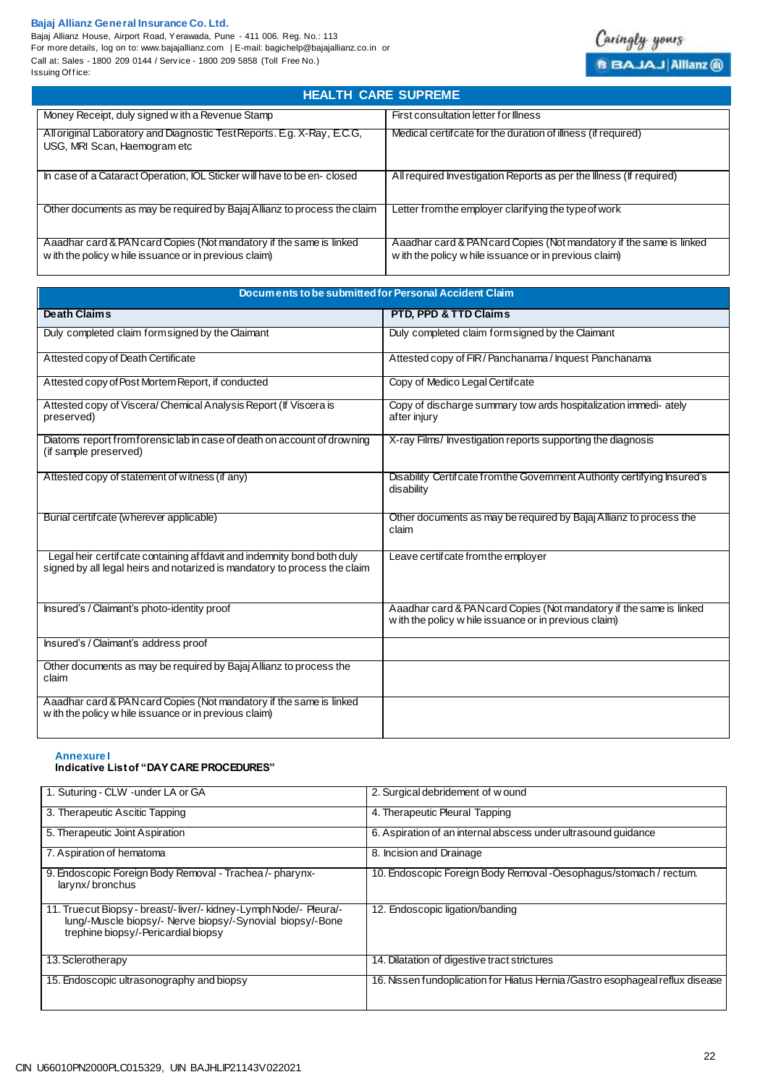Bajaj Allianz House, Airport Road, Yerawada, Pune - 411 006. Reg. No.: 113 For more details, log on to: www.bajajallianz.com | E-mail: bagichelp@bajajallianz.co.in or Call at: Sales - 1800 209 0144 / Serv ice - 1800 209 5858 (Toll Free No.) Issuir

| ii at: Sales - 1800 209 0144 / Service - 1800 209 5858 (Toll Free No.)<br>uing Office:                                        | <b>BBAJAJ Allianz (i)</b>                                                                                                     |
|-------------------------------------------------------------------------------------------------------------------------------|-------------------------------------------------------------------------------------------------------------------------------|
| <b>HEALTH CARE SUPREME</b>                                                                                                    |                                                                                                                               |
| Money Receipt, duly signed w ith a Revenue Stamp                                                                              | First consultation letter for Illness                                                                                         |
| All original Laboratory and Diagnostic Test Reports. E.g. X-Ray, E.C.G,<br>USG, MRI Scan, Haemogram etc                       | Medical certificate for the duration of illness (if required)                                                                 |
| In case of a Cataract Operation, IOL Sticker will have to be en-closed                                                        | All required Investigation Reports as per the Illness (If required)                                                           |
| Other documents as may be required by Bajaj Allianz to process the claim                                                      | Letter from the employer clarifying the type of work                                                                          |
| Aaadhar card & PAN card Copies (Not mandatory if the same is linked<br>w ith the policy w hile issuance or in previous claim) | Aaadhar card & PAN card Copies (Not mandatory if the same is linked<br>w ith the policy w hile issuance or in previous claim) |

| Documents to be submitted for Personal Accident Claim                                                                                               |                                                                                                                               |  |
|-----------------------------------------------------------------------------------------------------------------------------------------------------|-------------------------------------------------------------------------------------------------------------------------------|--|
| <b>Death Claims</b>                                                                                                                                 | PTD, PPD & TTD Claims                                                                                                         |  |
| Duly completed claim form signed by the Claimant                                                                                                    | Duly completed claim form signed by the Claimant                                                                              |  |
| Attested copy of Death Certificate                                                                                                                  | Attested copy of FIR/Panchanama/Inquest Panchanama                                                                            |  |
| Attested copy of Post Mortem Report, if conducted                                                                                                   | Copy of Medico Legal Certifcate                                                                                               |  |
| Attested copy of Viscera/Chemical Analysis Report (If Viscera is<br>preserved)                                                                      | Copy of discharge summary tow ards hospitalization immedi-ately<br>after injury                                               |  |
| Diatoms report from forensic lab in case of death on account of drowning<br>(if sample preserved)                                                   | X-ray Films/Investigation reports supporting the diagnosis                                                                    |  |
| Attested copy of statement of witness (if any)                                                                                                      | Disability Certif cate from the Government Authority certifying Insured's<br>disability                                       |  |
| Burial certificate (wherever applicable)                                                                                                            | Other documents as may be required by Bajaj Allianz to process the<br>claim                                                   |  |
| Legal heir certifcate containing affdavit and indemnity bond both duly<br>signed by all legal heirs and notarized is mandatory to process the claim | Leave certif cate from the employer                                                                                           |  |
| Insured's / Claimant's photo-identity proof                                                                                                         | Aaadhar card & PAN card Copies (Not mandatory if the same is linked<br>w ith the policy w hile issuance or in previous claim) |  |
| Insured's / Claimant's address proof                                                                                                                |                                                                                                                               |  |
| Other documents as may be required by Bajaj Allianz to process the<br>claim                                                                         |                                                                                                                               |  |
| Aaadhar card & PAN card Copies (Not mandatory if the same is linked<br>w ith the policy w hile issuance or in previous claim)                       |                                                                                                                               |  |

**Annexure I**

## **Indicative List of "DAY CARE PROCEDURES"**

| 1. Suturing - CLW - under LA or GA                                                                                                                                     | 2. Surgical debridement of wound                                               |
|------------------------------------------------------------------------------------------------------------------------------------------------------------------------|--------------------------------------------------------------------------------|
| 3. Therapeutic Ascitic Tapping                                                                                                                                         | 4. Therapeutic Pleural Tapping                                                 |
| 5. Therapeutic Joint Aspiration                                                                                                                                        | 6. Aspiration of an internal abscess under ultrasound guidance                 |
| 7. Aspiration of hematoma                                                                                                                                              | 8. Incision and Drainage                                                       |
| 9. Endoscopic Foreign Body Removal - Trachea /- pharynx-<br>larynx/bronchus                                                                                            | 10. Endoscopic Foreign Body Removal - Oesophagus/stomach / rectum.             |
| 11. True cut Biopsy - breast/-liver/- kidney-Lymph Node/- Pleura/-<br>lung/-Muscle biopsy/- Nerve biopsy/-Synovial biopsy/-Bone<br>trephine biopsy/-Pericardial biopsy | 12. Endoscopic ligation/banding                                                |
| 13. Sclerotherapy                                                                                                                                                      | 14. Dilatation of digestive tract strictures                                   |
| 15. Endoscopic ultrasonography and biopsy                                                                                                                              | 16. Nissen fundoplication for Hiatus Hernia / Gastro esophageal reflux disease |

Caringly yours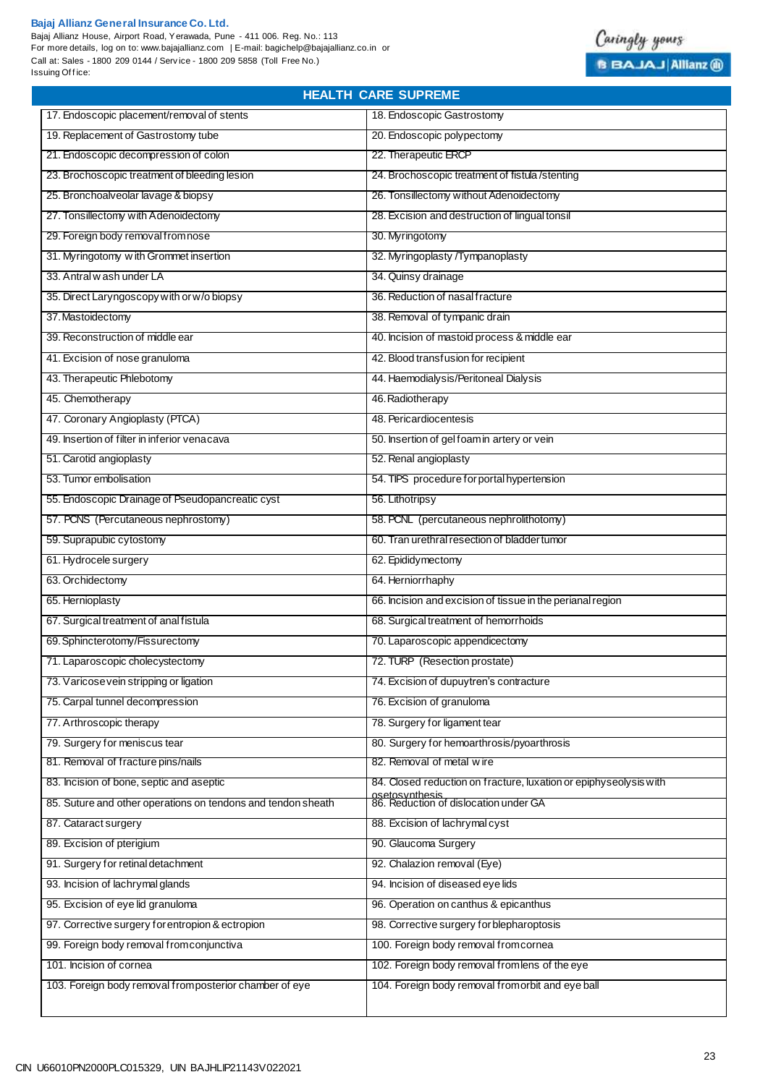I.

Bajaj Allianz House, Airport Road, Yerawada, Pune - 411 006. Reg. No.: 113 For more details, log on to: www.bajajallianz.com | E-mail: bagichelp@bajajallianz.co.in or Call at: Sales - 1800 209 0144 / Serv ice - 1800 209 5858 (Toll Free No.) Issuing Office:



| <b>HEALTH CARE SUPREME</b>                                   |                                                                   |  |
|--------------------------------------------------------------|-------------------------------------------------------------------|--|
| 17. Endoscopic placement/removal of stents                   | 18. Endoscopic Gastrostomy                                        |  |
| 19. Replacement of Gastrostomy tube                          | 20. Endoscopic polypectomy                                        |  |
| 21. Endoscopic decompression of colon                        | 22. Therapeutic ERCP                                              |  |
| 23. Brochoscopic treatment of bleeding lesion                | 24. Brochoscopic treatment of fistula/stenting                    |  |
| 25. Bronchoalveolar lavage & biopsy                          | 26. Tonsillectomy without Adenoidectomy                           |  |
| 27. Tonsillectomy with Adenoidectomy                         | 28. Excision and destruction of lingual tonsil                    |  |
| 29. Foreign body removal from nose                           | 30. Myringotomy                                                   |  |
| 31. Myringotomy with Grommet insertion                       | 32. Myringoplasty /Tympanoplasty                                  |  |
| 33. Antral w ash under LA                                    | 34. Quinsy drainage                                               |  |
| 35. Direct Laryngoscopy with or w/o biopsy                   | 36. Reduction of nasal fracture                                   |  |
| 37. Mastoidectomy                                            | 38. Removal of tympanic drain                                     |  |
| 39. Reconstruction of middle ear                             | 40. Incision of mastoid process & middle ear                      |  |
| 41. Excision of nose granuloma                               | 42. Blood transfusion for recipient                               |  |
| 43. Therapeutic Phlebotomy                                   | 44. Haemodialysis/Peritoneal Dialysis                             |  |
| 45. Chemotherapy                                             | 46. Radiotherapy                                                  |  |
| 47. Coronary Angioplasty (PTCA)                              | 48. Pericardiocentesis                                            |  |
| 49. Insertion of filter in inferior venacava                 | 50. Insertion of gel foamin artery or vein                        |  |
| 51. Carotid angioplasty                                      | 52. Renal angioplasty                                             |  |
| 53. Tumor embolisation                                       | 54. TIPS procedure for portal hypertension                        |  |
| 55. Endoscopic Drainage of Pseudopancreatic cyst             | 56. Lithotripsy                                                   |  |
| 57. PCNS (Percutaneous nephrostomy)                          | 58. PCNL (percutaneous nephrolithotomy)                           |  |
| 59. Suprapubic cytostomy                                     | 60. Tran urethral resection of bladder tumor                      |  |
| 61. Hydrocele surgery                                        | 62. Epididy mectomy                                               |  |
| 63. Orchidectomy                                             | 64. Herniorrhaphy                                                 |  |
| 65. Hernioplasty                                             | 66. Incision and excision of tissue in the perianal region        |  |
| 67. Surgical treatment of anal fistula                       | 68. Surgical treatment of hemorrhoids                             |  |
| 69. Sphincterotomy/Fissurectomy                              | 70. Laparoscopic appendicectomy                                   |  |
| 71. Laparoscopic cholecystectomy                             | 72. TURP (Resection prostate)                                     |  |
| 73. Varicose vein stripping or ligation                      | 74. Excision of dupuytren's contracture                           |  |
| 75. Carpal tunnel decompression                              | 76. Excision of granuloma                                         |  |
| 77. Arthroscopic therapy                                     | 78. Surgery for ligament tear                                     |  |
| 79. Surgery for meniscus tear                                | 80. Surgery for hemoarthrosis/pyoarthrosis                        |  |
| 81. Removal of fracture pins/nails                           | 82. Removal of metal wire                                         |  |
| 83. Incision of bone, septic and aseptic                     | 84. Closed reduction on fracture, luxation or epiphyseolysis with |  |
| 85. Suture and other operations on tendons and tendon sheath | osetosynthesis<br>86. Reduction of dislocation under GA           |  |
| 87. Cataract surgery                                         | 88. Excision of lachrymal cyst                                    |  |
| 89. Excision of pterigium                                    | 90. Glaucoma Surgery                                              |  |
| 91. Surgery for retinal detachment                           | 92. Chalazion removal (Eye)                                       |  |
| 93. Incision of lachrymal glands                             | 94. Incision of diseased eye lids                                 |  |
| 95. Excision of eye lid granuloma                            | 96. Operation on canthus & epicanthus                             |  |
| 97. Corrective surgery for entropion & ectropion             | 98. Corrective surgery for blepharoptosis                         |  |
| 99. Foreign body removal from conjunctiva                    | 100. Foreign body removal from cornea                             |  |
| 101. Incision of cornea                                      | 102. Foreign body removal from lens of the eye                    |  |
| 103. Foreign body removal fromposterior chamber of eye       | 104. Foreign body removal fromorbit and eye ball                  |  |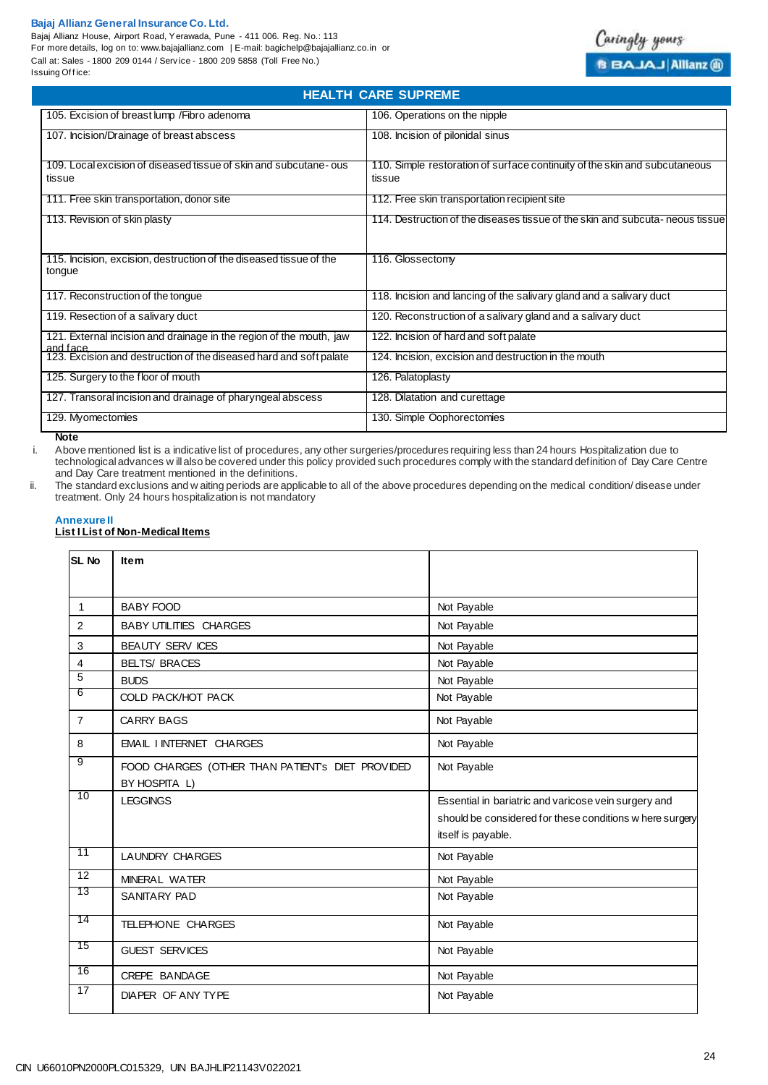Bajaj Allianz House, Airport Road, Yerawada, Pune - 411 006. Reg. No.: 113 For more details, log on to: www.bajajallianz.com | E-mail: bagichelp@bajajallianz.co.in or Call at: Sales - 1800 209 0144 / Serv ice - 1800 209 5858 (Toll Free No.) Issuing Office:

| <b>HEALTH CARE SUPREME</b>                                                      |                                                                                      |  |
|---------------------------------------------------------------------------------|--------------------------------------------------------------------------------------|--|
| 105. Excision of breast lump / Fibro adenoma                                    | 106. Operations on the nipple                                                        |  |
| 107. Incision/Drainage of breast abscess                                        | 108. Incision of pilonidal sinus                                                     |  |
| 109. Local excision of diseased tissue of skin and subcutane-ous<br>tissue      | 110. Simple restoration of surface continuity of the skin and subcutaneous<br>tissue |  |
| 111. Free skin transportation, donor site                                       | 112. Free skin transportation recipient site                                         |  |
| 113. Revision of skin plasty                                                    | 114. Destruction of the diseases tissue of the skin and subcuta-neous tissue         |  |
| 115. Incision, excision, destruction of the diseased tissue of the<br>tongue    | 116. Glossectomy                                                                     |  |
| 117. Reconstruction of the tongue                                               | 118. Incision and lancing of the salivary gland and a salivary duct                  |  |
| 119. Resection of a salivary duct                                               | 120. Reconstruction of a salivary gland and a salivary duct                          |  |
| 121. External incision and drainage in the region of the mouth, jaw<br>and face | 122. Incision of hard and soft palate                                                |  |
| 123. Excision and destruction of the diseased hard and soft palate              | 124. Incision, excision and destruction in the mouth                                 |  |
| 125. Surgery to the floor of mouth                                              | 126. Palatoplasty                                                                    |  |
| 127. Transoral incision and drainage of pharyngeal abscess                      | 128. Dilatation and curettage                                                        |  |
| 129. Myomectomies                                                               | 130. Simple Oophorectomies                                                           |  |

**Note**

i. Above mentioned list is a indicative list of procedures, any other surgeries/procedures requiring less than 24 hours Hospitalization due to technological advances w ill also be covered under this policy provided such procedures comply with the standard definition of Day Care Centre and Day Care treatment mentioned in the definitions.

ii. The standard exclusions and w aiting periods are applicable to all of the above procedures depending on the medical condition/ disease under treatment. Only 24 hours hospitalization is not mandatory

#### **Annexure II**

### **List I List of Non-Medical Items**

| <b>SL No</b>    | <b>Item</b>                                      |                                                          |
|-----------------|--------------------------------------------------|----------------------------------------------------------|
|                 |                                                  |                                                          |
| $\mathbf{1}$    | <b>BABY FOOD</b>                                 | Not Payable                                              |
| 2               | <b>BABY UTILITIES CHARGES</b>                    | Not Payable                                              |
| 3               | <b>BEAUTY SERV ICES</b>                          | Not Payable                                              |
| 4               | <b>BELTS/ BRACES</b>                             | Not Payable                                              |
| $\overline{5}$  | <b>BUDS</b>                                      | Not Payable                                              |
| 6               | COLD PACK/HOT PACK                               | Not Payable                                              |
| $\overline{7}$  | <b>CARRY BAGS</b>                                | Not Payable                                              |
| 8               | <b>EMAIL INTERNET CHARGES</b>                    | Not Payable                                              |
| 9               | FOOD CHARGES (OTHER THAN PATIENT's DIET PROVIDED | Not Payable                                              |
|                 | BY HOSPITA L)                                    |                                                          |
| 10              | <b>LEGGINGS</b>                                  | Essential in bariatric and varicose vein surgery and     |
|                 |                                                  | should be considered for these conditions w here surgery |
|                 |                                                  | itself is payable.                                       |
| 11              | LAUNDRY CHARGES                                  | Not Payable                                              |
| 12              | MINERAL WATER                                    | Not Payable                                              |
| 13              | SANITARY PAD                                     | Not Payable                                              |
| 14              | TELEPHONE CHARGES                                | Not Payable                                              |
| 15              | <b>GUEST SERVICES</b>                            | Not Payable                                              |
| $\overline{16}$ | CREPE BANDAGE                                    | Not Payable                                              |
| 17              | DIAPER OF ANY TYPE                               | Not Payable                                              |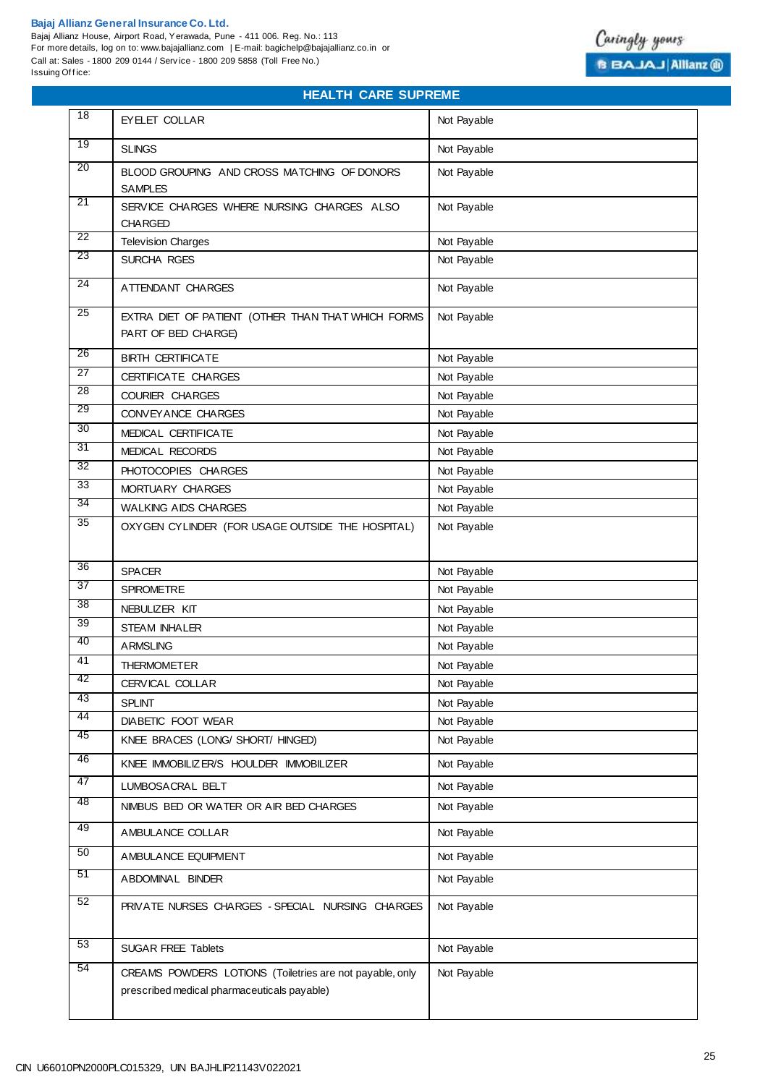#### **Bajaj Allianz General Insurance Co. Ltd.**  Bajaj Allianz House, Airport Road, Yerawada, Pune - 411 006. Reg. No.: 113 For more details, log on to: www.bajajallianz.com | E-mail: bagichelp@bajajallianz.co.in or Call at: Sales - 1800 209 0144 / Serv ice - 1800 209 5858 (Toll Free No.) Issuing Office:



## **HEALTH CARE SUPREME**

| $\overline{18}$ | <b>EYELET COLLAR</b>                                                                                    | Not Payable |
|-----------------|---------------------------------------------------------------------------------------------------------|-------------|
| 19              | <b>SLINGS</b>                                                                                           | Not Payable |
| $\overline{20}$ | BLOOD GROUPING AND CROSS MATCHING OF DONORS                                                             | Not Payable |
|                 | <b>SAMPLES</b>                                                                                          |             |
| 21              | SERVICE CHARGES WHERE NURSING CHARGES ALSO<br><b>CHARGED</b>                                            | Not Payable |
| 22              | <b>Television Charges</b>                                                                               | Not Payable |
| 23              | SURCHA RGES                                                                                             | Not Payable |
| $\overline{24}$ | ATTENDANT CHARGES                                                                                       | Not Payable |
| 25              | EXTRA DIET OF PATIENT (OTHER THAN THAT WHICH FORMS<br>PART OF BED CHARGE)                               | Not Payable |
| 26              | <b>BIRTH CERTIFICATE</b>                                                                                | Not Payable |
| 27              | CERTIFICATE CHARGES                                                                                     | Not Payable |
| $\overline{28}$ | <b>COURIER CHARGES</b>                                                                                  | Not Payable |
| 29              | CONVEY ANCE CHARGES                                                                                     | Not Payable |
| $\overline{30}$ | MEDICAL CERTIFICATE                                                                                     | Not Payable |
| 31              | MEDICAL RECORDS                                                                                         | Not Payable |
| $\overline{32}$ | PHOTOCOPIES CHARGES                                                                                     | Not Payable |
| $\overline{33}$ | MORTUARY CHARGES                                                                                        | Not Payable |
| 34              | <b>WALKING AIDS CHARGES</b>                                                                             | Not Payable |
| 35              | OXYGEN CYLINDER (FOR USAGE OUTSIDE THE HOSPITAL)                                                        | Not Payable |
|                 |                                                                                                         |             |
| 36              | <b>SPACER</b>                                                                                           | Not Payable |
| 37              | <b>SPIROMETRE</b>                                                                                       | Not Payable |
| $\overline{38}$ | NEBULIZER KIT                                                                                           | Not Payable |
| 39<br>40        | <b>STEAM INHALER</b>                                                                                    | Not Payable |
|                 | <b>ARMSLING</b>                                                                                         | Not Payable |
| 41              | <b>THERMOMETER</b>                                                                                      | Not Payable |
| 42              | CERVICAL COLLAR                                                                                         | Not Payable |
| 43<br>44        | SPLINT                                                                                                  | Not Payable |
| 45              | DIABETIC FOOT WEAR                                                                                      | Not Payable |
|                 | KNEE BRACES (LONG/ SHORT/ HINGED)                                                                       | Not Payable |
| 46              | KNEE IMMOBILIZER/S HOULDER IMMOBILIZER                                                                  | Not Payable |
| 47              | LUMBOSACRAL BELT                                                                                        | Not Payable |
| 48              | NIMBUS BED OR WATER OR AIR BED CHARGES                                                                  | Not Payable |
| 49              | AMBULANCE COLLAR                                                                                        | Not Payable |
| 50              | AMBULANCE EQUIPMENT                                                                                     | Not Payable |
| 51              | ABDOMINAL BINDER                                                                                        | Not Payable |
| 52              | PRIVATE NURSES CHARGES - SPECIAL NURSING CHARGES                                                        | Not Payable |
| 53              | <b>SUGAR FREE Tablets</b>                                                                               | Not Payable |
| 54              | CREAMS POWDERS LOTIONS (Toiletries are not payable, only<br>prescribed medical pharmaceuticals payable) | Not Payable |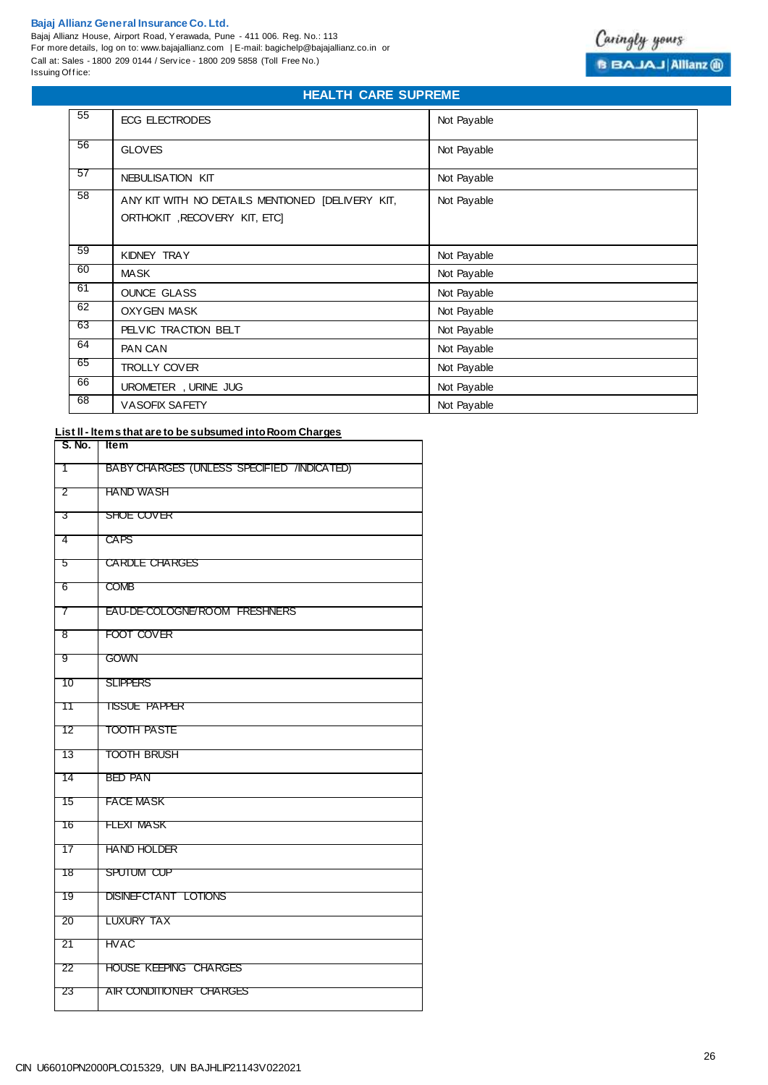Bajaj Allianz House, Airport Road, Yerawada, Pune - 411 006. Reg. No.: 113 For more details, log on to: www.bajajallianz.com | E-mail: bagichelp@bajajallianz.co.in or Call at: Sales - 1800 209 0144 / Serv ice - 1800 209 5858 (Toll Free No.) Issuing Office:



## **HEALTH CARE SUPREME**

| 55 | ECG ELECTRODES                                                                   | Not Payable |
|----|----------------------------------------------------------------------------------|-------------|
| 56 | <b>GLOVES</b>                                                                    | Not Payable |
| 57 | NEBULISATION KIT                                                                 | Not Payable |
| 58 | ANY KIT WITH NO DETAILS MENTIONED [DELIVERY KIT,<br>ORTHOKIT, RECOVERY KIT, ETC] | Not Payable |
| 59 | KIDNEY TRAY                                                                      | Not Payable |
| 60 | <b>MASK</b>                                                                      | Not Payable |
| 61 | <b>OUNCE GLASS</b>                                                               | Not Payable |
| 62 | <b>OXYGEN MASK</b>                                                               | Not Payable |
| 63 | PELVIC TRACTION BELT                                                             | Not Payable |
| 64 | PAN CAN                                                                          | Not Payable |
| 65 | <b>TROLLY COVER</b>                                                              | Not Payable |
| 66 | UROMETER, URINE JUG                                                              | Not Payable |
| 68 | <b>VASOFIX SAFETY</b>                                                            | Not Payable |

## **List ll - ltems that are to be subsumed into Room Charges**

| S. No.          | <b>Item</b>                                |
|-----------------|--------------------------------------------|
| ີ 1             | BABY CHARGES (UNLESS SPECIFIED /INDICATED) |
| $\overline{2}$  | <b>HAND WASH</b>                           |
| $-3$            | SHOE COVER                                 |
| 4               | <b>CAPS</b>                                |
| -5              | <b>CARDLE CHARGES</b>                      |
| $-6$            | <b>COMB</b>                                |
| $\overline{7}$  | EAU-DE-COLOGNE/ROOM FRESHNERS              |
| $^-8$           | FOOT COVER                                 |
| 9               | <b>GOWN</b>                                |
| $-10$           | <b>SLIPPERS</b>                            |
| $\overline{11}$ | <b>TISSUE PAPPER</b>                       |
| $\overline{12}$ | <b>TOOTH PASTE</b>                         |
| - 13            | TOOTH BRUSH                                |
| $-14$           | <b>BED PAN</b>                             |
| 15              | <b>FACE MASK</b>                           |
| 16              | <b>FLEXI MASK</b>                          |
| 17              | <b>HAND HOLDER</b>                         |
| 18              | SPUTUM CUP                                 |
| 19              | <b>DISINEFCTANT LOTIONS</b>                |
| - 20            | LUXURY TAX                                 |
| $-21$           | <b>HVAC</b>                                |
| - 22            | <b>HOUSE KEEPING CHARGES</b>               |
| 23              | AIR CONDITIONER CHARGES                    |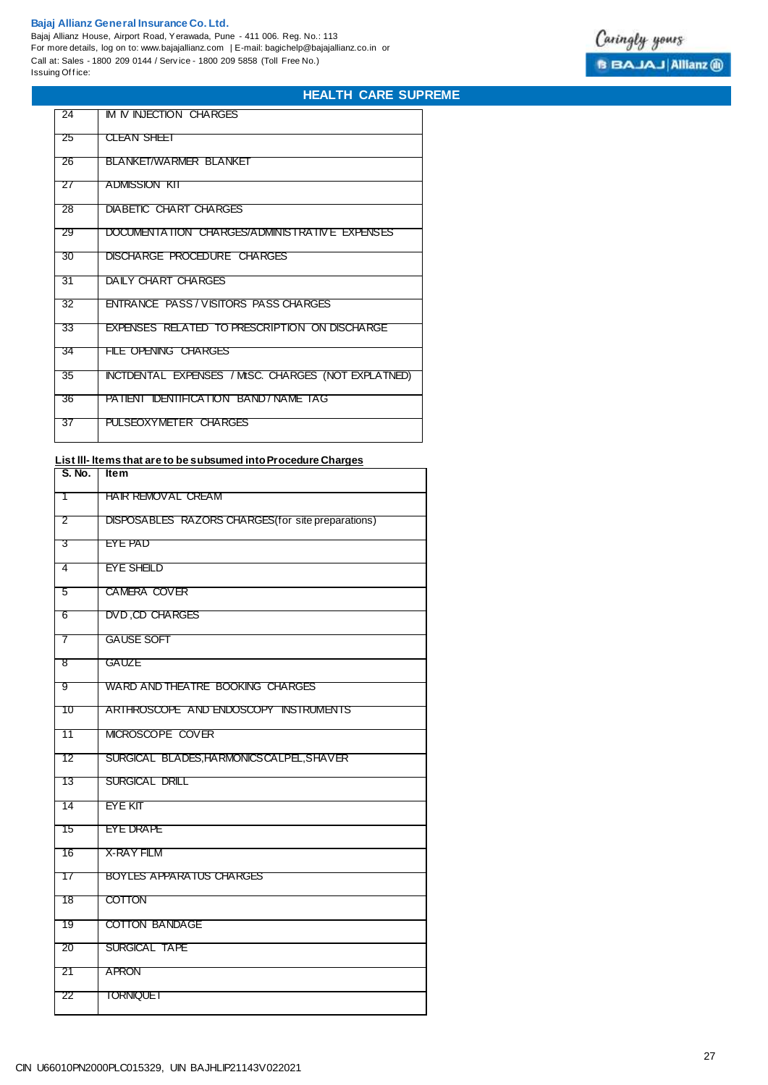Bajaj Allianz House, Airport Road, Yerawada, Pune - 411 006. Reg. No.: 113 For more details, log on to: www.bajajallianz.com | E-mail: bagichelp@bajajallianz.co.in or Call at: Sales - 1800 209 0144 / Serv ice - 1800 209 5858 (Toll Free No.) Issuing Office:



## **HEALTH CARE SUPREME**

| 24 | IM IV INJECTION CHARGES                             |
|----|-----------------------------------------------------|
| 25 | <b>CLEAN SHEET</b>                                  |
| 26 | BLANKET/WARMER BLANKET                              |
| 27 | ADMISSION KIT                                       |
| 28 | <b>DIABETIC CHART CHARGES</b>                       |
| 29 | DOCUMENTATION CHARGES/ADMINISTRATIVE EXPENSES.      |
| 30 | <b>DISCHARGE PROCEDURE CHARGES</b>                  |
| 31 | DAILY CHART CHARGES                                 |
| 32 | <b>ENTRANCE PASS/VISITORS PASS CHARGES</b>          |
| 33 | EXPENSES RELATED TO PRESCRIPTION ON DISCHARGE       |
| 34 | FILE OPENING CHARGES                                |
| 35 | INCTDENTAL EXPENSES / MtSC. CHARGES (NOT EXPLATNED) |
| 36 | PATIENT IDENTIFICATION BAND/NAME TAG                |
| 37 | PULSEOXYMETER CHARGES                               |

## **List lll- ltems that are to be subsumed into Procedure Charges**

| S. No.                    | <b>Item</b>                                        |
|---------------------------|----------------------------------------------------|
| - 1                       | <b>HAIR REMOVAL CREAM</b>                          |
| $\overline{2}$            | DISPOSABLES RAZORS CHARGES (for site preparations) |
| $\overline{\phantom{1}}3$ | <b>EYE PAD</b>                                     |
| 4                         | <b>EYE SHEILD</b>                                  |
| - 5                       | <b>CAMERA COVER</b>                                |
| $-6$                      | DVD, CD CHARGES                                    |
| $\overline{7}$            | <b>GAUSE SOFT</b>                                  |
| 8                         | GAUZE                                              |
| - 9                       | WARD AND THEATRE BOOKING CHARGES                   |
| 10                        | ARTHROSCOPE AND ENDOSCOPY INSTRUMENTS              |
| 11                        | MICROSCOPE COVER                                   |
| 12                        | SURGICAL BLADES, HARMONICS CALPEL, SHAVER          |
| 13                        | SURGICAL DRILL                                     |
| 14                        | <b>EYE KIT</b>                                     |
| 15                        | <b>EYE DRAPE</b>                                   |
| 16                        | <b>X-RAY FILM</b>                                  |
| 17                        | <b>BOYLES APPARATUS CHARGES</b>                    |
| 18                        | <b>COTTON</b>                                      |
| 19                        | <b>COTTON BANDAGE</b>                              |
| 20                        | SURGICAL TAPE                                      |
| 21                        | APRON                                              |
| 22                        | <b>TORNIQUET</b>                                   |
|                           |                                                    |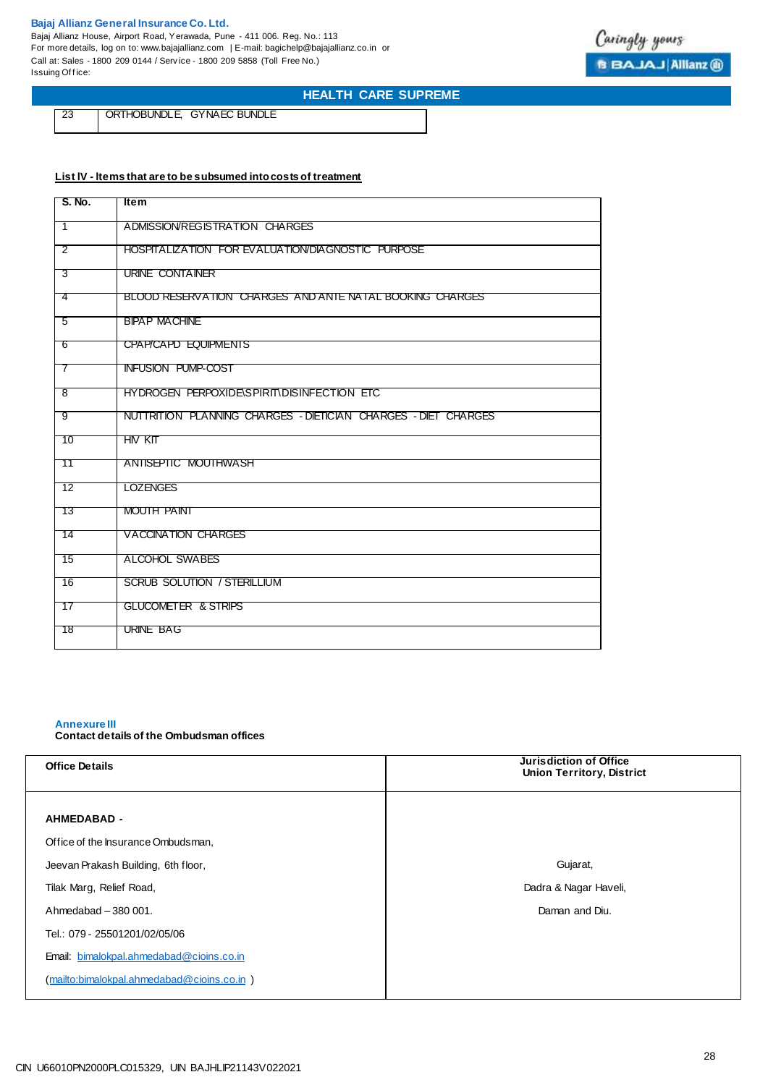Bajaj Allianz House, Airport Road, Yerawada, Pune - 411 006. Reg. No.: 113 For more details, log on to: www.bajajallianz.com | E-mail: bagichelp@bajajallianz.co.in or Call at: Sales - 1800 209 0144 / Serv ice - 1800 209 5858 (Toll Free No.) Issuing Office:



## **HEALTH CARE SUPREME**

23 ORTHOBUNDLE, GYNAEC BUNDLE

## **List lV - ltems that are to be subsumed into costs of treatment**

| S. No.          | <b>Item</b>                                                    |
|-----------------|----------------------------------------------------------------|
| ີ 1             | ADMISSION/REGISTRATION CHARGES                                 |
| $\overline{2}$  | HOSPITALIZATION FOR EVALUATION/DIAGNOSTIC PURPOSE              |
| 3               | URINE CONTAINER                                                |
| -4              | BLOOD RESERVATION CHARGES AND ANTE NATAL BOOKING CHARGES       |
| - 5             | <b>BIPAP MACHINE</b>                                           |
| - 6             | CPAP/CAPD EQUIPMENTS                                           |
| $\overline{7}$  | <b>INFUSION PUMP-COST</b>                                      |
| - 8             | HYDROGEN PERPOXIDE\SPIRIT\DISINFECTION ETC                     |
| -9              | NUTTRITION PLANNING CHARGES - DIETICIAN CHARGES - DIET CHARGES |
| $-10$           | <b>HIV KIT</b>                                                 |
| $\overline{11}$ | ANTISEPTIC MOUTHWASH                                           |
| $-12$           | <b>LOZENGES</b>                                                |
| - 13            | MOUTH PAINT                                                    |
| - 14            | <b>VACCINATION CHARGES</b>                                     |
| $-15$           | ALCOHOL SWABES                                                 |
| - 16            | <b>SCRUB SOLUTION / STERILLIUM</b>                             |
| $-17$           | <b>GLUCOMETER &amp; STRIPS</b>                                 |
| ี่ 18           | URINE BAG                                                      |

#### **Annexure III Contact details of the Ombudsman offices**

| <b>Office Details</b>                      | Jurisdiction of Office<br><b>Union Territory, District</b> |
|--------------------------------------------|------------------------------------------------------------|
|                                            |                                                            |
| <b>AHMEDABAD -</b>                         |                                                            |
| Office of the Insurance Ombudsman,         |                                                            |
| Jeevan Prakash Building, 6th floor,        | Gujarat,                                                   |
| Tilak Marg, Relief Road,                   | Dadra & Nagar Haveli,                                      |
| Ahmedabad - 380 001.                       | Daman and Diu.                                             |
| Tel.: 079 - 25501201/02/05/06              |                                                            |
| Email: bimalokpal.ahmedabad@cioins.co.in   |                                                            |
| (mailto:bimalokpal.ahmedabad@cioins.co.in) |                                                            |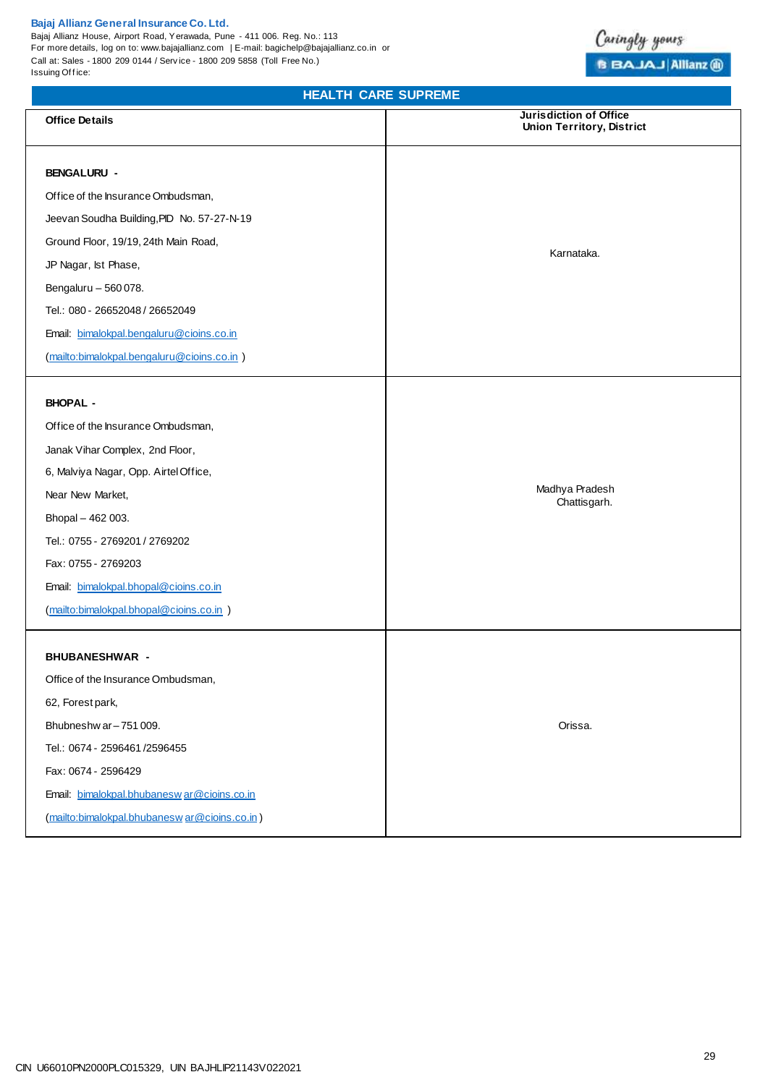Bajaj Allianz House, Airport Road, Yerawada, Pune - 411 006. Reg. No.: 113 For more details, log on to: www.bajajallianz.com | E-mail: bagichelp@bajajallianz.co.in or Call at: Sales - 1800 209 0144 / Serv ice - 1800 209 5858 (Toll Free No.) Issuing Office:

## **HEALTH CARE SUPREME**

| <b>Office Details</b>                        | Jurisdiction of Office<br><b>Union Territory, District</b> |  |
|----------------------------------------------|------------------------------------------------------------|--|
| <b>BENGALURU -</b>                           |                                                            |  |
| Office of the Insurance Ombudsman,           |                                                            |  |
| Jeevan Soudha Building, PID No. 57-27-N-19   |                                                            |  |
| Ground Floor, 19/19, 24th Main Road,         |                                                            |  |
| JP Nagar, Ist Phase,                         | Karnataka.                                                 |  |
| Bengaluru - 560 078.                         |                                                            |  |
| Tel.: 080 - 26652048 / 26652049              |                                                            |  |
| Email: bimalokpal.bengaluru@cioins.co.in     |                                                            |  |
| (mailto:bimalokpal.bengaluru@cioins.co.in)   |                                                            |  |
| <b>BHOPAL -</b>                              |                                                            |  |
| Office of the Insurance Ombudsman,           |                                                            |  |
| Janak Vihar Complex, 2nd Floor,              |                                                            |  |
| 6, Malviya Nagar, Opp. Airtel Office,        |                                                            |  |
| Near New Market,                             | Madhya Pradesh                                             |  |
| Bhopal - 462 003.                            | Chattisgarh.                                               |  |
| Tel.: 0755 - 2769201 / 2769202               |                                                            |  |
| Fax: 0755 - 2769203                          |                                                            |  |
| Email: bimalokpal.bhopal@cioins.co.in        |                                                            |  |
| (mailto:bimalokpal.bhopal@cioins.co.in)      |                                                            |  |
| <b>BHUBANESHWAR -</b>                        |                                                            |  |
| Office of the Insurance Ombudsman,           |                                                            |  |
| 62, Forest park,                             |                                                            |  |
| Bhubneshw ar-751009.                         | Orissa.                                                    |  |
| Tel.: 0674 - 2596461/2596455                 |                                                            |  |
| Fax: 0674 - 2596429                          |                                                            |  |
| Email: bimalokpal.bhubaneswar@cioins.co.in   |                                                            |  |
| (mailto:bimalokpal.bhubaneswar@cioins.co.in) |                                                            |  |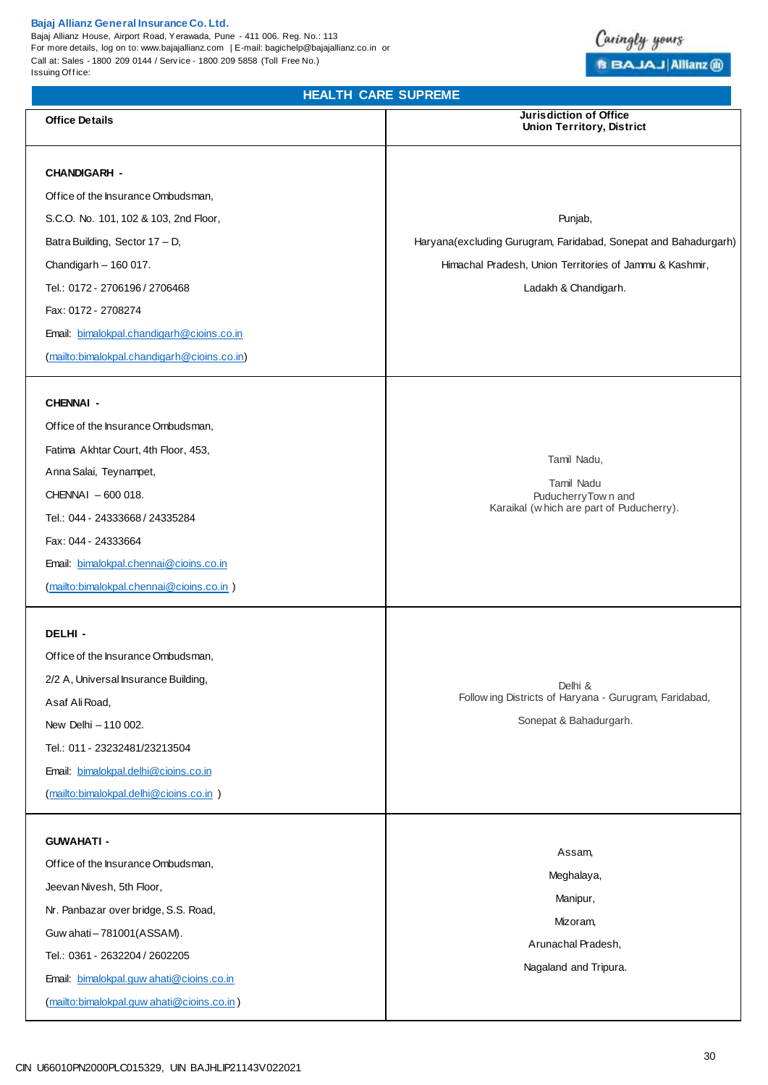Bajaj Allianz House, Airport Road, Yerawada, Pune - 411 006. Reg. No.: 113 For more details, log on to: www.bajajallianz.com | E-mail: bagichelp@bajajallianz.co.in or Call at: Sales - 1800 209 0144 / Serv ice - 1800 209 5858 (Toll Free No.) Issuing Office:

## Caringly yours **BBAJAJAIlianz** @

**HEALTH CARE SUPREME Office Details Jurisdiction of Office Union Territory, District CHANDIGARH -**  Office of the Insurance Ombudsman, S.C.O. No. 101, 102 & 103, 2nd Floor, Batra Building, Sector 17 – D, Chandigarh – 160 017. Tel.: 0172 - 2706196 / 2706468 Fax: 0172 - 2708274 Email: [bimalokpal.chandigarh@cioins.co.in](mailto:bimalokpal.chandigarh@cioins.co.in) [\(mailto:bimalokpal.chandigarh@cioins.co.in\)](mailto:bimalokpal.chandigarh@cioins.co.in) Punjab, Haryana(excluding Gurugram, Faridabad, Sonepat and Bahadurgarh) Himachal Pradesh, Union Territories of Jammu & Kashmir, Ladakh & Chandigarh. **CHENNAI -**  Office of the Insurance Ombudsman, Fatima Akhtar Court, 4th Floor, 453, Anna Salai, Teynampet, CHENNAI – 600 018. Tel.: 044 - 24333668 / 24335284 Fax: 044 - 24333664 Email: [bimalokpal.chennai@cioins.co.in](mailto:bimalokpal.chennai@cioins.co.in) [\(mailto:bimalokpal.chennai@cioins.co.in](mailto:bimalokpal.chennai@cioins.co.in) ) Tamil Nadu, Tamil Nadu PuducherryTow n and Karaikal (w hich are part of Puducherry). **DELHI -**  Office of the Insurance Ombudsman, 2/2 A, Universal Insurance Building, Asaf Ali Road, New Delhi – 110 002. Tel.: 011 - 23232481/23213504 Email: [bimalokpal.delhi@cioins.co.in](mailto:bimalokpal.delhi@cioins.co.in) [\(mailto:bimalokpal.delhi@cioins.co.in](mailto:bimalokpal.delhi@cioins.co.in) ) Delhi & Follow ing Districts of Haryana - Gurugram, Faridabad, Sonepat & Bahadurgarh. **GUWAHATI -**  Office of the Insurance Ombudsman, Jeevan Nivesh, 5th Floor, Nr. Panbazar over bridge, S.S. Road, Guw ahati – 781001(ASSAM). Tel.: 0361 - 2632204 / 2602205 Email: [bimalokpal.guw ahati@cioins.co.in](mailto:bimalokpal.guwahati@cioins.co.in) [\(mailto:bimalokpal.guw ahati@cioins.co.in](mailto:bimalokpal.guwahati@cioins.co.in) ) Assam, Meghalaya, Manipur, Mizoram, Arunachal Pradesh, Nagaland and Tripura.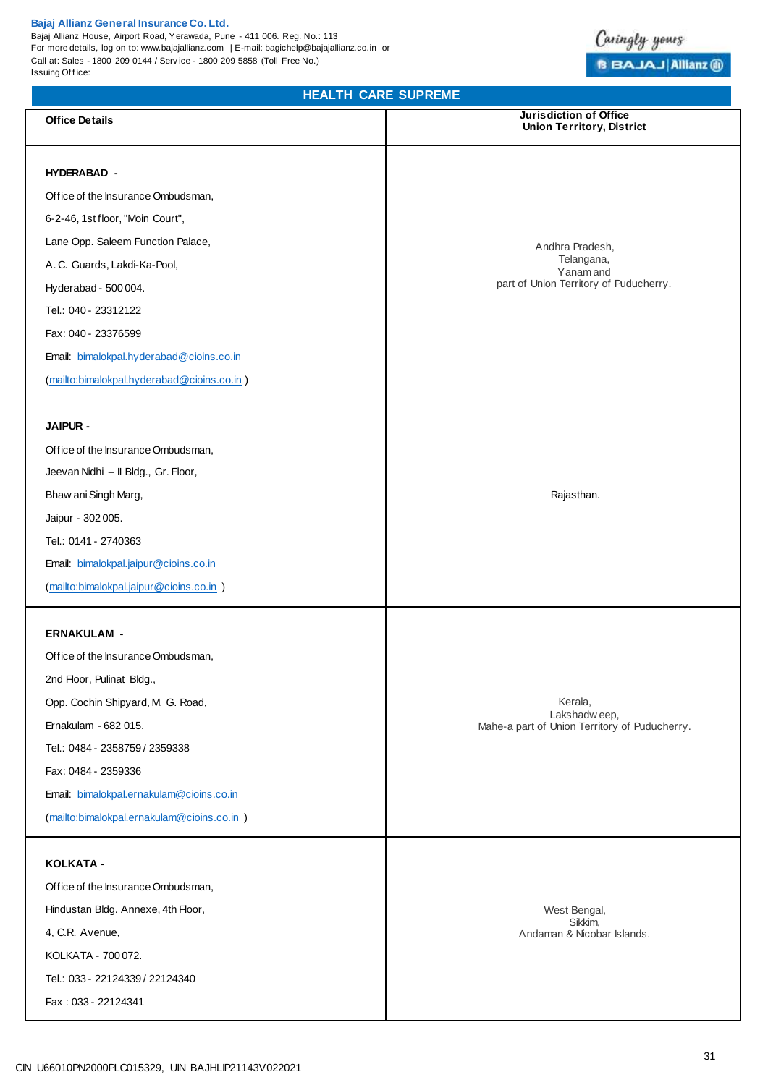Bajaj Allianz House, Airport Road, Yerawada, Pune - 411 006. Reg. No.: 113 For more details, log on to: www.bajajallianz.com | E-mail: bagichelp@bajajallianz.co.in or Call at: Sales - 1800 209 0144 / Serv ice - 1800 209 5858 (Toll Free No.) Issuing Office:

## **HEALTH CARE SUPREME**

Caringly yours

**B BAJAJ Allianz @** 

| <b>Office Details</b>                       | <b>Jurisdiction of Office</b><br><b>Union Territory, District</b> |
|---------------------------------------------|-------------------------------------------------------------------|
| <b>HYDERABAD -</b>                          |                                                                   |
| Office of the Insurance Ombudsman,          |                                                                   |
| 6-2-46, 1st floor, "Moin Court",            |                                                                   |
| Lane Opp. Saleem Function Palace,           |                                                                   |
| A. C. Guards, Lakdi-Ka-Pool,                | Andhra Pradesh,<br>Telangana,                                     |
| Hyderabad - 500 004.                        | Yanam and<br>part of Union Territory of Puducherry.               |
| Tel.: 040 - 23312122                        |                                                                   |
| Fax: 040 - 23376599                         |                                                                   |
| Email: bimalokpal.hyderabad@cioins.co.in    |                                                                   |
| (mailto:bimalokpal.hyderabad@cioins.co.in)  |                                                                   |
|                                             |                                                                   |
| <b>JAIPUR -</b>                             |                                                                   |
| Office of the Insurance Ombudsman,          |                                                                   |
| Jeevan Nidhi - Il Bldg., Gr. Floor,         |                                                                   |
| Bhaw ani Singh Marg,                        | Rajasthan.                                                        |
| Jaipur - 302 005.                           |                                                                   |
| Tel.: 0141 - 2740363                        |                                                                   |
| Email: bimalokpal.jaipur@cioins.co.in       |                                                                   |
| (mailto:bimalokpal.jaipur@cioins.co.in )    |                                                                   |
|                                             |                                                                   |
| <b>ERNAKULAM -</b>                          |                                                                   |
| Office of the Insurance Ombudsman,          |                                                                   |
| 2nd Floor, Pulinat Bldg.,                   |                                                                   |
| Opp. Cochin Shipyard, M. G. Road,           | Kerala,<br>Lakshadweep,                                           |
| Ernakulam - 682 015.                        | Mahe-a part of Union Territory of Puducherry.                     |
| Tel.: 0484 - 2358759 / 2359338              |                                                                   |
| Fax: 0484 - 2359336                         |                                                                   |
| Email: bimalokpal.ernakulam@cioins.co.in    |                                                                   |
| (mailto:bimalokpal.ernakulam@cioins.co.in ) |                                                                   |
| KOLKATA -                                   |                                                                   |
| Office of the Insurance Ombudsman,          |                                                                   |
| Hindustan Bldg. Annexe, 4th Floor,          | West Bengal,                                                      |
| 4, C.R. Avenue,                             | Sikkim,<br>Andaman & Nicobar Islands.                             |
| KOLKATA - 700 072.                          |                                                                   |
| Tel.: 033 - 22124339 / 22124340             |                                                                   |
| Fax: 033 - 22124341                         |                                                                   |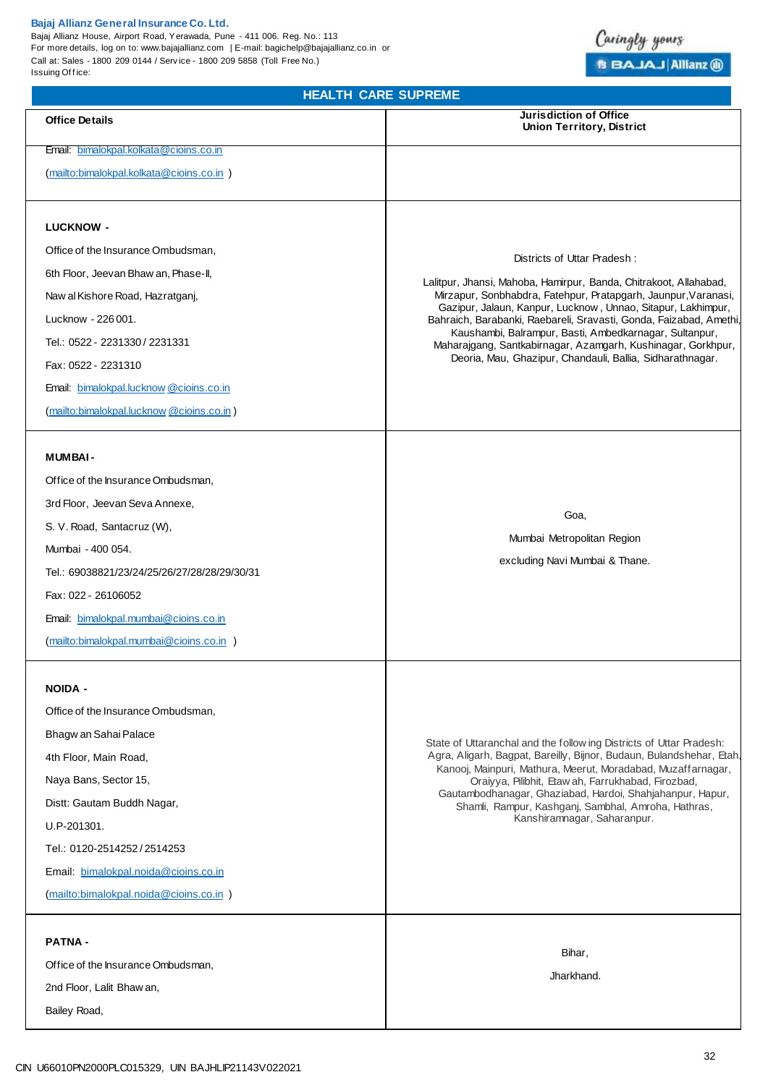#### **Bajaj Allianz General Insurance Co. Ltd.**  Bajaj Allianz House, Airport Road, Yerawada, Pune - 411 006. Reg. No.: 113 For more details, log on to: www.bajajallianz.com | E-mail: bagichelp@bajajallianz.co.in or Call at: Sales - 1800 209 0144 / Serv ice - 1800 209 5858 (Toll Free No.) Issuing Office:

## **HEALTH CARE SUPREME**

Caringly yours

**B BAJAJ Allianz @** 

| <b>Office Details</b>                                | <b>Jurisdiction of Office</b><br><b>Union Territory, District</b>                                                                               |
|------------------------------------------------------|-------------------------------------------------------------------------------------------------------------------------------------------------|
| Email: bimalokpal.kolkata@cioins.co.in               |                                                                                                                                                 |
| (mailto:bimalokpal.kolkata@cioins.co.in)             |                                                                                                                                                 |
|                                                      |                                                                                                                                                 |
| <b>LUCKNOW -</b>                                     |                                                                                                                                                 |
| Office of the Insurance Ombudsman,                   | Districts of Uttar Pradesh:                                                                                                                     |
| 6th Floor, Jeevan Bhaw an, Phase-II,                 | Lalitpur, Jhansi, Mahoba, Hamirpur, Banda, Chitrakoot, Allahabad,<br>Mirzapur, Sonbhabdra, Fatehpur, Pratapgarh, Jaunpur, Varanasi,             |
| Naw al Kishore Road, Hazratganj,                     | Gazipur, Jalaun, Kanpur, Lucknow, Unnao, Sitapur, Lakhimpur,                                                                                    |
| Lucknow - 226 001.<br>Tel.: 0522 - 2231330 / 2231331 | Bahraich, Barabanki, Raebareli, Sravasti, Gonda, Faizabad, Amethi,<br>Kaushambi, Balrampur, Basti, Ambedkarnagar, Sultanpur,                    |
| Fax: 0522 - 2231310                                  | Maharajgang, Santkabirnagar, Azamgarh, Kushinagar, Gorkhpur,<br>Deoria, Mau, Ghazipur, Chandauli, Ballia, Sidharathnagar.                       |
| Email: bimalokpal.lucknow @cioins.co.in              |                                                                                                                                                 |
| (mailto:bimalokpal.lucknow @cioins.co.in)            |                                                                                                                                                 |
| <b>MUMBAI-</b>                                       |                                                                                                                                                 |
| Office of the Insurance Ombudsman,                   |                                                                                                                                                 |
| 3rd Floor, Jeevan Seva Annexe,                       |                                                                                                                                                 |
| S. V. Road, Santacruz (W),                           | Goa,                                                                                                                                            |
| Mumbai - 400 054.                                    | Mumbai Metropolitan Region                                                                                                                      |
| Tel.: 69038821/23/24/25/26/27/28/28/29/30/31         | excluding Navi Mumbai & Thane.                                                                                                                  |
| Fax: 022 - 26106052                                  |                                                                                                                                                 |
| Email: bimalokpal.mumbai@cioins.co.in                |                                                                                                                                                 |
| (mailto:bimalokpal.mumbai@cioins.co.in )             |                                                                                                                                                 |
| <b>NOIDA -</b>                                       |                                                                                                                                                 |
| Office of the Insurance Ombudsman,                   |                                                                                                                                                 |
| Bhagw an Sahai Palace                                | State of Uttaranchal and the follow ing Districts of Uttar Pradesh:                                                                             |
| 4th Floor, Main Road,                                | Agra, Aligarh, Bagpat, Bareilly, Bijnor, Budaun, Bulandshehar, Etah,<br>Kanooj, Mainpuri, Mathura, Meerut, Moradabad, Muzaffarnagar,            |
| Naya Bans, Sector 15,                                | Oraiyya, Pilibhit, Etaw ah, Farrukhabad, Firozbad,                                                                                              |
| Distt: Gautam Buddh Nagar,                           | Gautambodhanagar, Ghaziabad, Hardoi, Shahjahanpur, Hapur,<br>Shamli, Rampur, Kashganj, Sambhal, Amroha, Hathras,<br>Kanshiramnagar, Saharanpur. |
| U.P-201301.                                          |                                                                                                                                                 |
| Tel.: 0120-2514252/2514253                           |                                                                                                                                                 |
| Email: bimalokpal.noida@cioins.co.in                 |                                                                                                                                                 |
| (mailto:bimalokpal.noida@cioins.co.in)               |                                                                                                                                                 |
| <b>PATNA -</b>                                       |                                                                                                                                                 |
| Office of the Insurance Ombudsman,                   | Bihar,<br>Jharkhand.                                                                                                                            |
| 2nd Floor, Lalit Bhaw an,                            |                                                                                                                                                 |
| Bailey Road,                                         |                                                                                                                                                 |